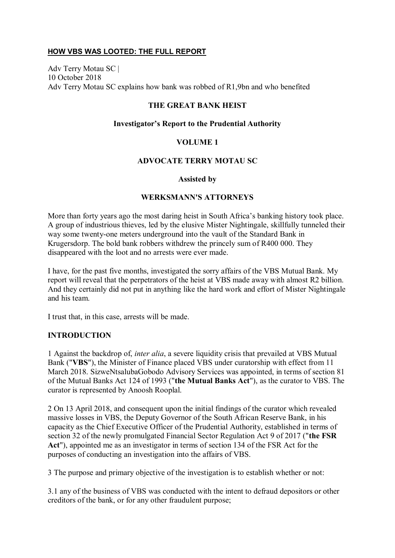## **HOW VBS WAS LOOTED: THE FULL REPORT**

Adv Terry Motau SC | 10 October 2018 Adv Terry Motau SC explains how bank was robbed of R1,9bn and who benefited

#### **THE GREAT BANK HEIST**

#### **Investigator's Report to the Prudential Authority**

#### **VOLUME 1**

#### **ADVOCATE TERRY MOTAU SC**

#### **Assisted by**

#### **WERKSMANN'S ATTORNEYS**

More than forty years ago the most daring heist in South Africa's banking history took place. A group of industrious thieves, led by the elusive Mister Nightingale, skillfully tunneled their way some twenty-one meters underground into the vault of the Standard Bank in Krugersdorp. The bold bank robbers withdrew the princely sum of R400 000. They disappeared with the loot and no arrests were ever made.

I have, for the past five months, investigated the sorry affairs of the VBS Mutual Bank. My report will reveal that the perpetrators of the heist at VBS made away with almost R2 billion. And they certainly did not put in anything like the hard work and effort of Mister Nightingale and his team.

I trust that, in this case, arrests will be made.

#### **INTRODUCTION**

1 Against the backdrop of, *inter alia*, a severe liquidity crisis that prevailed at VBS Mutual Bank ("**VBS**"), the Minister of Finance placed VBS under curatorship with effect from 11 March 2018. SizweNtsalubaGobodo Advisory Services was appointed, in terms of section 81 of the Mutual Banks Act 124 of 1993 ("**the Mutual Banks Act**"), as the curator to VBS. The curator is represented by Anoosh Rooplal.

2 On 13 April 2018, and consequent upon the initial findings of the curator which revealed massive losses in VBS, the Deputy Governor of the South African Reserve Bank, in his capacity as the Chief Executive Officer of the Prudential Authority, established in terms of section 32 of the newly promulgated Financial Sector Regulation Act 9 of 2017 ("**the FSR Act**"), appointed me as an investigator in terms of section 134 of the FSR Act for the purposes of conducting an investigation into the affairs of VBS.

3 The purpose and primary objective of the investigation is to establish whether or not:

3.1 any of the business of VBS was conducted with the intent to defraud depositors or other creditors of the bank, or for any other fraudulent purpose;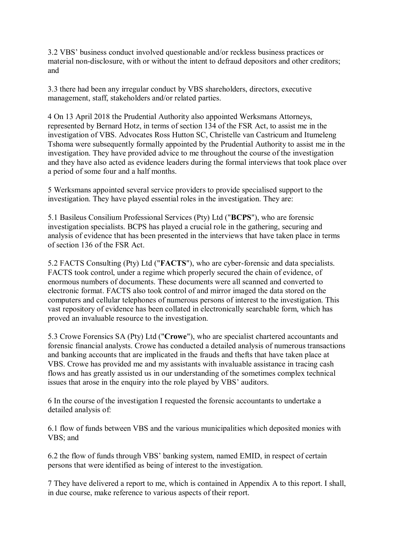3.2 VBS' business conduct involved questionable and/or reckless business practices or material non-disclosure, with or without the intent to defraud depositors and other creditors; and

3.3 there had been any irregular conduct by VBS shareholders, directors, executive management, staff, stakeholders and/or related parties.

4 On 13 April 2018 the Prudential Authority also appointed Werksmans Attorneys, represented by Bernard Hotz, in terms of section 134 of the FSR Act, to assist me in the investigation of VBS. Advocates Ross Hutton SC, Christelle van Castricum and Itumeleng Tshoma were subsequently formally appointed by the Prudential Authority to assist me in the investigation. They have provided advice to me throughout the course of the investigation and they have also acted as evidence leaders during the formal interviews that took place over a period of some four and a half months.

5 Werksmans appointed several service providers to provide specialised support to the investigation. They have played essential roles in the investigation. They are:

5.1 Basileus Consilium Professional Services (Pty) Ltd ("**BCPS**"), who are forensic investigation specialists. BCPS has played a crucial role in the gathering, securing and analysis of evidence that has been presented in the interviews that have taken place in terms of section 136 of the FSR Act.

5.2 FACTS Consulting (Pty) Ltd ("**FACTS**"), who are cyber-forensic and data specialists. FACTS took control, under a regime which properly secured the chain of evidence, of enormous numbers of documents. These documents were all scanned and converted to electronic format. FACTS also took control of and mirror imaged the data stored on the computers and cellular telephones of numerous persons of interest to the investigation. This vast repository of evidence has been collated in electronically searchable form, which has proved an invaluable resource to the investigation.

5.3 Crowe Forensics SA (Pty) Ltd ("**Crowe**"), who are specialist chartered accountants and forensic financial analysts. Crowe has conducted a detailed analysis of numerous transactions and banking accounts that are implicated in the frauds and thefts that have taken place at VBS. Crowe has provided me and my assistants with invaluable assistance in tracing cash flows and has greatly assisted us in our understanding of the sometimes complex technical issues that arose in the enquiry into the role played by VBS' auditors.

6 In the course of the investigation I requested the forensic accountants to undertake a detailed analysis of:

6.1 flow of funds between VBS and the various municipalities which deposited monies with VBS; and

6.2 the flow of funds through VBS' banking system, named EMID, in respect of certain persons that were identified as being of interest to the investigation.

7 They have delivered a report to me, which is contained in Appendix A to this report. I shall, in due course, make reference to various aspects of their report.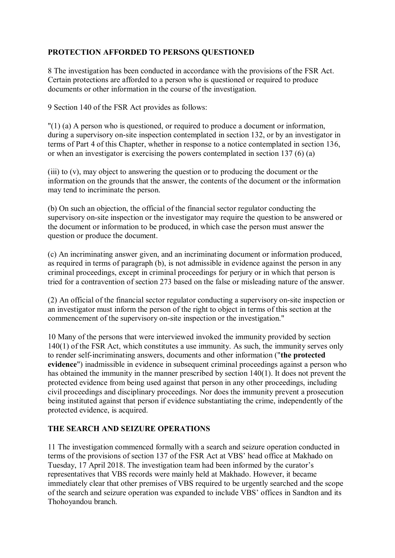# **PROTECTION AFFORDED TO PERSONS QUESTIONED**

8 The investigation has been conducted in accordance with the provisions of the FSR Act. Certain protections are afforded to a person who is questioned or required to produce documents or other information in the course of the investigation.

9 Section 140 of the FSR Act provides as follows:

"(1) (a) A person who is questioned, or required to produce a document or information, during a supervisory on-site inspection contemplated in section 132, or by an investigator in terms of Part 4 of this Chapter, whether in response to a notice contemplated in section 136, or when an investigator is exercising the powers contemplated in section 137 (6) (a)

(iii) to (v), may object to answering the question or to producing the document or the information on the grounds that the answer, the contents of the document or the information may tend to incriminate the person.

(b) On such an objection, the official of the financial sector regulator conducting the supervisory on-site inspection or the investigator may require the question to be answered or the document or information to be produced, in which case the person must answer the question or produce the document.

(c) An incriminating answer given, and an incriminating document or information produced, as required in terms of paragraph (b), is not admissible in evidence against the person in any criminal proceedings, except in criminal proceedings for perjury or in which that person is tried for a contravention of section 273 based on the false or misleading nature of the answer.

(2) An official of the financial sector regulator conducting a supervisory on-site inspection or an investigator must inform the person of the right to object in terms of this section at the commencement of the supervisory on-site inspection or the investigation."

10 Many of the persons that were interviewed invoked the immunity provided by section 140(1) of the FSR Act, which constitutes a use immunity. As such, the immunity serves only to render self-incriminating answers, documents and other information ("**the protected evidence**") inadmissible in evidence in subsequent criminal proceedings against a person who has obtained the immunity in the manner prescribed by section 140(1). It does not prevent the protected evidence from being used against that person in any other proceedings, including civil proceedings and disciplinary proceedings. Nor does the immunity prevent a prosecution being instituted against that person if evidence substantiating the crime, independently of the protected evidence, is acquired.

## **THE SEARCH AND SEIZURE OPERATIONS**

11 The investigation commenced formally with a search and seizure operation conducted in terms of the provisions of section 137 of the FSR Act at VBS' head office at Makhado on Tuesday, 17 April 2018. The investigation team had been informed by the curator's representatives that VBS records were mainly held at Makhado. However, it became immediately clear that other premises of VBS required to be urgently searched and the scope of the search and seizure operation was expanded to include VBS' offices in Sandton and its Thohoyandou branch.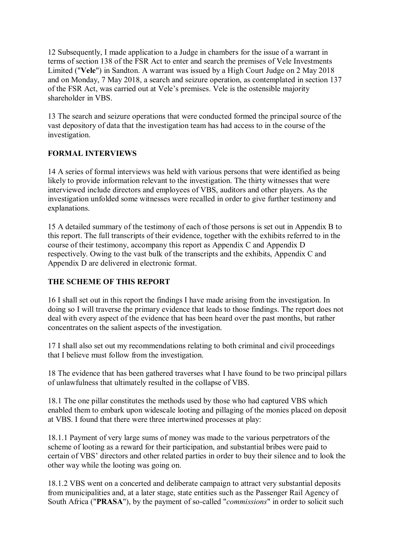12 Subsequently, I made application to a Judge in chambers for the issue of a warrant in terms of section 138 of the FSR Act to enter and search the premises of Vele Investments Limited ("**Vele**") in Sandton. A warrant was issued by a High Court Judge on 2 May 2018 and on Monday, 7 May 2018, a search and seizure operation, as contemplated in section 137 of the FSR Act, was carried out at Vele's premises. Vele is the ostensible majority shareholder in VBS.

13 The search and seizure operations that were conducted formed the principal source of the vast depository of data that the investigation team has had access to in the course of the investigation.

## **FORMAL INTERVIEWS**

14 A series of formal interviews was held with various persons that were identified as being likely to provide information relevant to the investigation. The thirty witnesses that were interviewed include directors and employees of VBS, auditors and other players. As the investigation unfolded some witnesses were recalled in order to give further testimony and explanations.

15 A detailed summary of the testimony of each of those persons is set out in Appendix B to this report. The full transcripts of their evidence, together with the exhibits referred to in the course of their testimony, accompany this report as Appendix C and Appendix D respectively. Owing to the vast bulk of the transcripts and the exhibits, Appendix C and Appendix D are delivered in electronic format.

## **THE SCHEME OF THIS REPORT**

16 I shall set out in this report the findings I have made arising from the investigation. In doing so I will traverse the primary evidence that leads to those findings. The report does not deal with every aspect of the evidence that has been heard over the past months, but rather concentrates on the salient aspects of the investigation.

17 I shall also set out my recommendations relating to both criminal and civil proceedings that I believe must follow from the investigation.

18 The evidence that has been gathered traverses what I have found to be two principal pillars of unlawfulness that ultimately resulted in the collapse of VBS.

18.1 The one pillar constitutes the methods used by those who had captured VBS which enabled them to embark upon widescale looting and pillaging of the monies placed on deposit at VBS. I found that there were three intertwined processes at play:

18.1.1 Payment of very large sums of money was made to the various perpetrators of the scheme of looting as a reward for their participation, and substantial bribes were paid to certain of VBS' directors and other related parties in order to buy their silence and to look the other way while the looting was going on.

18.1.2 VBS went on a concerted and deliberate campaign to attract very substantial deposits from municipalities and, at a later stage, state entities such as the Passenger Rail Agency of South Africa ("**PRASA**"), by the payment of so-called "*commissions*" in order to solicit such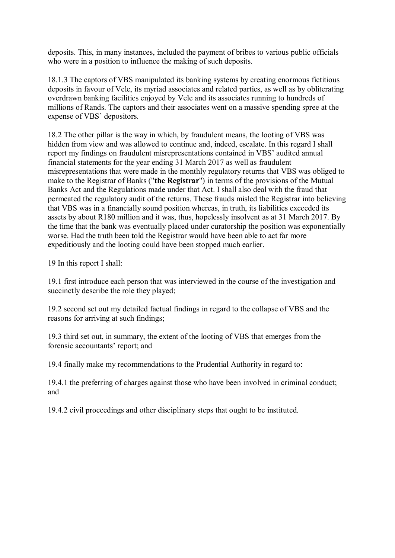deposits. This, in many instances, included the payment of bribes to various public officials who were in a position to influence the making of such deposits.

18.1.3 The captors of VBS manipulated its banking systems by creating enormous fictitious deposits in favour of Vele, its myriad associates and related parties, as well as by obliterating overdrawn banking facilities enjoyed by Vele and its associates running to hundreds of millions of Rands. The captors and their associates went on a massive spending spree at the expense of VBS' depositors.

18.2 The other pillar is the way in which, by fraudulent means, the looting of VBS was hidden from view and was allowed to continue and, indeed, escalate. In this regard I shall report my findings on fraudulent misrepresentations contained in VBS' audited annual financial statements for the year ending 31 March 2017 as well as fraudulent misrepresentations that were made in the monthly regulatory returns that VBS was obliged to make to the Registrar of Banks ("**the Registrar**") in terms of the provisions of the Mutual Banks Act and the Regulations made under that Act. I shall also deal with the fraud that permeated the regulatory audit of the returns. These frauds misled the Registrar into believing that VBS was in a financially sound position whereas, in truth, its liabilities exceeded its assets by about R180 million and it was, thus, hopelessly insolvent as at 31 March 2017. By the time that the bank was eventually placed under curatorship the position was exponentially worse. Had the truth been told the Registrar would have been able to act far more expeditiously and the looting could have been stopped much earlier.

19 In this report I shall:

19.1 first introduce each person that was interviewed in the course of the investigation and succinctly describe the role they played;

19.2 second set out my detailed factual findings in regard to the collapse of VBS and the reasons for arriving at such findings;

19.3 third set out, in summary, the extent of the looting of VBS that emerges from the forensic accountants' report; and

19.4 finally make my recommendations to the Prudential Authority in regard to:

19.4.1 the preferring of charges against those who have been involved in criminal conduct; and

19.4.2 civil proceedings and other disciplinary steps that ought to be instituted.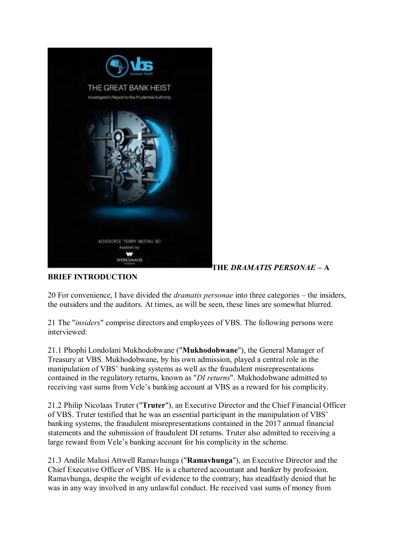

# **THE** *DRAMATIS PERSONAE* **– A**

# **BRIEF INTRODUCTION**

20 For convenience, I have divided the *dramatis personae* into three categories – the insiders, the outsiders and the auditors. At times, as will be seen, these lines are somewhat blurred.

21 The "*insiders*" comprise directors and employees of VBS. The following persons were interviewed:

21.1 Phophi Londolani Mukhodobwane ("**Mukhodobwane**"), the General Manager of Treasury at VBS. Mukhodobwane, by his own admission, played a central role in the manipulation of VBS' banking systems as well as the fraudulent misrepresentations contained in the regulatory returns, known as "*DI returns*". Mukhodobwane admitted to receiving vast sums from Vele's banking account at VBS as a reward for his complicity.

21.2 Philip Nicolaas Truter ("**Truter**"), an Executive Director and the Chief Financial Officer of VBS. Truter testified that he was an essential participant in the manipulation of VBS' banking systems, the fraudulent misrepresentations contained in the 2017 annual financial statements and the submission of fraudulent DI returns. Truter also admitted to receiving a large reward from Vele's banking account for his complicity in the scheme.

21.3 Andile Malusi Attwell Ramavhunga ("**Ramavhunga**"), an Executive Director and the Chief Executive Officer of VBS. He is a chartered accountant and banker by profession. Ramavhunga, despite the weight of evidence to the contrary, has steadfastly denied that he was in any way involved in any unlawful conduct. He received vast sums of money from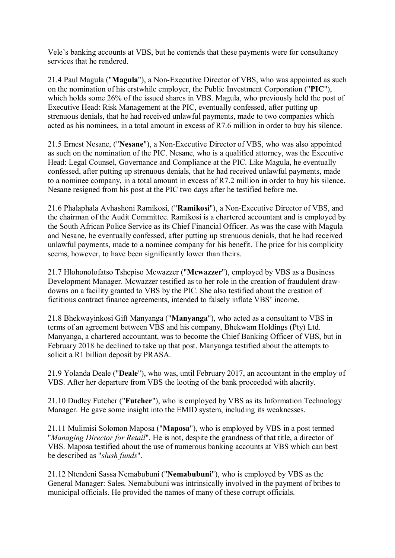Vele's banking accounts at VBS, but he contends that these payments were for consultancy services that he rendered.

21.4 Paul Magula ("**Magula**"), a Non-Executive Director of VBS, who was appointed as such on the nomination of his erstwhile employer, the Public Investment Corporation ("**PIC**"), which holds some 26% of the issued shares in VBS. Magula, who previously held the post of Executive Head: Risk Management at the PIC, eventually confessed, after putting up strenuous denials, that he had received unlawful payments, made to two companies which acted as his nominees, in a total amount in excess of R7.6 million in order to buy his silence.

21.5 Ernest Nesane, ("**Nesane**"), a Non-Executive Director of VBS, who was also appointed as such on the nomination of the PIC. Nesane, who is a qualified attorney, was the Executive Head: Legal Counsel, Governance and Compliance at the PIC. Like Magula, he eventually confessed, after putting up strenuous denials, that he had received unlawful payments, made to a nominee company, in a total amount in excess of R7.2 million in order to buy his silence. Nesane resigned from his post at the PIC two days after he testified before me.

21.6 Phalaphala Avhashoni Ramikosi, ("**Ramikosi**"), a Non-Executive Director of VBS, and the chairman of the Audit Committee. Ramikosi is a chartered accountant and is employed by the South African Police Service as its Chief Financial Officer. As was the case with Magula and Nesane, he eventually confessed, after putting up strenuous denials, that he had received unlawful payments, made to a nominee company for his benefit. The price for his complicity seems, however, to have been significantly lower than theirs.

21.7 Hlohonolofatso Tshepiso Mcwazzer ("**Mcwazzer**"), employed by VBS as a Business Development Manager. Mcwazzer testified as to her role in the creation of fraudulent drawdowns on a facility granted to VBS by the PIC. She also testified about the creation of fictitious contract finance agreements, intended to falsely inflate VBS' income.

21.8 Bhekwayinkosi Gift Manyanga ("**Manyanga**"), who acted as a consultant to VBS in terms of an agreement between VBS and his company, Bhekwam Holdings (Pty) Ltd. Manyanga, a chartered accountant, was to become the Chief Banking Officer of VBS, but in February 2018 he declined to take up that post. Manyanga testified about the attempts to solicit a R1 billion deposit by PRASA.

21.9 Yolanda Deale ("**Deale**"), who was, until February 2017, an accountant in the employ of VBS. After her departure from VBS the looting of the bank proceeded with alacrity.

21.10 Dudley Futcher ("**Futcher**"), who is employed by VBS as its Information Technology Manager. He gave some insight into the EMID system, including its weaknesses.

21.11 Mulimisi Solomon Maposa ("**Maposa**"), who is employed by VBS in a post termed "*Managing Director for Retail*". He is not, despite the grandness of that title, a director of VBS. Maposa testified about the use of numerous banking accounts at VBS which can best be described as "*slush funds*".

21.12 Ntendeni Sassa Nemabubuni ("**Nemabubuni**"), who is employed by VBS as the General Manager: Sales. Nemabubuni was intrinsically involved in the payment of bribes to municipal officials. He provided the names of many of these corrupt officials.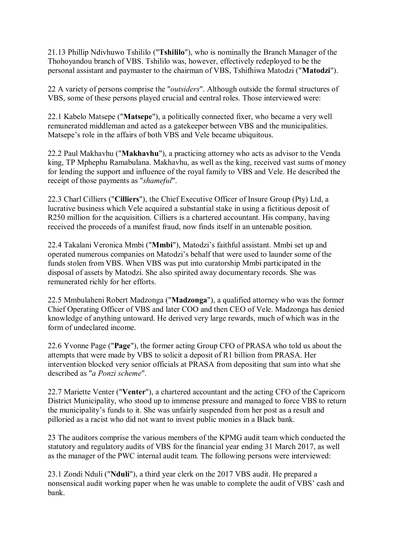21.13 Phillip Ndivhuwo Tshililo ("**Tshililo**"), who is nominally the Branch Manager of the Thohoyandou branch of VBS. Tshililo was, however, effectively redeployed to be the personal assistant and paymaster to the chairman of VBS, Tshifhiwa Matodzi ("**Matodzi**").

22 A variety of persons comprise the "*outsiders*". Although outside the formal structures of VBS, some of these persons played crucial and central roles. Those interviewed were:

22.1 Kabelo Matsepe ("**Matsepe**"), a politically connected fixer, who became a very well remunerated middleman and acted as a gatekeeper between VBS and the municipalities. Matsepe's role in the affairs of both VBS and Vele became ubiquitous.

22.2 Paul Makhavhu ("**Makhavhu**"), a practicing attorney who acts as advisor to the Venda king, TP Mphephu Ramabulana. Makhavhu, as well as the king, received vast sums of money for lending the support and influence of the royal family to VBS and Vele. He described the receipt of those payments as "*shameful*".

22.3 Charl Cilliers ("**Cilliers**"), the Chief Executive Officer of Insure Group (Pty) Ltd, a lucrative business which Vele acquired a substantial stake in using a fictitious deposit of R250 million for the acquisition. Cilliers is a chartered accountant. His company, having received the proceeds of a manifest fraud, now finds itself in an untenable position.

22.4 Takalani Veronica Mmbi ("**Mmbi**"), Matodzi's faithful assistant. Mmbi set up and operated numerous companies on Matodzi's behalf that were used to launder some of the funds stolen from VBS. When VBS was put into curatorship Mmbi participated in the disposal of assets by Matodzi. She also spirited away documentary records. She was remunerated richly for her efforts.

22.5 Mmbulaheni Robert Madzonga ("**Madzonga**"), a qualified attorney who was the former Chief Operating Officer of VBS and later COO and then CEO of Vele. Madzonga has denied knowledge of anything untoward. He derived very large rewards, much of which was in the form of undeclared income.

22.6 Yvonne Page ("**Page**"), the former acting Group CFO of PRASA who told us about the attempts that were made by VBS to solicit a deposit of R1 billion from PRASA. Her intervention blocked very senior officials at PRASA from depositing that sum into what she described as "*a Ponzi scheme*".

22.7 Mariette Venter ("**Venter**"), a chartered accountant and the acting CFO of the Capricorn District Municipality, who stood up to immense pressure and managed to force VBS to return the municipality's funds to it. She was unfairly suspended from her post as a result and pilloried as a racist who did not want to invest public monies in a Black bank.

23 The auditors comprise the various members of the KPMG audit team which conducted the statutory and regulatory audits of VBS for the financial year ending 31 March 2017, as well as the manager of the PWC internal audit team. The following persons were interviewed:

23.1 Zondi Nduli ("**Nduli**"), a third year clerk on the 2017 VBS audit. He prepared a nonsensical audit working paper when he was unable to complete the audit of VBS' cash and bank.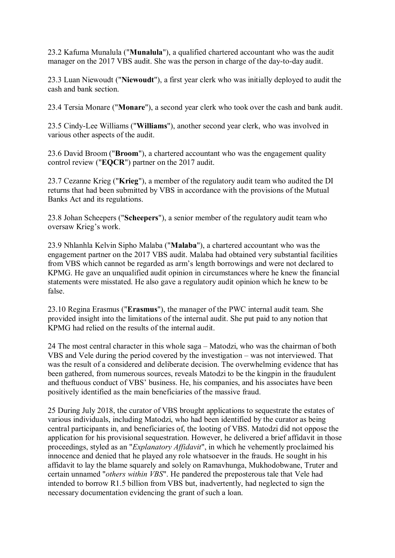23.2 Kafuma Munalula ("**Munalula**"), a qualified chartered accountant who was the audit manager on the 2017 VBS audit. She was the person in charge of the day-to-day audit.

23.3 Luan Niewoudt ("**Niewoudt**"), a first year clerk who was initially deployed to audit the cash and bank section.

23.4 Tersia Monare ("**Monare**"), a second year clerk who took over the cash and bank audit.

23.5 Cindy-Lee Williams ("**Williams**"), another second year clerk, who was involved in various other aspects of the audit.

23.6 David Broom ("**Broom**"), a chartered accountant who was the engagement quality control review ("**EQCR**") partner on the 2017 audit.

23.7 Cezanne Krieg ("**Krieg**"), a member of the regulatory audit team who audited the DI returns that had been submitted by VBS in accordance with the provisions of the Mutual Banks Act and its regulations.

23.8 Johan Scheepers ("**Scheepers**"), a senior member of the regulatory audit team who oversaw Krieg's work.

23.9 Nhlanhla Kelvin Sipho Malaba ("**Malaba**"), a chartered accountant who was the engagement partner on the 2017 VBS audit. Malaba had obtained very substantial facilities from VBS which cannot be regarded as arm's length borrowings and were not declared to KPMG. He gave an unqualified audit opinion in circumstances where he knew the financial statements were misstated. He also gave a regulatory audit opinion which he knew to be false.

23.10 Regina Erasmus ("**Erasmus**"), the manager of the PWC internal audit team. She provided insight into the limitations of the internal audit. She put paid to any notion that KPMG had relied on the results of the internal audit.

24 The most central character in this whole saga – Matodzi, who was the chairman of both VBS and Vele during the period covered by the investigation – was not interviewed. That was the result of a considered and deliberate decision. The overwhelming evidence that has been gathered, from numerous sources, reveals Matodzi to be the kingpin in the fraudulent and theftuous conduct of VBS' business. He, his companies, and his associates have been positively identified as the main beneficiaries of the massive fraud.

25 During July 2018, the curator of VBS brought applications to sequestrate the estates of various individuals, including Matodzi, who had been identified by the curator as being central participants in, and beneficiaries of, the looting of VBS. Matodzi did not oppose the application for his provisional sequestration. However, he delivered a brief affidavit in those proceedings, styled as an "*Explanatory Affidavit*", in which he vehemently proclaimed his innocence and denied that he played any role whatsoever in the frauds. He sought in his affidavit to lay the blame squarely and solely on Ramavhunga, Mukhodobwane, Truter and certain unnamed "*others within VBS*". He pandered the preposterous tale that Vele had intended to borrow R1.5 billion from VBS but, inadvertently, had neglected to sign the necessary documentation evidencing the grant of such a loan.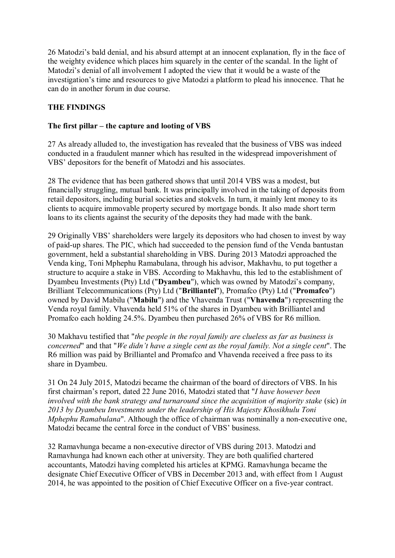26 Matodzi's bald denial, and his absurd attempt at an innocent explanation, fly in the face of the weighty evidence which places him squarely in the center of the scandal. In the light of Matodzi's denial of all involvement I adopted the view that it would be a waste of the investigation's time and resources to give Matodzi a platform to plead his innocence. That he can do in another forum in due course.

# **THE FINDINGS**

## **The first pillar – the capture and looting of VBS**

27 As already alluded to, the investigation has revealed that the business of VBS was indeed conducted in a fraudulent manner which has resulted in the widespread impoverishment of VBS' depositors for the benefit of Matodzi and his associates.

28 The evidence that has been gathered shows that until 2014 VBS was a modest, but financially struggling, mutual bank. It was principally involved in the taking of deposits from retail depositors, including burial societies and stokvels. In turn, it mainly lent money to its clients to acquire immovable property secured by mortgage bonds. It also made short term loans to its clients against the security of the deposits they had made with the bank.

29 Originally VBS' shareholders were largely its depositors who had chosen to invest by way of paid-up shares. The PIC, which had succeeded to the pension fund of the Venda bantustan government, held a substantial shareholding in VBS. During 2013 Matodzi approached the Venda king, Toni Mphephu Ramabulana, through his advisor, Makhavhu, to put together a structure to acquire a stake in VBS. According to Makhavhu, this led to the establishment of Dyambeu Investments (Pty) Ltd ("**Dyambeu**"), which was owned by Matodzi's company, Brilliant Telecommunications (Pty) Ltd ("**Brilliantel**"), Promafco (Pty) Ltd ("**Promafco**") owned by David Mabilu ("**Mabilu**") and the Vhavenda Trust ("**Vhavenda**") representing the Venda royal family. Vhavenda held 51% of the shares in Dyambeu with Brilliantel and Promafco each holding 24.5%. Dyambeu then purchased 26% of VBS for R6 million.

30 Makhavu testified that "*the people in the royal family are clueless as far as business is concerned*" and that "*We didn't have a single cent as the royal family. Not a single cent*". The R6 million was paid by Brilliantel and Promafco and Vhavenda received a free pass to its share in Dyambeu.

31 On 24 July 2015, Matodzi became the chairman of the board of directors of VBS. In his first chairman's report, dated 22 June 2016, Matodzi stated that "*I have however been involved with the bank strategy and turnaround since the acquisition of majority stake (sic) in 2013 by Dyambeu Investments under the leadership of His Majesty Khosikhulu Toni Mphephu Ramabulana*". Although the office of chairman was nominally a non-executive one, Matodzi became the central force in the conduct of VBS' business.

32 Ramavhunga became a non-executive director of VBS during 2013. Matodzi and Ramavhunga had known each other at university. They are both qualified chartered accountants, Matodzi having completed his articles at KPMG. Ramavhunga became the designate Chief Executive Officer of VBS in December 2013 and, with effect from 1 August 2014, he was appointed to the position of Chief Executive Officer on a five-year contract.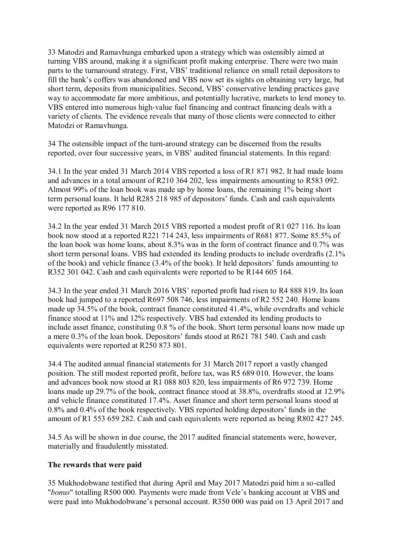33 Matodzi and Ramavhunga embarked upon a strategy which was ostensibly aimed at turning VBS around, making it a significant profit making enterprise. There were two main parts to the turnaround strategy. First, VBS' traditional reliance on small retail depositors to fill the bank's coffers was abandoned and VBS now set its sights on obtaining very large, but short term, deposits from municipalities. Second, VBS' conservative lending practices gave way to accommodate far more ambitious, and potentially lucrative, markets to lend money to. VBS entered into numerous high-value fuel financing and contract financing deals with a variety of clients. The evidence reveals that many of those clients were connected to either Matodzi or Ramavhunga.

34 The ostensible impact of the turn-around strategy can be discerned from the results reported, over four successive years, in VBS' audited financial statements. In this regard:

34.1 In the year ended 31 March 2014 VBS reported a loss of R1 871 982. It had made loans and advances in a total amount of R210 364 202, less impairments amounting to R583 092. Almost 99% of the loan book was made up by home loans, the remaining 1% being short term personal loans. It held R285 218 985 of depositors' funds. Cash and cash equivalents were reported as R96 177 810.

34.2 In the year ended 31 March 2015 VBS reported a modest profit of R1 027 116. Its loan book now stood at a reported R221 714 243, less impairments of R681 877. Some 85.5% of the loan book was home loans, about 8.3% was in the form of contract finance and 0.7% was short term personal loans. VBS had extended its lending products to include overdrafts (2.1% of the book) and vehicle finance (3.4% of the book). It held depositors' funds amounting to R352 301 042. Cash and cash equivalents were reported to be R144 605 164.

34.3 In the year ended 31 March 2016 VBS' reported profit had risen to R4 888 819. Its loan book had jumped to a reported R697 508 746, less impairments of R2 552 240. Home loans made up 34.5% of the book, contract finance constituted 41.4%, while overdrafts and vehicle finance stood at 11% and 12% respectively. VBS had extended its lending products to include asset finance, constituting 0.8 % of the book. Short term personal loans now made up a mere 0.3% of the loan book. Depositors' funds stood at R621 781 540. Cash and cash equivalents were reported at R250 873 801.

34.4 The audited annual financial statements for 31 March 2017 report a vastly changed position. The still modest reported profit, before tax, was R5 689 010. However, the loans and advances book now stood at R1 088 803 820, less impairments of R6 972 739. Home loans made up 29.7% of the book, contract finance stood at 38.8%, overdrafts stood at 12.9% and vehicle finance constituted 17.4%. Asset finance and short term personal loans stood at 0.8% and 0.4% of the book respectively. VBS reported holding depositors' funds in the amount of R1 553 659 282. Cash and cash equivalents were reported as being R802 427 245.

34.5 As will be shown in due course, the 2017 audited financial statements were, however, materially and fraudulently misstated.

#### **The rewards that were paid**

35 Mukhodobwane testified that during April and May 2017 Matodzi paid him a so-called "*bonus*" totalling R500 000. Payments were made from Vele's banking account at VBS and were paid into Mukhodobwane's personal account. R350 000 was paid on 13 April 2017 and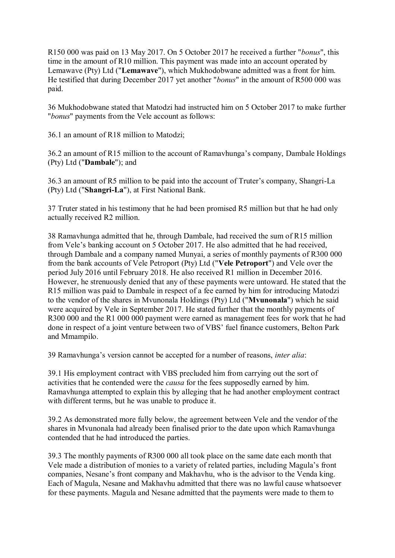R150 000 was paid on 13 May 2017. On 5 October 2017 he received a further "*bonus*", this time in the amount of R10 million. This payment was made into an account operated by Lemawave (Pty) Ltd ("**Lemawave**"), which Mukhodobwane admitted was a front for him. He testified that during December 2017 yet another "*bonus*" in the amount of R500 000 was paid.

36 Mukhodobwane stated that Matodzi had instructed him on 5 October 2017 to make further "*bonus*" payments from the Vele account as follows:

36.1 an amount of R18 million to Matodzi;

36.2 an amount of R15 million to the account of Ramavhunga's company, Dambale Holdings (Pty) Ltd ("**Dambale**"); and

36.3 an amount of R5 million to be paid into the account of Truter's company, Shangri-La (Pty) Ltd ("**Shangri-La**"), at First National Bank.

37 Truter stated in his testimony that he had been promised R5 million but that he had only actually received R2 million.

38 Ramavhunga admitted that he, through Dambale, had received the sum of R15 million from Vele's banking account on 5 October 2017. He also admitted that he had received, through Dambale and a company named Munyai, a series of monthly payments of R300 000 from the bank accounts of Vele Petroport (Pty) Ltd ("**Vele Petroport**") and Vele over the period July 2016 until February 2018. He also received R1 million in December 2016. However, he strenuously denied that any of these payments were untoward. He stated that the R15 million was paid to Dambale in respect of a fee earned by him for introducing Matodzi to the vendor of the shares in Mvunonala Holdings (Pty) Ltd ("**Mvunonala**") which he said were acquired by Vele in September 2017. He stated further that the monthly payments of R300 000 and the R1 000 000 payment were earned as management fees for work that he had done in respect of a joint venture between two of VBS' fuel finance customers, Belton Park and Mmampilo.

39 Ramavhunga's version cannot be accepted for a number of reasons, *inter alia*:

39.1 His employment contract with VBS precluded him from carrying out the sort of activities that he contended were the *causa* for the fees supposedly earned by him. Ramavhunga attempted to explain this by alleging that he had another employment contract with different terms, but he was unable to produce it.

39.2 As demonstrated more fully below, the agreement between Vele and the vendor of the shares in Mvunonala had already been finalised prior to the date upon which Ramavhunga contended that he had introduced the parties.

39.3 The monthly payments of R300 000 all took place on the same date each month that Vele made a distribution of monies to a variety of related parties, including Magula's front companies, Nesane's front company and Makhavhu, who is the advisor to the Venda king. Each of Magula, Nesane and Makhavhu admitted that there was no lawful cause whatsoever for these payments. Magula and Nesane admitted that the payments were made to them to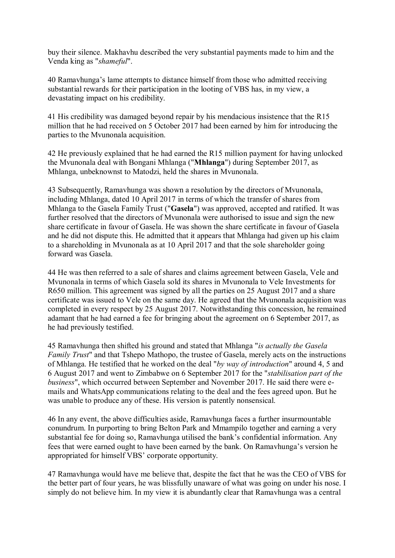buy their silence. Makhavhu described the very substantial payments made to him and the Venda king as "*shameful*".

40 Ramavhunga's lame attempts to distance himself from those who admitted receiving substantial rewards for their participation in the looting of VBS has, in my view, a devastating impact on his credibility.

41 His credibility was damaged beyond repair by his mendacious insistence that the R15 million that he had received on 5 October 2017 had been earned by him for introducing the parties to the Mvunonala acquisition.

42 He previously explained that he had earned the R15 million payment for having unlocked the Mvunonala deal with Bongani Mhlanga ("**Mhlanga**") during September 2017, as Mhlanga, unbeknownst to Matodzi, held the shares in Mvunonala.

43 Subsequently, Ramavhunga was shown a resolution by the directors of Mvunonala, including Mhlanga, dated 10 April 2017 in terms of which the transfer of shares from Mhlanga to the Gasela Family Trust ("**Gasela**") was approved, accepted and ratified. It was further resolved that the directors of Mvunonala were authorised to issue and sign the new share certificate in favour of Gasela. He was shown the share certificate in favour of Gasela and he did not dispute this. He admitted that it appears that Mhlanga had given up his claim to a shareholding in Mvunonala as at 10 April 2017 and that the sole shareholder going forward was Gasela.

44 He was then referred to a sale of shares and claims agreement between Gasela, Vele and Mvunonala in terms of which Gasela sold its shares in Mvunonala to Vele Investments for R650 million. This agreement was signed by all the parties on 25 August 2017 and a share certificate was issued to Vele on the same day. He agreed that the Mvunonala acquisition was completed in every respect by 25 August 2017. Notwithstanding this concession, he remained adamant that he had earned a fee for bringing about the agreement on 6 September 2017, as he had previously testified.

45 Ramavhunga then shifted his ground and stated that Mhlanga "*is actually the Gasela Family Trust*" and that Tshepo Mathopo, the trustee of Gasela, merely acts on the instructions of Mhlanga. He testified that he worked on the deal "*by way of introduction*" around 4, 5 and 6 August 2017 and went to Zimbabwe on 6 September 2017 for the "*stabilisation part of the business*", which occurred between September and November 2017. He said there were emails and WhatsApp communications relating to the deal and the fees agreed upon. But he was unable to produce any of these. His version is patently nonsensical.

46 In any event, the above difficulties aside, Ramavhunga faces a further insurmountable conundrum. In purporting to bring Belton Park and Mmampilo together and earning a very substantial fee for doing so, Ramavhunga utilised the bank's confidential information. Any fees that were earned ought to have been earned by the bank. On Ramavhunga's version he appropriated for himself VBS' corporate opportunity.

47 Ramavhunga would have me believe that, despite the fact that he was the CEO of VBS for the better part of four years, he was blissfully unaware of what was going on under his nose. I simply do not believe him. In my view it is abundantly clear that Ramavhunga was a central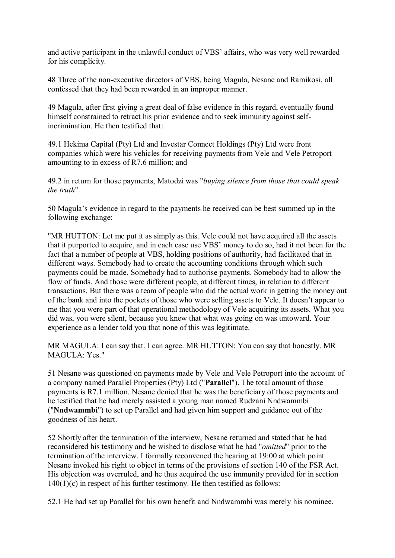and active participant in the unlawful conduct of VBS' affairs, who was very well rewarded for his complicity.

48 Three of the non-executive directors of VBS, being Magula, Nesane and Ramikosi, all confessed that they had been rewarded in an improper manner.

49 Magula, after first giving a great deal of false evidence in this regard, eventually found himself constrained to retract his prior evidence and to seek immunity against selfincrimination. He then testified that:

49.1 Hekima Capital (Pty) Ltd and Investar Connect Holdings (Pty) Ltd were front companies which were his vehicles for receiving payments from Vele and Vele Petroport amounting to in excess of R7.6 million; and

49.2 in return for those payments, Matodzi was "*buying silence from those that could speak the truth*".

50 Magula's evidence in regard to the payments he received can be best summed up in the following exchange:

"MR HUTTON: Let me put it as simply as this. Vele could not have acquired all the assets that it purported to acquire, and in each case use VBS' money to do so, had it not been for the fact that a number of people at VBS, holding positions of authority, had facilitated that in different ways. Somebody had to create the accounting conditions through which such payments could be made. Somebody had to authorise payments. Somebody had to allow the flow of funds. And those were different people, at different times, in relation to different transactions. But there was a team of people who did the actual work in getting the money out of the bank and into the pockets of those who were selling assets to Vele. It doesn't appear to me that you were part of that operational methodology of Vele acquiring its assets. What you did was, you were silent, because you knew that what was going on was untoward. Your experience as a lender told you that none of this was legitimate.

MR MAGULA: I can say that. I can agree. MR HUTTON: You can say that honestly. MR MAGULA: Yes."

51 Nesane was questioned on payments made by Vele and Vele Petroport into the account of a company named Parallel Properties (Pty) Ltd ("**Parallel**"). The total amount of those payments is R7.1 million. Nesane denied that he was the beneficiary of those payments and he testified that he had merely assisted a young man named Rudzani Nndwammbi ("**Nndwammbi**") to set up Parallel and had given him support and guidance out of the goodness of his heart.

52 Shortly after the termination of the interview, Nesane returned and stated that he had reconsidered his testimony and he wished to disclose what he had "*omitted*" prior to the termination of the interview. I formally reconvened the hearing at 19:00 at which point Nesane invoked his right to object in terms of the provisions of section 140 of the FSR Act. His objection was overruled, and he thus acquired the use immunity provided for in section  $140(1)(c)$  in respect of his further testimony. He then testified as follows:

52.1 He had set up Parallel for his own benefit and Nndwammbi was merely his nominee.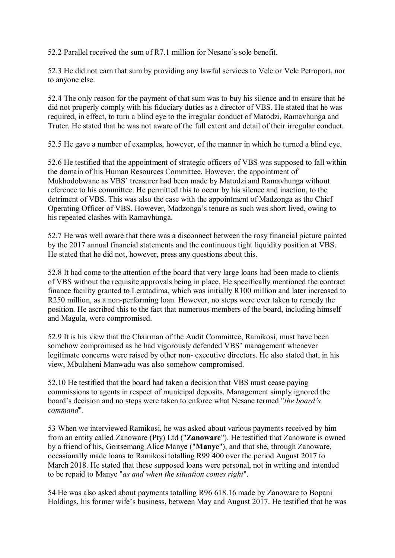52.2 Parallel received the sum of R7.1 million for Nesane's sole benefit.

52.3 He did not earn that sum by providing any lawful services to Vele or Vele Petroport, nor to anyone else.

52.4 The only reason for the payment of that sum was to buy his silence and to ensure that he did not properly comply with his fiduciary duties as a director of VBS. He stated that he was required, in effect, to turn a blind eye to the irregular conduct of Matodzi, Ramavhunga and Truter. He stated that he was not aware of the full extent and detail of their irregular conduct.

52.5 He gave a number of examples, however, of the manner in which he turned a blind eye.

52.6 He testified that the appointment of strategic officers of VBS was supposed to fall within the domain of his Human Resources Committee. However, the appointment of Mukhodobwane as VBS' treasurer had been made by Matodzi and Ramavhunga without reference to his committee. He permitted this to occur by his silence and inaction, to the detriment of VBS. This was also the case with the appointment of Madzonga as the Chief Operating Officer of VBS. However, Madzonga's tenure as such was short lived, owing to his repeated clashes with Ramavhunga.

52.7 He was well aware that there was a disconnect between the rosy financial picture painted by the 2017 annual financial statements and the continuous tight liquidity position at VBS. He stated that he did not, however, press any questions about this.

52.8 It had come to the attention of the board that very large loans had been made to clients of VBS without the requisite approvals being in place. He specifically mentioned the contract finance facility granted to Leratadima, which was initially R100 million and later increased to R250 million, as a non-performing loan. However, no steps were ever taken to remedy the position. He ascribed this to the fact that numerous members of the board, including himself and Magula, were compromised.

52.9 It is his view that the Chairman of the Audit Committee, Ramikosi, must have been somehow compromised as he had vigorously defended VBS' management whenever legitimate concerns were raised by other non- executive directors. He also stated that, in his view, Mbulaheni Manwadu was also somehow compromised.

52.10 He testified that the board had taken a decision that VBS must cease paying commissions to agents in respect of municipal deposits. Management simply ignored the board's decision and no steps were taken to enforce what Nesane termed "*the board's command*".

53 When we interviewed Ramikosi, he was asked about various payments received by him from an entity called Zanoware (Pty) Ltd ("**Zanoware**"). He testified that Zanoware is owned by a friend of his, Goitsemang Alice Manye ("**Manye**"), and that she, through Zanoware, occasionally made loans to Ramikosi totalling R99 400 over the period August 2017 to March 2018. He stated that these supposed loans were personal, not in writing and intended to be repaid to Manye "*as and when the situation comes right*".

54 He was also asked about payments totalling R96 618.16 made by Zanoware to Bopani Holdings, his former wife's business, between May and August 2017. He testified that he was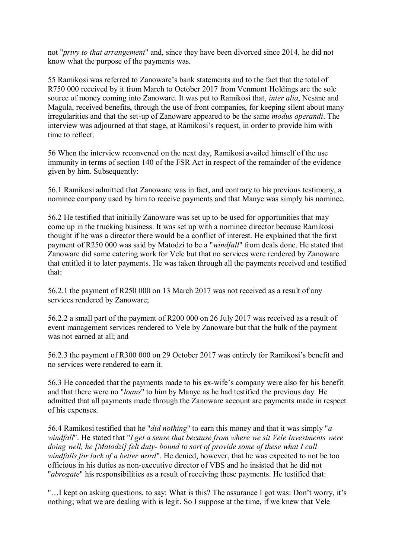not "*privy to that arrangement*" and, since they have been divorced since 2014, he did not know what the purpose of the payments was.

55 Ramikosi was referred to Zanoware's bank statements and to the fact that the total of R750 000 received by it from March to October 2017 from Venmont Holdings are the sole source of money coming into Zanoware. It was put to Ramikosi that, *inter alia*, Nesane and Magula, received benefits, through the use of front companies, for keeping silent about many irregularities and that the set-up of Zanoware appeared to be the same *modus operandi*. The interview was adjourned at that stage, at Ramikosi's request, in order to provide him with time to reflect.

56 When the interview reconvened on the next day, Ramikosi availed himself of the use immunity in terms of section 140 of the FSR Act in respect of the remainder of the evidence given by him. Subsequently:

56.1 Ramikosi admitted that Zanoware was in fact, and contrary to his previous testimony, a nominee company used by him to receive payments and that Manye was simply his nominee.

56.2 He testified that initially Zanoware was set up to be used for opportunities that may come up in the trucking business. It was set up with a nominee director because Ramikosi thought if he was a director there would be a conflict of interest. He explained that the first payment of R250 000 was said by Matodzi to be a "*windfall*" from deals done. He stated that Zanoware did some catering work for Vele but that no services were rendered by Zanoware that entitled it to later payments. He was taken through all the payments received and testified that:

56.2.1 the payment of R250 000 on 13 March 2017 was not received as a result of any services rendered by Zanoware;

56.2.2 a small part of the payment of R200 000 on 26 July 2017 was received as a result of event management services rendered to Vele by Zanoware but that the bulk of the payment was not earned at all; and

56.2.3 the payment of R300 000 on 29 October 2017 was entirely for Ramikosi's benefit and no services were rendered to earn it.

56.3 He conceded that the payments made to his ex-wife's company were also for his benefit and that there were no "*loans*" to him by Manye as he had testified the previous day. He admitted that all payments made through the Zanoware account are payments made in respect of his expenses.

56.4 Ramikosi testified that he "*did nothing*" to earn this money and that it was simply "*a windfall*". He stated that "*I get a sense that because from where we sit Vele Investments were doing well, he [Matodzi] felt duty- bound to sort of provide some of these what I call windfalls for lack of a better word*". He denied, however, that he was expected to not be too officious in his duties as non-executive director of VBS and he insisted that he did not "*abrogate*" his responsibilities as a result of receiving these payments. He testified that:

"…I kept on asking questions, to say: What is this? The assurance I got was: Don't worry, it's nothing; what we are dealing with is legit. So I suppose at the time, if we knew that Vele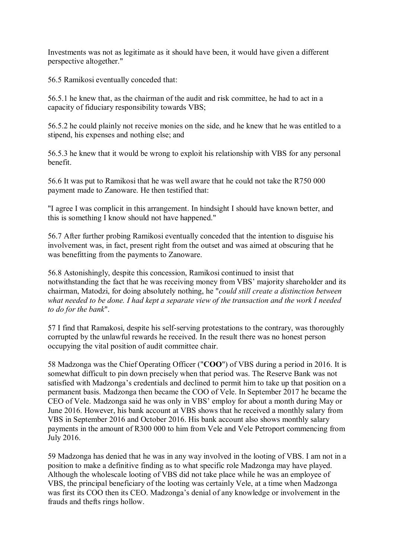Investments was not as legitimate as it should have been, it would have given a different perspective altogether."

56.5 Ramikosi eventually conceded that:

56.5.1 he knew that, as the chairman of the audit and risk committee, he had to act in a capacity of fiduciary responsibility towards VBS;

56.5.2 he could plainly not receive monies on the side, and he knew that he was entitled to a stipend, his expenses and nothing else; and

56.5.3 he knew that it would be wrong to exploit his relationship with VBS for any personal benefit.

56.6 It was put to Ramikosi that he was well aware that he could not take the R750 000 payment made to Zanoware. He then testified that:

"I agree I was complicit in this arrangement. In hindsight I should have known better, and this is something I know should not have happened."

56.7 After further probing Ramikosi eventually conceded that the intention to disguise his involvement was, in fact, present right from the outset and was aimed at obscuring that he was benefitting from the payments to Zanoware.

56.8 Astonishingly, despite this concession, Ramikosi continued to insist that notwithstanding the fact that he was receiving money from VBS' majority shareholder and its chairman, Matodzi, for doing absolutely nothing, he "*could still create a distinction between what needed to be done. I had kept a separate view of the transaction and the work I needed to do for the bank*".

57 I find that Ramakosi, despite his self-serving protestations to the contrary, was thoroughly corrupted by the unlawful rewards he received. In the result there was no honest person occupying the vital position of audit committee chair.

58 Madzonga was the Chief Operating Officer ("**COO**") of VBS during a period in 2016. It is somewhat difficult to pin down precisely when that period was. The Reserve Bank was not satisfied with Madzonga's credentials and declined to permit him to take up that position on a permanent basis. Madzonga then became the COO of Vele. In September 2017 he became the CEO of Vele. Madzonga said he was only in VBS' employ for about a month during May or June 2016. However, his bank account at VBS shows that he received a monthly salary from VBS in September 2016 and October 2016. His bank account also shows monthly salary payments in the amount of R300 000 to him from Vele and Vele Petroport commencing from July 2016.

59 Madzonga has denied that he was in any way involved in the looting of VBS. I am not in a position to make a definitive finding as to what specific role Madzonga may have played. Although the wholescale looting of VBS did not take place while he was an employee of VBS, the principal beneficiary of the looting was certainly Vele, at a time when Madzonga was first its COO then its CEO. Madzonga's denial of any knowledge or involvement in the frauds and thefts rings hollow.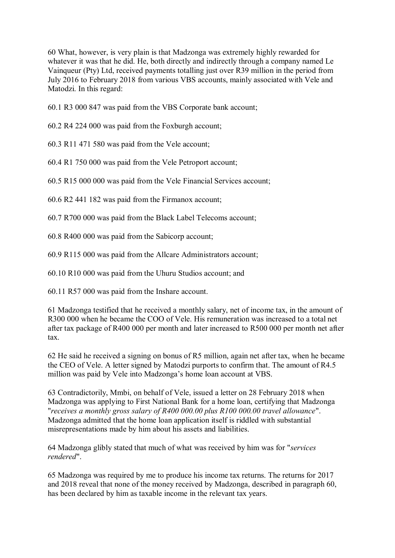60 What, however, is very plain is that Madzonga was extremely highly rewarded for whatever it was that he did. He, both directly and indirectly through a company named Le Vainqueur (Pty) Ltd, received payments totalling just over R39 million in the period from July 2016 to February 2018 from various VBS accounts, mainly associated with Vele and Matodzi. In this regard:

60.1 R3 000 847 was paid from the VBS Corporate bank account;

60.2 R4 224 000 was paid from the Foxburgh account;

60.3 R11 471 580 was paid from the Vele account;

60.4 R1 750 000 was paid from the Vele Petroport account;

60.5 R15 000 000 was paid from the Vele Financial Services account;

60.6 R2 441 182 was paid from the Firmanox account;

60.7 R700 000 was paid from the Black Label Telecoms account;

60.8 R400 000 was paid from the Sabicorp account;

60.9 R115 000 was paid from the Allcare Administrators account;

60.10 R10 000 was paid from the Uhuru Studios account; and

60.11 R57 000 was paid from the Inshare account.

61 Madzonga testified that he received a monthly salary, net of income tax, in the amount of R300 000 when he became the COO of Vele. His remuneration was increased to a total net after tax package of R400 000 per month and later increased to R500 000 per month net after tax.

62 He said he received a signing on bonus of R5 million, again net after tax, when he became the CEO of Vele. A letter signed by Matodzi purports to confirm that. The amount of R4.5 million was paid by Vele into Madzonga's home loan account at VBS.

63 Contradictorily, Mmbi, on behalf of Vele, issued a letter on 28 February 2018 when Madzonga was applying to First National Bank for a home loan, certifying that Madzonga "*receives a monthly gross salary of R400 000.00 plus R100 000.00 travel allowance*". Madzonga admitted that the home loan application itself is riddled with substantial misrepresentations made by him about his assets and liabilities.

64 Madzonga glibly stated that much of what was received by him was for "*services rendered*".

65 Madzonga was required by me to produce his income tax returns. The returns for 2017 and 2018 reveal that none of the money received by Madzonga, described in paragraph 60, has been declared by him as taxable income in the relevant tax years.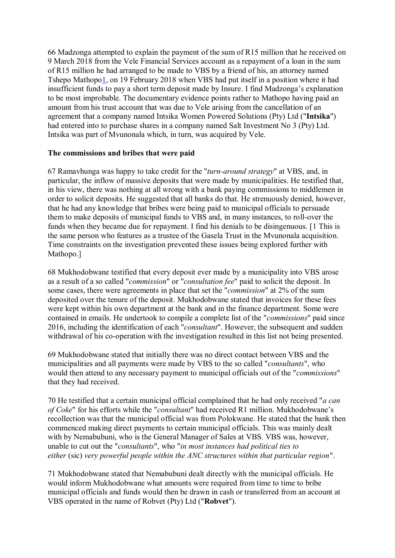66 Madzonga attempted to explain the payment of the sum of R15 million that he received on 9 March 2018 from the Vele Financial Services account as a repayment of a loan in the sum of R15 million he had arranged to be made to VBS by a friend of his, an attorney named Tshepo Mathopo1, on 19 February 2018 when VBS had put itself in a position where it had insufficient funds to pay a short term deposit made by Insure. I find Madzonga's explanation to be most improbable. The documentary evidence points rather to Mathopo having paid an amount from his trust account that was due to Vele arising from the cancellation of an agreement that a company named Intsika Women Powered Solutions (Pty) Ltd ("**Intsika**") had entered into to purchase shares in a company named Salt Investment No 3 (Pty) Ltd. Intsika was part of Mvunonala which, in turn, was acquired by Vele.

### **The commissions and bribes that were paid**

67 Ramavhunga was happy to take credit for the "*turn-around strategy*" at VBS, and, in particular, the inflow of massive deposits that were made by municipalities. He testified that, in his view, there was nothing at all wrong with a bank paying commissions to middlemen in order to solicit deposits. He suggested that all banks do that. He strenuously denied, however, that he had any knowledge that bribes were being paid to municipal officials to persuade them to make deposits of municipal funds to VBS and, in many instances, to roll-over the funds when they became due for repayment. I find his denials to be disingenuous. [1 This is the same person who features as a trustee of the Gasela Trust in the Mvunonala acquisition. Time constraints on the investigation prevented these issues being explored further with Mathopo.]

68 Mukhodobwane testified that every deposit ever made by a municipality into VBS arose as a result of a so called "*commission*" or "*consultation fee*" paid to solicit the deposit. In some cases, there were agreements in place that set the "*commission*" at 2% of the sum deposited over the tenure of the deposit. Mukhodobwane stated that invoices for these fees were kept within his own department at the bank and in the finance department. Some were contained in emails. He undertook to compile a complete list of the "*commissions*" paid since 2016, including the identification of each "*consultant*". However, the subsequent and sudden withdrawal of his co-operation with the investigation resulted in this list not being presented.

69 Mukhodobwane stated that initially there was no direct contact between VBS and the municipalities and all payments were made by VBS to the so called "*consultants*", who would then attend to any necessary payment to municipal officials out of the "*commissions*" that they had received.

70 He testified that a certain municipal official complained that he had only received "*a can of Coke*" for his efforts while the "*consultant*" had received R1 million. Mukhodobwane's recollection was that the municipal official was from Polokwane. He stated that the bank then commenced making direct payments to certain municipal officials. This was mainly dealt with by Nemabubuni, who is the General Manager of Sales at VBS. VBS was, however, unable to cut out the "*consultants*", who "*in most instances had political ties to either* (sic) *very powerful people within the ANC structures within that particular region*".

71 Mukhodobwane stated that Nemabubuni dealt directly with the municipal officials. He would inform Mukhodobwane what amounts were required from time to time to bribe municipal officials and funds would then be drawn in cash or transferred from an account at VBS operated in the name of Robvet (Pty) Ltd ("**Robvet**").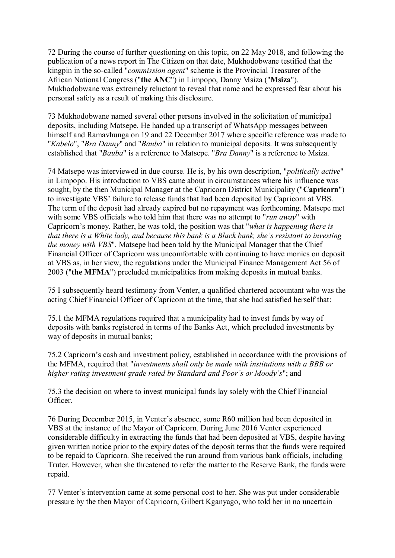72 During the course of further questioning on this topic, on 22 May 2018, and following the publication of a news report in The Citizen on that date, Mukhodobwane testified that the kingpin in the so-called "*commission agent*" scheme is the Provincial Treasurer of the African National Congress ("**the ANC**") in Limpopo, Danny Msiza ("**Msiza**"). Mukhodobwane was extremely reluctant to reveal that name and he expressed fear about his personal safety as a result of making this disclosure.

73 Mukhodobwane named several other persons involved in the solicitation of municipal deposits, including Matsepe. He handed up a transcript of WhatsApp messages between himself and Ramayhunga on 19 and 22 December 2017 where specific reference was made to "*Kabelo*", "*Bra Danny*" and "*Bauba*" in relation to municipal deposits. It was subsequently established that "*Bauba*" is a reference to Matsepe. "*Bra Danny*" is a reference to Msiza.

74 Matsepe was interviewed in due course. He is, by his own description, "*politically active*" in Limpopo. His introduction to VBS came about in circumstances where his influence was sought, by the then Municipal Manager at the Capricorn District Municipality ("**Capricorn**") to investigate VBS' failure to release funds that had been deposited by Capricorn at VBS. The term of the deposit had already expired but no repayment was forthcoming. Matsepe met with some VBS officials who told him that there was no attempt to "*run away*" with Capricorn's money. Rather, he was told, the position was that "*what is happening there is that there is a White lady, and because this bank is a Black bank, she's resistant to investing the money with VBS*". Matsepe had been told by the Municipal Manager that the Chief Financial Officer of Capricorn was uncomfortable with continuing to have monies on deposit at VBS as, in her view, the regulations under the Municipal Finance Management Act 56 of 2003 ("**the MFMA**") precluded municipalities from making deposits in mutual banks.

75 I subsequently heard testimony from Venter, a qualified chartered accountant who was the acting Chief Financial Officer of Capricorn at the time, that she had satisfied herself that:

75.1 the MFMA regulations required that a municipality had to invest funds by way of deposits with banks registered in terms of the Banks Act, which precluded investments by way of deposits in mutual banks;

75.2 Capricorn's cash and investment policy, established in accordance with the provisions of the MFMA, required that "*investments shall only be made with institutions with a BBB or higher rating investment grade rated by Standard and Poor's or Moody's*"; and

75.3 the decision on where to invest municipal funds lay solely with the Chief Financial Officer.

76 During December 2015, in Venter's absence, some R60 million had been deposited in VBS at the instance of the Mayor of Capricorn. During June 2016 Venter experienced considerable difficulty in extracting the funds that had been deposited at VBS, despite having given written notice prior to the expiry dates of the deposit terms that the funds were required to be repaid to Capricorn. She received the run around from various bank officials, including Truter. However, when she threatened to refer the matter to the Reserve Bank, the funds were repaid.

77 Venter's intervention came at some personal cost to her. She was put under considerable pressure by the then Mayor of Capricorn, Gilbert Kganyago, who told her in no uncertain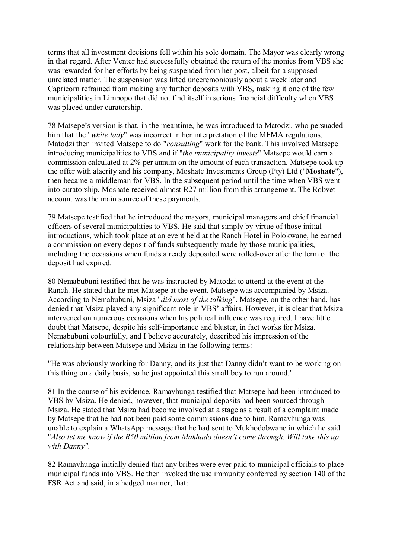terms that all investment decisions fell within his sole domain. The Mayor was clearly wrong in that regard. After Venter had successfully obtained the return of the monies from VBS she was rewarded for her efforts by being suspended from her post, albeit for a supposed unrelated matter. The suspension was lifted unceremoniously about a week later and Capricorn refrained from making any further deposits with VBS, making it one of the few municipalities in Limpopo that did not find itself in serious financial difficulty when VBS was placed under curatorship.

78 Matsepe's version is that, in the meantime, he was introduced to Matodzi, who persuaded him that the "*white lady*" was incorrect in her interpretation of the MFMA regulations. Matodzi then invited Matsepe to do "*consulting*" work for the bank. This involved Matsepe introducing municipalities to VBS and if "*the municipality invests*" Matsepe would earn a commission calculated at 2% per annum on the amount of each transaction. Matsepe took up the offer with alacrity and his company, Moshate Investments Group (Pty) Ltd ("**Moshate**"), then became a middleman for VBS. In the subsequent period until the time when VBS went into curatorship, Moshate received almost R27 million from this arrangement. The Robvet account was the main source of these payments.

79 Matsepe testified that he introduced the mayors, municipal managers and chief financial officers of several municipalities to VBS. He said that simply by virtue of those initial introductions, which took place at an event held at the Ranch Hotel in Polokwane, he earned a commission on every deposit of funds subsequently made by those municipalities, including the occasions when funds already deposited were rolled-over after the term of the deposit had expired.

80 Nemabubuni testified that he was instructed by Matodzi to attend at the event at the Ranch. He stated that he met Matsepe at the event. Matsepe was accompanied by Msiza. According to Nemabubuni, Msiza "*did most of the talking*". Matsepe, on the other hand, has denied that Msiza played any significant role in VBS' affairs. However, it is clear that Msiza intervened on numerous occasions when his political influence was required. I have little doubt that Matsepe, despite his self-importance and bluster, in fact works for Msiza. Nemabubuni colourfully, and I believe accurately, described his impression of the relationship between Matsepe and Msiza in the following terms:

"He was obviously working for Danny, and its just that Danny didn't want to be working on this thing on a daily basis, so he just appointed this small boy to run around."

81 In the course of his evidence, Ramavhunga testified that Matsepe had been introduced to VBS by Msiza. He denied, however, that municipal deposits had been sourced through Msiza. He stated that Msiza had become involved at a stage as a result of a complaint made by Matsepe that he had not been paid some commissions due to him. Ramavhunga was unable to explain a WhatsApp message that he had sent to Mukhodobwane in which he said "*Also let me know if the R50 million from Makhado doesn't come through. Will take this up with Danny"*.

82 Ramavhunga initially denied that any bribes were ever paid to municipal officials to place municipal funds into VBS. He then invoked the use immunity conferred by section 140 of the FSR Act and said, in a hedged manner, that: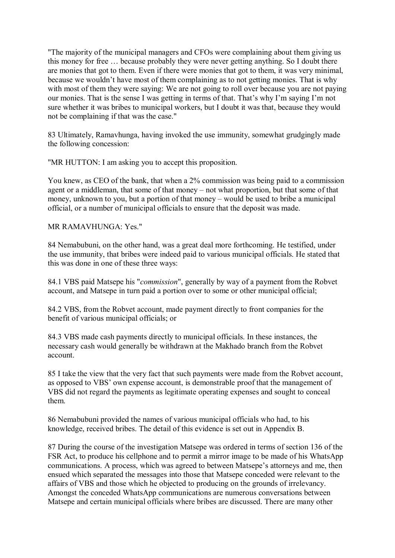"The majority of the municipal managers and CFOs were complaining about them giving us this money for free … because probably they were never getting anything. So I doubt there are monies that got to them. Even if there were monies that got to them, it was very minimal, because we wouldn't have most of them complaining as to not getting monies. That is why with most of them they were saying: We are not going to roll over because you are not paying our monies. That is the sense I was getting in terms of that. That's why I'm saying I'm not sure whether it was bribes to municipal workers, but I doubt it was that, because they would not be complaining if that was the case."

83 Ultimately, Ramavhunga, having invoked the use immunity, somewhat grudgingly made the following concession:

"MR HUTTON: I am asking you to accept this proposition.

You knew, as CEO of the bank, that when a 2% commission was being paid to a commission agent or a middleman, that some of that money – not what proportion, but that some of that money, unknown to you, but a portion of that money – would be used to bribe a municipal official, or a number of municipal officials to ensure that the deposit was made.

MR RAMAVHUNGA: Yes."

84 Nemabubuni, on the other hand, was a great deal more forthcoming. He testified, under the use immunity, that bribes were indeed paid to various municipal officials. He stated that this was done in one of these three ways:

84.1 VBS paid Matsepe his "*commission*", generally by way of a payment from the Robvet account, and Matsepe in turn paid a portion over to some or other municipal official;

84.2 VBS, from the Robvet account, made payment directly to front companies for the benefit of various municipal officials; or

84.3 VBS made cash payments directly to municipal officials. In these instances, the necessary cash would generally be withdrawn at the Makhado branch from the Robvet account.

85 I take the view that the very fact that such payments were made from the Robvet account, as opposed to VBS' own expense account, is demonstrable proof that the management of VBS did not regard the payments as legitimate operating expenses and sought to conceal them.

86 Nemabubuni provided the names of various municipal officials who had, to his knowledge, received bribes. The detail of this evidence is set out in Appendix B.

87 During the course of the investigation Matsepe was ordered in terms of section 136 of the FSR Act, to produce his cellphone and to permit a mirror image to be made of his WhatsApp communications. A process, which was agreed to between Matsepe's attorneys and me, then ensued which separated the messages into those that Matsepe conceded were relevant to the affairs of VBS and those which he objected to producing on the grounds of irrelevancy. Amongst the conceded WhatsApp communications are numerous conversations between Matsepe and certain municipal officials where bribes are discussed. There are many other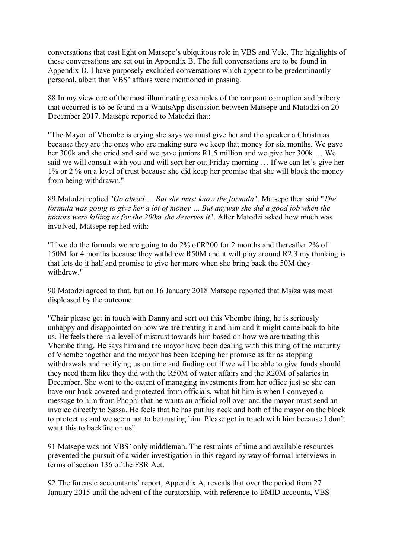conversations that cast light on Matsepe's ubiquitous role in VBS and Vele. The highlights of these conversations are set out in Appendix B. The full conversations are to be found in Appendix D. I have purposely excluded conversations which appear to be predominantly personal, albeit that VBS' affairs were mentioned in passing.

88 In my view one of the most illuminating examples of the rampant corruption and bribery that occurred is to be found in a WhatsApp discussion between Matsepe and Matodzi on 20 December 2017. Matsepe reported to Matodzi that:

"The Mayor of Vhembe is crying she says we must give her and the speaker a Christmas because they are the ones who are making sure we keep that money for six months. We gave her 300k and she cried and said we gave juniors R1.5 million and we give her 300k … We said we will consult with you and will sort her out Friday morning … If we can let's give her 1% or 2 % on a level of trust because she did keep her promise that she will block the money from being withdrawn."

89 Matodzi replied "*Go ahead … But she must know the formula*". Matsepe then said "*The formula was going to give her a lot of money … But anyway she did a good job when the juniors were killing us for the 200m she deserves it*". After Matodzi asked how much was involved, Matsepe replied with:

"If we do the formula we are going to do 2% of R200 for 2 months and thereafter 2% of 150M for 4 months because they withdrew R50M and it will play around R2.3 my thinking is that lets do it half and promise to give her more when she bring back the 50M they withdrew."

90 Matodzi agreed to that, but on 16 January 2018 Matsepe reported that Msiza was most displeased by the outcome:

"Chair please get in touch with Danny and sort out this Vhembe thing, he is seriously unhappy and disappointed on how we are treating it and him and it might come back to bite us. He feels there is a level of mistrust towards him based on how we are treating this Vhembe thing. He says him and the mayor have been dealing with this thing of the maturity of Vhembe together and the mayor has been keeping her promise as far as stopping withdrawals and notifying us on time and finding out if we will be able to give funds should they need them like they did with the R50M of water affairs and the R20M of salaries in December. She went to the extent of managing investments from her office just so she can have our back covered and protected from officials, what hit him is when I conveyed a message to him from Phophi that he wants an official roll over and the mayor must send an invoice directly to Sassa. He feels that he has put his neck and both of the mayor on the block to protect us and we seem not to be trusting him. Please get in touch with him because I don't want this to backfire on us".

91 Matsepe was not VBS' only middleman. The restraints of time and available resources prevented the pursuit of a wider investigation in this regard by way of formal interviews in terms of section 136 of the FSR Act.

92 The forensic accountants' report, Appendix A, reveals that over the period from 27 January 2015 until the advent of the curatorship, with reference to EMID accounts, VBS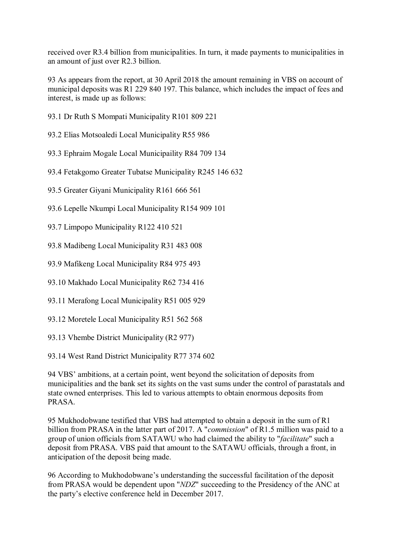received over R3.4 billion from municipalities. In turn, it made payments to municipalities in an amount of just over R2.3 billion.

93 As appears from the report, at 30 April 2018 the amount remaining in VBS on account of municipal deposits was R1 229 840 197. This balance, which includes the impact of fees and interest, is made up as follows:

- 93.1 Dr Ruth S Mompati Municipality R101 809 221
- 93.2 Elias Motsoaledi Local Municipality R55 986
- 93.3 Ephraim Mogale Local Municipaility R84 709 134
- 93.4 Fetakgomo Greater Tubatse Municipality R245 146 632
- 93.5 Greater Giyani Municipality R161 666 561
- 93.6 Lepelle Nkumpi Local Municipality R154 909 101
- 93.7 Limpopo Municipality R122 410 521
- 93.8 Madibeng Local Municipality R31 483 008
- 93.9 Mafikeng Local Municipality R84 975 493
- 93.10 Makhado Local Municipality R62 734 416
- 93.11 Merafong Local Municipality R51 005 929
- 93.12 Moretele Local Municipality R51 562 568
- 93.13 Vhembe District Municipality (R2 977)
- 93.14 West Rand District Municipality R77 374 602

94 VBS' ambitions, at a certain point, went beyond the solicitation of deposits from municipalities and the bank set its sights on the vast sums under the control of parastatals and state owned enterprises. This led to various attempts to obtain enormous deposits from PRASA.

95 Mukhodobwane testified that VBS had attempted to obtain a deposit in the sum of R1 billion from PRASA in the latter part of 2017. A "*commission*" of R1.5 million was paid to a group of union officials from SATAWU who had claimed the ability to "*facilitate*" such a deposit from PRASA. VBS paid that amount to the SATAWU officials, through a front, in anticipation of the deposit being made.

96 According to Mukhodobwane's understanding the successful facilitation of the deposit from PRASA would be dependent upon "*NDZ*" succeeding to the Presidency of the ANC at the party's elective conference held in December 2017.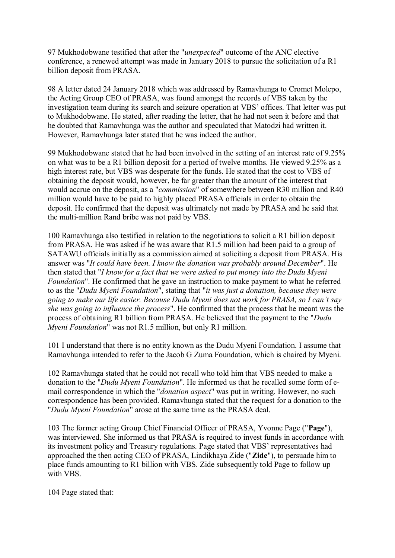97 Mukhodobwane testified that after the "*unexpected*" outcome of the ANC elective conference, a renewed attempt was made in January 2018 to pursue the solicitation of a R1 billion deposit from PRASA.

98 A letter dated 24 January 2018 which was addressed by Ramavhunga to Cromet Molepo, the Acting Group CEO of PRASA, was found amongst the records of VBS taken by the investigation team during its search and seizure operation at VBS' offices. That letter was put to Mukhodobwane. He stated, after reading the letter, that he had not seen it before and that he doubted that Ramavhunga was the author and speculated that Matodzi had written it. However, Ramavhunga later stated that he was indeed the author.

99 Mukhodobwane stated that he had been involved in the setting of an interest rate of 9.25% on what was to be a R1 billion deposit for a period of twelve months. He viewed 9.25% as a high interest rate, but VBS was desperate for the funds. He stated that the cost to VBS of obtaining the deposit would, however, be far greater than the amount of the interest that would accrue on the deposit, as a "*commission*" of somewhere between R30 million and R40 million would have to be paid to highly placed PRASA officials in order to obtain the deposit. He confirmed that the deposit was ultimately not made by PRASA and he said that the multi-million Rand bribe was not paid by VBS.

100 Ramavhunga also testified in relation to the negotiations to solicit a R1 billion deposit from PRASA. He was asked if he was aware that R1.5 million had been paid to a group of SATAWU officials initially as a commission aimed at soliciting a deposit from PRASA. His answer was "*It could have been. I know the donation was probably around December*". He then stated that "*I know for a fact that we were asked to put money into the Dudu Myeni Foundation*". He confirmed that he gave an instruction to make payment to what he referred to as the "*Dudu Myeni Foundation*", stating that "*it was just a donation, because they were going to make our life easier. Because Dudu Myeni does not work for PRASA, so I can't say she was going to influence the process*". He confirmed that the process that he meant was the process of obtaining R1 billion from PRASA. He believed that the payment to the "*Dudu Myeni Foundation*" was not R1.5 million, but only R1 million.

101 I understand that there is no entity known as the Dudu Myeni Foundation. I assume that Ramavhunga intended to refer to the Jacob G Zuma Foundation, which is chaired by Myeni.

102 Ramavhunga stated that he could not recall who told him that VBS needed to make a donation to the "*Dudu Myeni Foundation*". He informed us that he recalled some form of email correspondence in which the "*donation aspect*" was put in writing. However, no such correspondence has been provided. Ramavhunga stated that the request for a donation to the "*Dudu Myeni Foundation*" arose at the same time as the PRASA deal.

103 The former acting Group Chief Financial Officer of PRASA, Yvonne Page ("**Page**"), was interviewed. She informed us that PRASA is required to invest funds in accordance with its investment policy and Treasury regulations. Page stated that VBS' representatives had approached the then acting CEO of PRASA, Lindikhaya Zide ("**Zide**"), to persuade him to place funds amounting to R1 billion with VBS. Zide subsequently told Page to follow up with VBS.

104 Page stated that: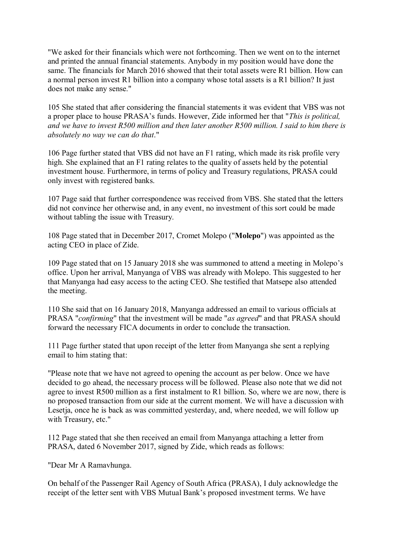"We asked for their financials which were not forthcoming. Then we went on to the internet and printed the annual financial statements. Anybody in my position would have done the same. The financials for March 2016 showed that their total assets were R1 billion. How can a normal person invest R1 billion into a company whose total assets is a R1 billion? It just does not make any sense."

105 She stated that after considering the financial statements it was evident that VBS was not a proper place to house PRASA's funds. However, Zide informed her that "*This is political, and we have to invest R500 million and then later another R500 million. I said to him there is absolutely no way we can do that*."

106 Page further stated that VBS did not have an F1 rating, which made its risk profile very high. She explained that an F1 rating relates to the quality of assets held by the potential investment house. Furthermore, in terms of policy and Treasury regulations, PRASA could only invest with registered banks.

107 Page said that further correspondence was received from VBS. She stated that the letters did not convince her otherwise and, in any event, no investment of this sort could be made without tabling the issue with Treasury.

108 Page stated that in December 2017, Cromet Molepo ("**Molepo**") was appointed as the acting CEO in place of Zide.

109 Page stated that on 15 January 2018 she was summoned to attend a meeting in Molepo's office. Upon her arrival, Manyanga of VBS was already with Molepo. This suggested to her that Manyanga had easy access to the acting CEO. She testified that Matsepe also attended the meeting.

110 She said that on 16 January 2018, Manyanga addressed an email to various officials at PRASA "*confirming*" that the investment will be made "*as agreed*" and that PRASA should forward the necessary FICA documents in order to conclude the transaction.

111 Page further stated that upon receipt of the letter from Manyanga she sent a replying email to him stating that:

"Please note that we have not agreed to opening the account as per below. Once we have decided to go ahead, the necessary process will be followed. Please also note that we did not agree to invest R500 million as a first instalment to R1 billion. So, where we are now, there is no proposed transaction from our side at the current moment. We will have a discussion with Lesetia, once he is back as was committed vesterday, and, where needed, we will follow up with Treasury, etc."

112 Page stated that she then received an email from Manyanga attaching a letter from PRASA, dated 6 November 2017, signed by Zide, which reads as follows:

"Dear Mr A Ramavhunga.

On behalf of the Passenger Rail Agency of South Africa (PRASA), I duly acknowledge the receipt of the letter sent with VBS Mutual Bank's proposed investment terms. We have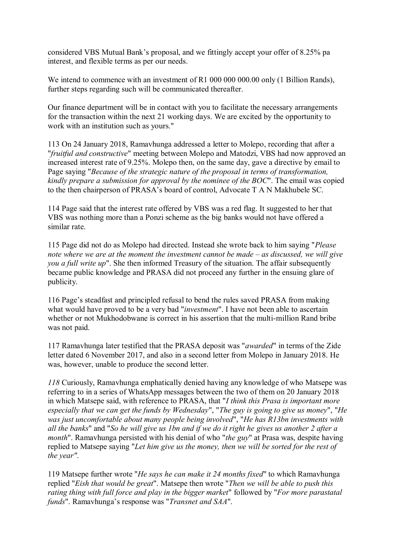considered VBS Mutual Bank's proposal, and we fittingly accept your offer of 8.25% pa interest, and flexible terms as per our needs.

We intend to commence with an investment of R1 000 000 000.00 only (1 Billion Rands), further steps regarding such will be communicated thereafter.

Our finance department will be in contact with you to facilitate the necessary arrangements for the transaction within the next 21 working days. We are excited by the opportunity to work with an institution such as yours."

113 On 24 January 2018, Ramavhunga addressed a letter to Molepo, recording that after a "*fruitful and constructive*" meeting between Molepo and Matodzi, VBS had now approved an increased interest rate of 9.25%. Molepo then, on the same day, gave a directive by email to Page saying "*Because of the strategic nature of the proposal in terms of transformation, kindly prepare a submission for approval by the nominee of the BOC*". The email was copied to the then chairperson of PRASA's board of control, Advocate T A N Makhubele SC.

114 Page said that the interest rate offered by VBS was a red flag. It suggested to her that VBS was nothing more than a Ponzi scheme as the big banks would not have offered a similar rate.

115 Page did not do as Molepo had directed. Instead she wrote back to him saying "*Please note where we are at the moment the investment cannot be made – as discussed, we will give you a full write up*". She then informed Treasury of the situation. The affair subsequently became public knowledge and PRASA did not proceed any further in the ensuing glare of publicity.

116 Page's steadfast and principled refusal to bend the rules saved PRASA from making what would have proved to be a very bad "*investment*". I have not been able to ascertain whether or not Mukhodobwane is correct in his assertion that the multi-million Rand bribe was not paid.

117 Ramavhunga later testified that the PRASA deposit was "*awarded*" in terms of the Zide letter dated 6 November 2017, and also in a second letter from Molepo in January 2018. He was, however, unable to produce the second letter.

*118* Curiously, Ramavhunga emphatically denied having any knowledge of who Matsepe was referring to in a series of WhatsApp messages between the two of them on 20 January 2018 in which Matsepe said, with reference to PRASA, that "*I think this Prasa is important more especially that we can get the funds by Wednesday*", "*The guy is going to give us money*", "*He was just uncomfortable about many people being involved*", "*He has R13bn investments with all the banks*" and "*So he will give us 1bn and if we do it right he gives us another 2 after a month*". Ramavhunga persisted with his denial of who "*the guy*" at Prasa was, despite having replied to Matsepe saying "*Let him give us the money, then we will be sorted for the rest of the year"*.

119 Matsepe further wrote "*He says he can make it 24 months fixed*" to which Ramavhunga replied "*Eish that would be great*". Matsepe then wrote "*Then we will be able to push this rating thing with full force and play in the bigger market*" followed by "*For more parastatal funds*". Ramavhunga's response was "*Transnet and SAA*".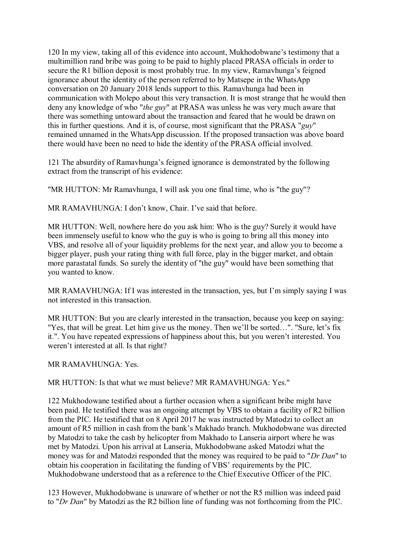120 In my view, taking all of this evidence into account, Mukhodobwane's testimony that a multimillion rand bribe was going to be paid to highly placed PRASA officials in order to secure the R1 billion deposit is most probably true. In my view, Ramavhunga's feigned ignorance about the identity of the person referred to by Matsepe in the WhatsApp conversation on 20 January 2018 lends support to this. Ramavhunga had been in communication with Molepo about this very transaction. It is most strange that he would then deny any knowledge of who "*the guy*" at PRASA was unless he was very much aware that there was something untoward about the transaction and feared that he would be drawn on this in further questions. And it is, of course, most significant that the PRASA "*guy*" remained unnamed in the WhatsApp discussion. If the proposed transaction was above board there would have been no need to hide the identity of the PRASA official involved.

121 The absurdity of Ramavhunga's feigned ignorance is demonstrated by the following extract from the transcript of his evidence:

"MR HUTTON: Mr Ramavhunga, I will ask you one final time, who is "the guy"?

MR RAMAVHUNGA: I don't know, Chair. I've said that before.

MR HUTTON: Well, nowhere here do you ask him: Who is the guy? Surely it would have been immensely useful to know who the guy is who is going to bring all this money into VBS, and resolve all of your liquidity problems for the next year, and allow you to become a bigger player, push your rating thing with full force, play in the bigger market, and obtain more parastatal funds. So surely the identity of "the guy" would have been something that you wanted to know.

MR RAMAVHUNGA: If I was interested in the transaction, yes, but I'm simply saying I was not interested in this transaction.

MR HUTTON: But you are clearly interested in the transaction, because you keep on saying: "Yes, that will be great. Let him give us the money. Then we'll be sorted…". "Sure, let's fix it.". You have repeated expressions of happiness about this, but you weren't interested. You weren't interested at all. Is that right?

MR RAMAVHUNGA: Yes.

MR HUTTON: Is that what we must believe? MR RAMAVHUNGA: Yes."

122 Mukhodowane testified about a further occasion when a significant bribe might have been paid. He testified there was an ongoing attempt by VBS to obtain a facility of R2 billion from the PIC. He testified that on 8 April 2017 he was instructed by Matodzi to collect an amount of R5 million in cash from the bank's Makhado branch. Mukhodobwane was directed by Matodzi to take the cash by helicopter from Makhado to Lanseria airport where he was met by Matodzi. Upon his arrival at Lanseria, Mukhodobwane asked Matodzi what the money was for and Matodzi responded that the money was required to be paid to "*Dr Dan*" to obtain his cooperation in facilitating the funding of VBS' requirements by the PIC. Mukhodobwane understood that as a reference to the Chief Executive Officer of the PIC.

123 However, Mukhodobwane is unaware of whether or not the R5 million was indeed paid to "*Dr Dan*" by Matodzi as the R2 billion line of funding was not forthcoming from the PIC.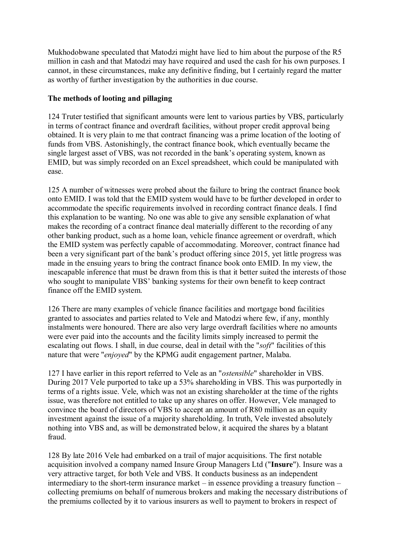Mukhodobwane speculated that Matodzi might have lied to him about the purpose of the R5 million in cash and that Matodzi may have required and used the cash for his own purposes. I cannot, in these circumstances, make any definitive finding, but I certainly regard the matter as worthy of further investigation by the authorities in due course.

## **The methods of looting and pillaging**

124 Truter testified that significant amounts were lent to various parties by VBS, particularly in terms of contract finance and overdraft facilities, without proper credit approval being obtained. It is very plain to me that contract financing was a prime location of the looting of funds from VBS. Astonishingly, the contract finance book, which eventually became the single largest asset of VBS, was not recorded in the bank's operating system, known as EMID, but was simply recorded on an Excel spreadsheet, which could be manipulated with ease.

125 A number of witnesses were probed about the failure to bring the contract finance book onto EMID. I was told that the EMID system would have to be further developed in order to accommodate the specific requirements involved in recording contract finance deals. I find this explanation to be wanting. No one was able to give any sensible explanation of what makes the recording of a contract finance deal materially different to the recording of any other banking product, such as a home loan, vehicle finance agreement or overdraft, which the EMID system was perfectly capable of accommodating. Moreover, contract finance had been a very significant part of the bank's product offering since 2015, yet little progress was made in the ensuing years to bring the contract finance book onto EMID. In my view, the inescapable inference that must be drawn from this is that it better suited the interests of those who sought to manipulate VBS' banking systems for their own benefit to keep contract finance off the EMID system.

126 There are many examples of vehicle finance facilities and mortgage bond facilities granted to associates and parties related to Vele and Matodzi where few, if any, monthly instalments were honoured. There are also very large overdraft facilities where no amounts were ever paid into the accounts and the facility limits simply increased to permit the escalating out flows. I shall, in due course, deal in detail with the "*soft*" facilities of this nature that were "*enjoyed*" by the KPMG audit engagement partner, Malaba.

127 I have earlier in this report referred to Vele as an "*ostensible*" shareholder in VBS. During 2017 Vele purported to take up a 53% shareholding in VBS. This was purportedly in terms of a rights issue. Vele, which was not an existing shareholder at the time of the rights issue, was therefore not entitled to take up any shares on offer. However, Vele managed to convince the board of directors of VBS to accept an amount of R80 million as an equity investment against the issue of a majority shareholding. In truth, Vele invested absolutely nothing into VBS and, as will be demonstrated below, it acquired the shares by a blatant fraud.

128 By late 2016 Vele had embarked on a trail of major acquisitions. The first notable acquisition involved a company named Insure Group Managers Ltd ("**Insure**"). Insure was a very attractive target, for both Vele and VBS. It conducts business as an independent intermediary to the short-term insurance market – in essence providing a treasury function – collecting premiums on behalf of numerous brokers and making the necessary distributions of the premiums collected by it to various insurers as well to payment to brokers in respect of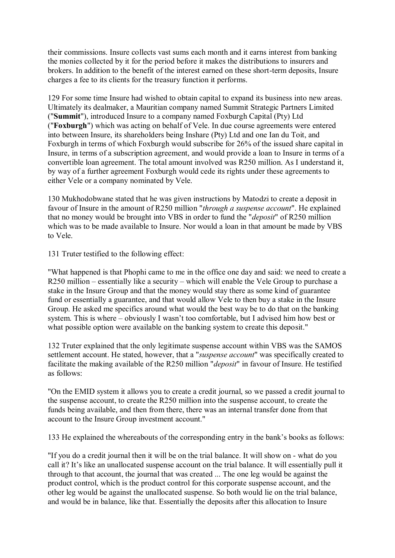their commissions. Insure collects vast sums each month and it earns interest from banking the monies collected by it for the period before it makes the distributions to insurers and brokers. In addition to the benefit of the interest earned on these short-term deposits, Insure charges a fee to its clients for the treasury function it performs.

129 For some time Insure had wished to obtain capital to expand its business into new areas. Ultimately its dealmaker, a Mauritian company named Summit Strategic Partners Limited ("**Summit**"), introduced Insure to a company named Foxburgh Capital (Pty) Ltd ("**Foxburgh**") which was acting on behalf of Vele. In due course agreements were entered into between Insure, its shareholders being Inshare (Pty) Ltd and one Ian du Toit, and Foxburgh in terms of which Foxburgh would subscribe for 26% of the issued share capital in Insure, in terms of a subscription agreement, and would provide a loan to Insure in terms of a convertible loan agreement. The total amount involved was R250 million. As I understand it, by way of a further agreement Foxburgh would cede its rights under these agreements to either Vele or a company nominated by Vele.

130 Mukhodobwane stated that he was given instructions by Matodzi to create a deposit in favour of Insure in the amount of R250 million "*through a suspense account*". He explained that no money would be brought into VBS in order to fund the "*deposit*" of R250 million which was to be made available to Insure. Nor would a loan in that amount be made by VBS to Vele.

131 Truter testified to the following effect:

"What happened is that Phophi came to me in the office one day and said: we need to create a R250 million – essentially like a security – which will enable the Vele Group to purchase a stake in the Insure Group and that the money would stay there as some kind of guarantee fund or essentially a guarantee, and that would allow Vele to then buy a stake in the Insure Group. He asked me specifics around what would the best way be to do that on the banking system. This is where – obviously I wasn't too comfortable, but I advised him how best or what possible option were available on the banking system to create this deposit."

132 Truter explained that the only legitimate suspense account within VBS was the SAMOS settlement account. He stated, however, that a "*suspense account*" was specifically created to facilitate the making available of the R250 million "*deposit*" in favour of Insure. He testified as follows:

"On the EMID system it allows you to create a credit journal, so we passed a credit journal to the suspense account, to create the R250 million into the suspense account, to create the funds being available, and then from there, there was an internal transfer done from that account to the Insure Group investment account."

133 He explained the whereabouts of the corresponding entry in the bank's books as follows:

"If you do a credit journal then it will be on the trial balance. It will show on - what do you call it? It's like an unallocated suspense account on the trial balance. It will essentially pull it through to that account, the journal that was created ... The one leg would be against the product control, which is the product control for this corporate suspense account, and the other leg would be against the unallocated suspense. So both would lie on the trial balance, and would be in balance, like that. Essentially the deposits after this allocation to Insure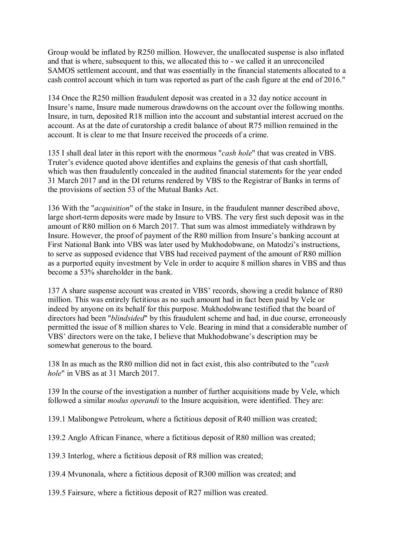Group would be inflated by R250 million. However, the unallocated suspense is also inflated and that is where, subsequent to this, we allocated this to - we called it an unreconciled SAMOS settlement account, and that was essentially in the financial statements allocated to a cash control account which in turn was reported as part of the cash figure at the end of 2016."

134 Once the R250 million fraudulent deposit was created in a 32 day notice account in Insure's name, Insure made numerous drawdowns on the account over the following months. Insure, in turn, deposited R18 million into the account and substantial interest accrued on the account. As at the date of curatorship a credit balance of about R75 million remained in the account. It is clear to me that Insure received the proceeds of a crime.

135 I shall deal later in this report with the enormous "*cash hole*" that was created in VBS. Truter's evidence quoted above identifies and explains the genesis of that cash shortfall, which was then fraudulently concealed in the audited financial statements for the year ended 31 March 2017 and in the DI returns rendered by VBS to the Registrar of Banks in terms of the provisions of section 53 of the Mutual Banks Act.

136 With the "*acquisition*" of the stake in Insure, in the fraudulent manner described above, large short-term deposits were made by Insure to VBS. The very first such deposit was in the amount of R80 million on 6 March 2017. That sum was almost immediately withdrawn by Insure. However, the proof of payment of the R80 million from Insure's banking account at First National Bank into VBS was later used by Mukhodobwane, on Matodzi's instructions, to serve as supposed evidence that VBS had received payment of the amount of R80 million as a purported equity investment by Vele in order to acquire 8 million shares in VBS and thus become a 53% shareholder in the bank.

137 A share suspense account was created in VBS' records, showing a credit balance of R80 million. This was entirely fictitious as no such amount had in fact been paid by Vele or indeed by anyone on its behalf for this purpose. Mukhodobwane testified that the board of directors had been "*blindsided*" by this fraudulent scheme and had, in due course, erroneously permitted the issue of 8 million shares to Vele. Bearing in mind that a considerable number of VBS' directors were on the take, I believe that Mukhodobwane's description may be somewhat generous to the board.

138 In as much as the R80 million did not in fact exist, this also contributed to the "*cash hole*" in VBS as at 31 March 2017.

139 In the course of the investigation a number of further acquisitions made by Vele, which followed a similar *modus operandi* to the Insure acquisition, were identified. They are:

139.1 Malibongwe Petroleum, where a fictitious deposit of R40 million was created;

139.2 Anglo African Finance, where a fictitious deposit of R80 million was created;

139.3 Interlog, where a fictitious deposit of R8 million was created;

139.4 Mvunonala, where a fictitious deposit of R300 million was created; and

139.5 Fairsure, where a fictitious deposit of R27 million was created.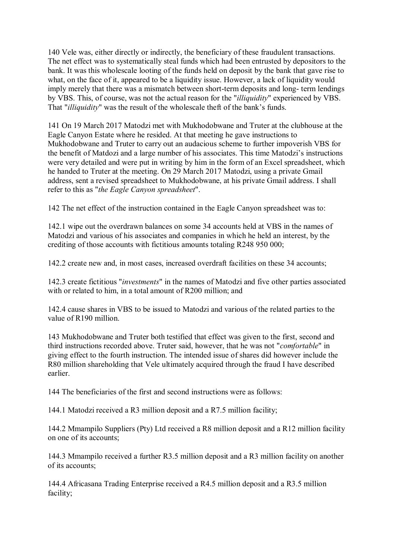140 Vele was, either directly or indirectly, the beneficiary of these fraudulent transactions. The net effect was to systematically steal funds which had been entrusted by depositors to the bank. It was this wholescale looting of the funds held on deposit by the bank that gave rise to what, on the face of it, appeared to be a liquidity issue. However, a lack of liquidity would imply merely that there was a mismatch between short-term deposits and long- term lendings by VBS. This, of course, was not the actual reason for the "*illiquidity*" experienced by VBS. That "*illiquidity*" was the result of the wholescale theft of the bank's funds.

141 On 19 March 2017 Matodzi met with Mukhodobwane and Truter at the clubhouse at the Eagle Canyon Estate where he resided. At that meeting he gave instructions to Mukhodobwane and Truter to carry out an audacious scheme to further impoverish VBS for the benefit of Matdozi and a large number of his associates. This time Matodzi's instructions were very detailed and were put in writing by him in the form of an Excel spreadsheet, which he handed to Truter at the meeting. On 29 March 2017 Matodzi, using a private Gmail address, sent a revised spreadsheet to Mukhodobwane, at his private Gmail address. I shall refer to this as "*the Eagle Canyon spreadsheet*".

142 The net effect of the instruction contained in the Eagle Canyon spreadsheet was to:

142.1 wipe out the overdrawn balances on some 34 accounts held at VBS in the names of Matodzi and various of his associates and companies in which he held an interest, by the crediting of those accounts with fictitious amounts totaling R248 950 000;

142.2 create new and, in most cases, increased overdraft facilities on these 34 accounts;

142.3 create fictitious "*investments*" in the names of Matodzi and five other parties associated with or related to him, in a total amount of R200 million; and

142.4 cause shares in VBS to be issued to Matodzi and various of the related parties to the value of R190 million.

143 Mukhodobwane and Truter both testified that effect was given to the first, second and third instructions recorded above. Truter said, however, that he was not "*comfortable*" in giving effect to the fourth instruction. The intended issue of shares did however include the R80 million shareholding that Vele ultimately acquired through the fraud I have described earlier.

144 The beneficiaries of the first and second instructions were as follows:

144.1 Matodzi received a R3 million deposit and a R7.5 million facility;

144.2 Mmampilo Suppliers (Pty) Ltd received a R8 million deposit and a R12 million facility on one of its accounts;

144.3 Mmampilo received a further R3.5 million deposit and a R3 million facility on another of its accounts;

144.4 Africasana Trading Enterprise received a R4.5 million deposit and a R3.5 million facility;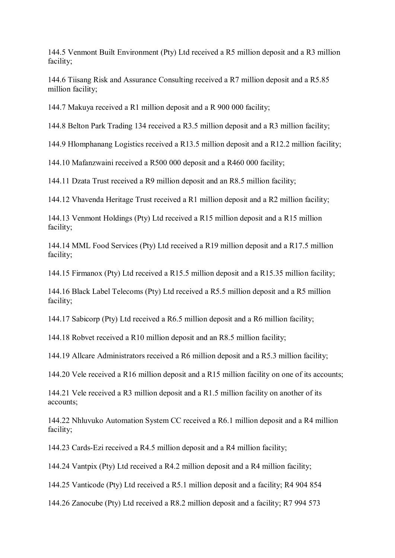144.5 Venmont Built Environment (Pty) Ltd received a R5 million deposit and a R3 million facility;

144.6 Tiisang Risk and Assurance Consulting received a R7 million deposit and a R5.85 million facility;

144.7 Makuya received a R1 million deposit and a R 900 000 facility;

144.8 Belton Park Trading 134 received a R3.5 million deposit and a R3 million facility;

144.9 Hlomphanang Logistics received a R13.5 million deposit and a R12.2 million facility;

144.10 Mafanzwaini received a R500 000 deposit and a R460 000 facility;

144.11 Dzata Trust received a R9 million deposit and an R8.5 million facility;

144.12 Vhavenda Heritage Trust received a R1 million deposit and a R2 million facility;

144.13 Venmont Holdings (Pty) Ltd received a R15 million deposit and a R15 million facility;

144.14 MML Food Services (Pty) Ltd received a R19 million deposit and a R17.5 million facility;

144.15 Firmanox (Pty) Ltd received a R15.5 million deposit and a R15.35 million facility;

144.16 Black Label Telecoms (Pty) Ltd received a R5.5 million deposit and a R5 million facility;

144.17 Sabicorp (Pty) Ltd received a R6.5 million deposit and a R6 million facility;

144.18 Robvet received a R10 million deposit and an R8.5 million facility;

144.19 Allcare Administrators received a R6 million deposit and a R5.3 million facility;

144.20 Vele received a R16 million deposit and a R15 million facility on one of its accounts;

144.21 Vele received a R3 million deposit and a R1.5 million facility on another of its accounts;

144.22 Nhluvuko Automation System CC received a R6.1 million deposit and a R4 million facility;

144.23 Cards-Ezi received a R4.5 million deposit and a R4 million facility;

144.24 Vantpix (Pty) Ltd received a R4.2 million deposit and a R4 million facility;

144.25 Vanticode (Pty) Ltd received a R5.1 million deposit and a facility; R4 904 854

144.26 Zanocube (Pty) Ltd received a R8.2 million deposit and a facility; R7 994 573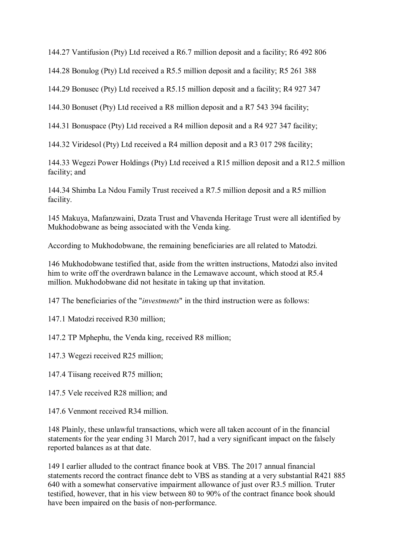144.27 Vantifusion (Pty) Ltd received a R6.7 million deposit and a facility; R6 492 806

144.28 Bonulog (Pty) Ltd received a R5.5 million deposit and a facility; R5 261 388

144.29 Bonusec (Pty) Ltd received a R5.15 million deposit and a facility; R4 927 347

144.30 Bonuset (Pty) Ltd received a R8 million deposit and a R7 543 394 facility;

144.31 Bonuspace (Pty) Ltd received a R4 million deposit and a R4 927 347 facility;

144.32 Viridesol (Pty) Ltd received a R4 million deposit and a R3 017 298 facility;

144.33 Wegezi Power Holdings (Pty) Ltd received a R15 million deposit and a R12.5 million facility; and

144.34 Shimba La Ndou Family Trust received a R7.5 million deposit and a R5 million facility.

145 Makuya, Mafanzwaini, Dzata Trust and Vhavenda Heritage Trust were all identified by Mukhodobwane as being associated with the Venda king.

According to Mukhodobwane, the remaining beneficiaries are all related to Matodzi.

146 Mukhodobwane testified that, aside from the written instructions, Matodzi also invited him to write off the overdrawn balance in the Lemawave account, which stood at R5.4 million. Mukhodobwane did not hesitate in taking up that invitation.

147 The beneficiaries of the "*investments*" in the third instruction were as follows:

147.1 Matodzi received R30 million;

147.2 TP Mphephu, the Venda king, received R8 million;

147.3 Wegezi received R25 million;

147.4 Tiisang received R75 million;

147.5 Vele received R28 million; and

147.6 Venmont received R34 million.

148 Plainly, these unlawful transactions, which were all taken account of in the financial statements for the year ending 31 March 2017, had a very significant impact on the falsely reported balances as at that date.

149 I earlier alluded to the contract finance book at VBS. The 2017 annual financial statements record the contract finance debt to VBS as standing at a very substantial R421 885 640 with a somewhat conservative impairment allowance of just over R3.5 million. Truter testified, however, that in his view between 80 to 90% of the contract finance book should have been impaired on the basis of non-performance.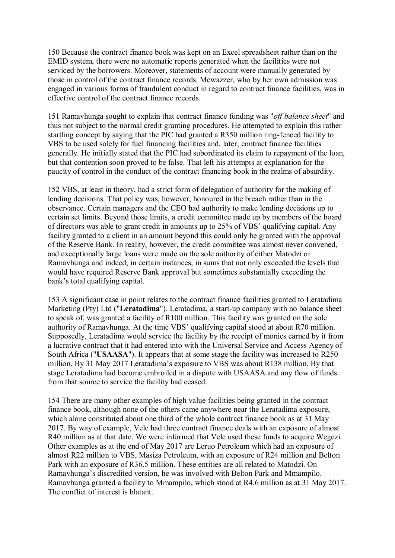150 Because the contract finance book was kept on an Excel spreadsheet rather than on the EMID system, there were no automatic reports generated when the facilities were not serviced by the borrowers. Moreover, statements of account were manually generated by those in control of the contract finance records. Mcwazzer, who by her own admission was engaged in various forms of fraudulent conduct in regard to contract finance facilities, was in effective control of the contract finance records.

151 Ramavhunga sought to explain that contract finance funding was "*off balance sheet*" and thus not subject to the normal credit granting procedures. He attempted to explain this rather startling concept by saying that the PIC had granted a R350 million ring-fenced facility to VBS to be used solely for fuel financing facilities and, later, contract finance facilities generally. He initially stated that the PIC had subordinated its claim to repayment of the loan, but that contention soon proved to be false. That left his attempts at explanation for the paucity of control in the conduct of the contract financing book in the realms of absurdity.

152 VBS, at least in theory, had a strict form of delegation of authority for the making of lending decisions. That policy was, however, honoured in the breach rather than in the observance. Certain managers and the CEO had authority to make lending decisions up to certain set limits. Beyond those limits, a credit committee made up by members of the board of directors was able to grant credit in amounts up to 25% of VBS' qualifying capital. Any facility granted to a client in an amount beyond this could only be granted with the approval of the Reserve Bank. In reality, however, the credit committee was almost never convened, and exceptionally large loans were made on the sole authority of either Matodzi or Ramavhunga and indeed, in certain instances, in sums that not only exceeded the levels that would have required Reserve Bank approval but sometimes substantially exceeding the bank's total qualifying capital.

153 A significant case in point relates to the contract finance facilities granted to Leratadima Marketing (Pty) Ltd ("**Leratadima**"). Leratadima, a start-up company with no balance sheet to speak of, was granted a facility of R100 million. This facility was granted on the sole authority of Ramavhunga. At the time VBS' qualifying capital stood at about R70 million. Supposedly, Leratadima would service the facility by the receipt of monies earned by it from a lucrative contract that it had entered into with the Universal Service and Access Agency of South Africa ("**USAASA**"). It appears that at some stage the facility was increased to R250 million. By 31 May 2017 Leratadima's exposure to VBS was about R138 million. By that stage Leratadima had become embroiled in a dispute with USAASA and any flow of funds from that source to service the facility had ceased.

154 There are many other examples of high value facilities being granted in the contract finance book, although none of the others came anywhere near the Leratadima exposure, which alone constituted about one third of the whole contract finance book as at 31 May 2017. By way of example, Vele had three contract finance deals with an exposure of almost R40 million as at that date. We were informed that Vele used these funds to acquire Wegezi. Other examples as at the end of May 2017 are Leruo Petroleum which had an exposure of almost R22 million to VBS, Masiza Petroleum, with an exposure of R24 million and Belton Park with an exposure of R36.5 million. These entities are all related to Matodzi. On Ramavhunga's discredited version, he was involved with Belton Park and Mmampilo. Ramavhunga granted a facility to Mmampilo, which stood at R4.6 million as at 31 May 2017. The conflict of interest is blatant.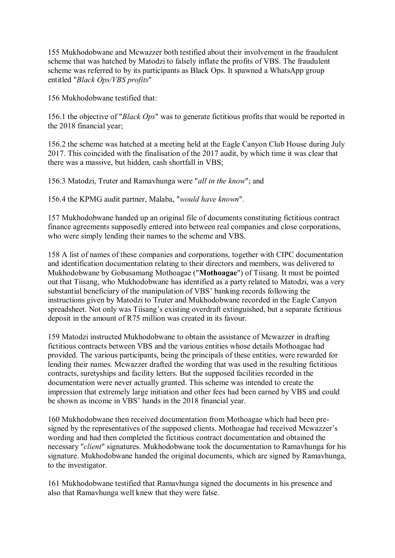155 Mukhodobwane and Mcwazzer both testified about their involvement in the fraudulent scheme that was hatched by Matodzi to falsely inflate the profits of VBS. The fraudulent scheme was referred to by its participants as Black Ops. It spawned a WhatsApp group entitled "*Black Ops/VBS profits*"

156 Mukhodobwane testified that:

156.1 the objective of "*Black Ops*" was to generate fictitious profits that would be reported in the 2018 financial year;

156.2 the scheme was hatched at a meeting held at the Eagle Canyon Club House during July 2017. This coincided with the finalisation of the 2017 audit, by which time it was clear that there was a massive, but hidden, cash shortfall in VBS;

156.3 Matodzi, Truter and Ramavhunga were "*all in the know*"; and

156.4 the KPMG audit partner, Malaba, "*would have known*".

157 Mukhodobwane handed up an original file of documents constituting fictitious contract finance agreements supposedly entered into between real companies and close corporations, who were simply lending their names to the scheme and VBS.

158 A list of names of these companies and corporations, together with CIPC documentation and identification documentation relating to their directors and members, was delivered to Mukhodobwane by Gobusamang Mothoagae ("**Mothoagae**") of Tiisang. It must be pointed out that Tiisang, who Mukhodobwane has identified as a party related to Matodzi, was a very substantial beneficiary of the manipulation of VBS' banking records following the instructions given by Matodzi to Truter and Mukhodobwane recorded in the Eagle Canyon spreadsheet. Not only was Tiisang's existing overdraft extinguished, but a separate fictitious deposit in the amount of R75 million was created in its favour.

159 Matodzi instructed Mukhodobwane to obtain the assistance of Mcwazzer in drafting fictitious contracts between VBS and the various entities whose details Mothoagae had provided. The various participants, being the principals of these entities, were rewarded for lending their names. Mcwazzer drafted the wording that was used in the resulting fictitious contracts, suretyships and facility letters. But the supposed facilities recorded in the documentation were never actually granted. This scheme was intended to create the impression that extremely large initiation and other fees had been earned by VBS and could be shown as income in VBS' hands in the 2018 financial year.

160 Mukhodobwane then received documentation from Mothoagae which had been presigned by the representatives of the supposed clients. Mothoagae had received Mcwazzer's wording and had then completed the fictitious contract documentation and obtained the necessary "*client*" signatures. Mukhodobwane took the documentation to Ramavhunga for his signature. Mukhodobwane handed the original documents, which are signed by Ramavhunga, to the investigator.

161 Mukhodobwane testified that Ramavhunga signed the documents in his presence and also that Ramavhunga well knew that they were false.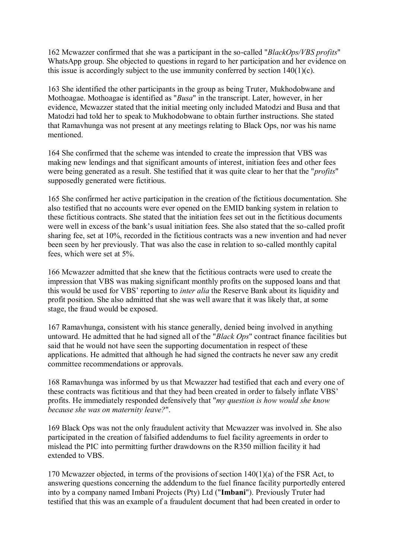162 Mcwazzer confirmed that she was a participant in the so-called "*BlackOps/VBS profits*" WhatsApp group. She objected to questions in regard to her participation and her evidence on this issue is accordingly subject to the use immunity conferred by section 140(1)(c).

163 She identified the other participants in the group as being Truter, Mukhodobwane and Mothoagae. Mothoagae is identified as "*Busa*" in the transcript. Later, however, in her evidence, Mcwazzer stated that the initial meeting only included Matodzi and Busa and that Matodzi had told her to speak to Mukhodobwane to obtain further instructions. She stated that Ramavhunga was not present at any meetings relating to Black Ops, nor was his name mentioned.

164 She confirmed that the scheme was intended to create the impression that VBS was making new lendings and that significant amounts of interest, initiation fees and other fees were being generated as a result. She testified that it was quite clear to her that the "*profits*" supposedly generated were fictitious.

165 She confirmed her active participation in the creation of the fictitious documentation. She also testified that no accounts were ever opened on the EMID banking system in relation to these fictitious contracts. She stated that the initiation fees set out in the fictitious documents were well in excess of the bank's usual initiation fees. She also stated that the so-called profit sharing fee, set at 10%, recorded in the fictitious contracts was a new invention and had never been seen by her previously. That was also the case in relation to so-called monthly capital fees, which were set at 5%.

166 Mcwazzer admitted that she knew that the fictitious contracts were used to create the impression that VBS was making significant monthly profits on the supposed loans and that this would be used for VBS' reporting to *inter alia* the Reserve Bank about its liquidity and profit position. She also admitted that she was well aware that it was likely that, at some stage, the fraud would be exposed.

167 Ramavhunga, consistent with his stance generally, denied being involved in anything untoward. He admitted that he had signed all of the "*Black Ops*" contract finance facilities but said that he would not have seen the supporting documentation in respect of these applications. He admitted that although he had signed the contracts he never saw any credit committee recommendations or approvals.

168 Ramavhunga was informed by us that Mcwazzer had testified that each and every one of these contracts was fictitious and that they had been created in order to falsely inflate VBS' profits. He immediately responded defensively that "*my question is how would she know because she was on maternity leave?*".

169 Black Ops was not the only fraudulent activity that Mcwazzer was involved in. She also participated in the creation of falsified addendums to fuel facility agreements in order to mislead the PIC into permitting further drawdowns on the R350 million facility it had extended to VBS.

170 Mcwazzer objected, in terms of the provisions of section 140(1)(a) of the FSR Act, to answering questions concerning the addendum to the fuel finance facility purportedly entered into by a company named Imbani Projects (Pty) Ltd ("**Imbani**"). Previously Truter had testified that this was an example of a fraudulent document that had been created in order to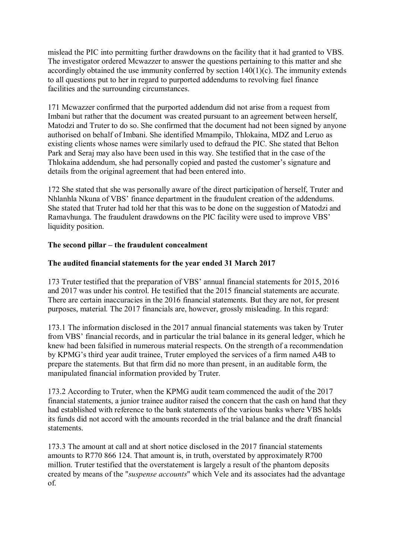mislead the PIC into permitting further drawdowns on the facility that it had granted to VBS. The investigator ordered Mcwazzer to answer the questions pertaining to this matter and she accordingly obtained the use immunity conferred by section 140(1)(c). The immunity extends to all questions put to her in regard to purported addendums to revolving fuel finance facilities and the surrounding circumstances.

171 Mcwazzer confirmed that the purported addendum did not arise from a request from Imbani but rather that the document was created pursuant to an agreement between herself, Matodzi and Truter to do so. She confirmed that the document had not been signed by anyone authorised on behalf of Imbani. She identified Mmampilo, Thlokaina, MDZ and Leruo as existing clients whose names were similarly used to defraud the PIC. She stated that Belton Park and Seraj may also have been used in this way. She testified that in the case of the Thlokaina addendum, she had personally copied and pasted the customer's signature and details from the original agreement that had been entered into.

172 She stated that she was personally aware of the direct participation of herself, Truter and Nhlanhla Nkuna of VBS' finance department in the fraudulent creation of the addendums. She stated that Truter had told her that this was to be done on the suggestion of Matodzi and Ramavhunga. The fraudulent drawdowns on the PIC facility were used to improve VBS' liquidity position.

## **The second pillar – the fraudulent concealment**

# **The audited financial statements for the year ended 31 March 2017**

173 Truter testified that the preparation of VBS' annual financial statements for 2015, 2016 and 2017 was under his control. He testified that the 2015 financial statements are accurate. There are certain inaccuracies in the 2016 financial statements. But they are not, for present purposes, material. The 2017 financials are, however, grossly misleading. In this regard:

173.1 The information disclosed in the 2017 annual financial statements was taken by Truter from VBS' financial records, and in particular the trial balance in its general ledger, which he knew had been falsified in numerous material respects. On the strength of a recommendation by KPMG's third year audit trainee, Truter employed the services of a firm named A4B to prepare the statements. But that firm did no more than present, in an auditable form, the manipulated financial information provided by Truter.

173.2 According to Truter, when the KPMG audit team commenced the audit of the 2017 financial statements, a junior trainee auditor raised the concern that the cash on hand that they had established with reference to the bank statements of the various banks where VBS holds its funds did not accord with the amounts recorded in the trial balance and the draft financial statements.

173.3 The amount at call and at short notice disclosed in the 2017 financial statements amounts to R770 866 124. That amount is, in truth, overstated by approximately R700 million. Truter testified that the overstatement is largely a result of the phantom deposits created by means of the "*suspense accounts*" which Vele and its associates had the advantage of.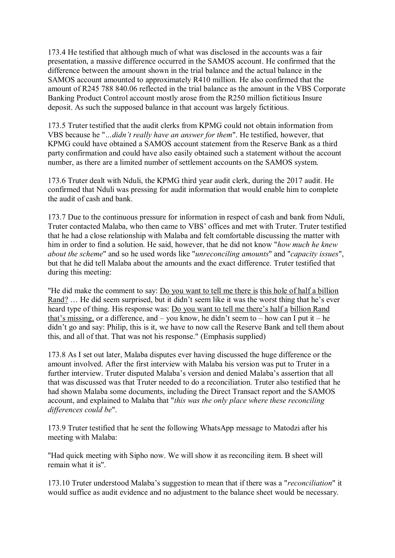173.4 He testified that although much of what was disclosed in the accounts was a fair presentation, a massive difference occurred in the SAMOS account. He confirmed that the difference between the amount shown in the trial balance and the actual balance in the SAMOS account amounted to approximately R410 million. He also confirmed that the amount of R245 788 840.06 reflected in the trial balance as the amount in the VBS Corporate Banking Product Control account mostly arose from the R250 million fictitious Insure deposit. As such the supposed balance in that account was largely fictitious.

173.5 Truter testified that the audit clerks from KPMG could not obtain information from VBS because he "*…didn't really have an answer for them*". He testified, however, that KPMG could have obtained a SAMOS account statement from the Reserve Bank as a third party confirmation and could have also easily obtained such a statement without the account number, as there are a limited number of settlement accounts on the SAMOS system.

173.6 Truter dealt with Nduli, the KPMG third year audit clerk, during the 2017 audit. He confirmed that Nduli was pressing for audit information that would enable him to complete the audit of cash and bank.

173.7 Due to the continuous pressure for information in respect of cash and bank from Nduli, Truter contacted Malaba, who then came to VBS' offices and met with Truter. Truter testified that he had a close relationship with Malaba and felt comfortable discussing the matter with him in order to find a solution. He said, however, that he did not know "*how much he knew about the scheme*" and so he used words like "*unreconciling amounts*" and "*capacity issues*", but that he did tell Malaba about the amounts and the exact difference. Truter testified that during this meeting:

"He did make the comment to say: Do you want to tell me there is this hole of half a billion Rand? … He did seem surprised, but it didn't seem like it was the worst thing that he's ever heard type of thing. His response was: Do you want to tell me there's half a billion Rand that's missing, or a difference, and – you know, he didn't seem to – how can I put it – he didn't go and say: Philip, this is it, we have to now call the Reserve Bank and tell them about this, and all of that. That was not his response." (Emphasis supplied)

173.8 As I set out later, Malaba disputes ever having discussed the huge difference or the amount involved. After the first interview with Malaba his version was put to Truter in a further interview. Truter disputed Malaba's version and denied Malaba's assertion that all that was discussed was that Truter needed to do a reconciliation. Truter also testified that he had shown Malaba some documents, including the Direct Transact report and the SAMOS account, and explained to Malaba that "*this was the only place where these reconciling differences could be*".

173.9 Truter testified that he sent the following WhatsApp message to Matodzi after his meeting with Malaba:

"Had quick meeting with Sipho now. We will show it as reconciling item. B sheet will remain what it is".

173.10 Truter understood Malaba's suggestion to mean that if there was a "*reconciliation*" it would suffice as audit evidence and no adjustment to the balance sheet would be necessary.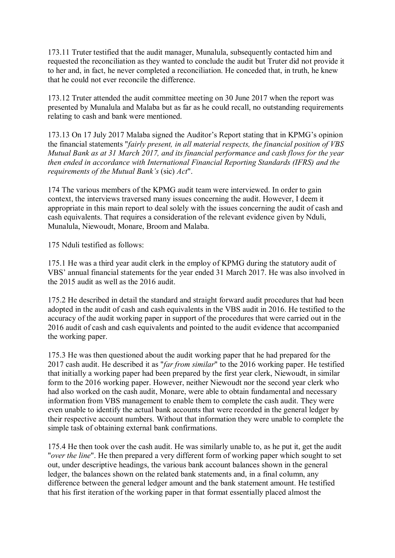173.11 Truter testified that the audit manager, Munalula, subsequently contacted him and requested the reconciliation as they wanted to conclude the audit but Truter did not provide it to her and, in fact, he never completed a reconciliation. He conceded that, in truth, he knew that he could not ever reconcile the difference.

173.12 Truter attended the audit committee meeting on 30 June 2017 when the report was presented by Munalula and Malaba but as far as he could recall, no outstanding requirements relating to cash and bank were mentioned.

173.13 On 17 July 2017 Malaba signed the Auditor's Report stating that in KPMG's opinion the financial statements "*fairly present, in all material respects, the financial position of VBS Mutual Bank as at 31 March 2017, and its financial performance and cash flows for the year then ended in accordance with International Financial Reporting Standards (IFRS) and the requirements of the Mutual Bank's* (sic) *Act*".

174 The various members of the KPMG audit team were interviewed. In order to gain context, the interviews traversed many issues concerning the audit. However, I deem it appropriate in this main report to deal solely with the issues concerning the audit of cash and cash equivalents. That requires a consideration of the relevant evidence given by Nduli, Munalula, Niewoudt, Monare, Broom and Malaba.

175 Nduli testified as follows:

175.1 He was a third year audit clerk in the employ of KPMG during the statutory audit of VBS' annual financial statements for the year ended 31 March 2017. He was also involved in the 2015 audit as well as the 2016 audit.

175.2 He described in detail the standard and straight forward audit procedures that had been adopted in the audit of cash and cash equivalents in the VBS audit in 2016. He testified to the accuracy of the audit working paper in support of the procedures that were carried out in the 2016 audit of cash and cash equivalents and pointed to the audit evidence that accompanied the working paper.

175.3 He was then questioned about the audit working paper that he had prepared for the 2017 cash audit. He described it as "*far from similar*" to the 2016 working paper. He testified that initially a working paper had been prepared by the first year clerk, Niewoudt, in similar form to the 2016 working paper. However, neither Niewoudt nor the second year clerk who had also worked on the cash audit, Monare, were able to obtain fundamental and necessary information from VBS management to enable them to complete the cash audit. They were even unable to identify the actual bank accounts that were recorded in the general ledger by their respective account numbers. Without that information they were unable to complete the simple task of obtaining external bank confirmations.

175.4 He then took over the cash audit. He was similarly unable to, as he put it, get the audit "*over the line*". He then prepared a very different form of working paper which sought to set out, under descriptive headings, the various bank account balances shown in the general ledger, the balances shown on the related bank statements and, in a final column, any difference between the general ledger amount and the bank statement amount. He testified that his first iteration of the working paper in that format essentially placed almost the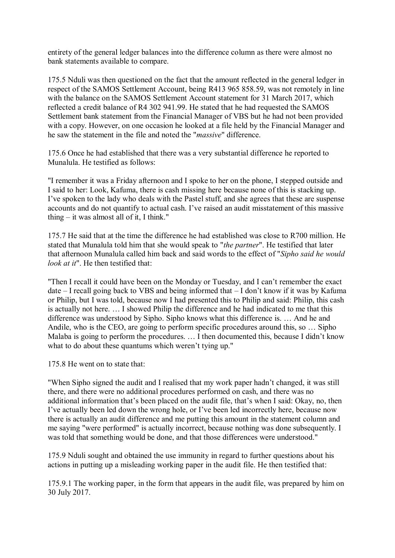entirety of the general ledger balances into the difference column as there were almost no bank statements available to compare.

175.5 Nduli was then questioned on the fact that the amount reflected in the general ledger in respect of the SAMOS Settlement Account, being R413 965 858.59, was not remotely in line with the balance on the SAMOS Settlement Account statement for 31 March 2017, which reflected a credit balance of R4 302 941.99. He stated that he had requested the SAMOS Settlement bank statement from the Financial Manager of VBS but he had not been provided with a copy. However, on one occasion he looked at a file held by the Financial Manager and he saw the statement in the file and noted the "*massive*" difference.

175.6 Once he had established that there was a very substantial difference he reported to Munalula. He testified as follows:

"I remember it was a Friday afternoon and I spoke to her on the phone, I stepped outside and I said to her: Look, Kafuma, there is cash missing here because none of this is stacking up. I've spoken to the lady who deals with the Pastel stuff, and she agrees that these are suspense accounts and do not quantify to actual cash. I've raised an audit misstatement of this massive thing – it was almost all of it, I think."

175.7 He said that at the time the difference he had established was close to R700 million. He stated that Munalula told him that she would speak to "*the partner*". He testified that later that afternoon Munalula called him back and said words to the effect of "*Sipho said he would look at it*". He then testified that:

"Then I recall it could have been on the Monday or Tuesday, and I can't remember the exact date – I recall going back to VBS and being informed that – I don't know if it was by Kafuma or Philip, but I was told, because now I had presented this to Philip and said: Philip, this cash is actually not here. … I showed Philip the difference and he had indicated to me that this difference was understood by Sipho. Sipho knows what this difference is. … And he and Andile, who is the CEO, are going to perform specific procedures around this, so … Sipho Malaba is going to perform the procedures. ... I then documented this, because I didn't know what to do about these quantums which weren't tying up."

175.8 He went on to state that:

"When Sipho signed the audit and I realised that my work paper hadn't changed, it was still there, and there were no additional procedures performed on cash, and there was no additional information that's been placed on the audit file, that's when I said: Okay, no, then I've actually been led down the wrong hole, or I've been led incorrectly here, because now there is actually an audit difference and me putting this amount in the statement column and me saying "were performed" is actually incorrect, because nothing was done subsequently. I was told that something would be done, and that those differences were understood."

175.9 Nduli sought and obtained the use immunity in regard to further questions about his actions in putting up a misleading working paper in the audit file. He then testified that:

175.9.1 The working paper, in the form that appears in the audit file, was prepared by him on 30 July 2017.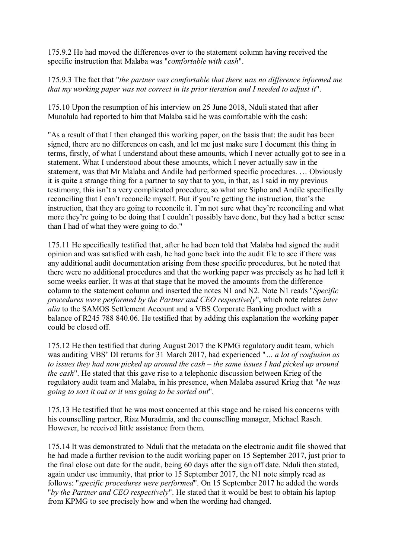175.9.2 He had moved the differences over to the statement column having received the specific instruction that Malaba was "*comfortable with cash*".

175.9.3 The fact that "*the partner was comfortable that there was no difference informed me that my working paper was not correct in its prior iteration and I needed to adjust it*".

175.10 Upon the resumption of his interview on 25 June 2018, Nduli stated that after Munalula had reported to him that Malaba said he was comfortable with the cash:

"As a result of that I then changed this working paper, on the basis that: the audit has been signed, there are no differences on cash, and let me just make sure I document this thing in terms, firstly, of what I understand about these amounts, which I never actually got to see in a statement. What I understood about these amounts, which I never actually saw in the statement, was that Mr Malaba and Andile had performed specific procedures. … Obviously it is quite a strange thing for a partner to say that to you, in that, as I said in my previous testimony, this isn't a very complicated procedure, so what are Sipho and Andile specifically reconciling that I can't reconcile myself. But if you're getting the instruction, that's the instruction, that they are going to reconcile it. I'm not sure what they're reconciling and what more they're going to be doing that I couldn't possibly have done, but they had a better sense than I had of what they were going to do."

175.11 He specifically testified that, after he had been told that Malaba had signed the audit opinion and was satisfied with cash, he had gone back into the audit file to see if there was any additional audit documentation arising from these specific procedures, but he noted that there were no additional procedures and that the working paper was precisely as he had left it some weeks earlier. It was at that stage that he moved the amounts from the difference column to the statement column and inserted the notes N1 and N2. Note N1 reads "*Specific procedures were performed by the Partner and CEO respectively*", which note relates *inter alia* to the SAMOS Settlement Account and a VBS Corporate Banking product with a balance of R245 788 840.06. He testified that by adding this explanation the working paper could be closed off.

175.12 He then testified that during August 2017 the KPMG regulatory audit team, which was auditing VBS' DI returns for 31 March 2017, had experienced "*… a lot of confusion as to issues they had now picked up around the cash – the same issues I had picked up around the cash*". He stated that this gave rise to a telephonic discussion between Krieg of the regulatory audit team and Malaba, in his presence, when Malaba assured Krieg that "*he was going to sort it out or it was going to be sorted out*".

175.13 He testified that he was most concerned at this stage and he raised his concerns with his counselling partner, Riaz Muradmia, and the counselling manager, Michael Rasch. However, he received little assistance from them.

175.14 It was demonstrated to Nduli that the metadata on the electronic audit file showed that he had made a further revision to the audit working paper on 15 September 2017, just prior to the final close out date for the audit, being 60 days after the sign off date. Nduli then stated, again under use immunity, that prior to 15 September 2017, the N1 note simply read as follows: "*specific procedures were performed*". On 15 September 2017 he added the words "*by the Partner and CEO respectively*". He stated that it would be best to obtain his laptop from KPMG to see precisely how and when the wording had changed.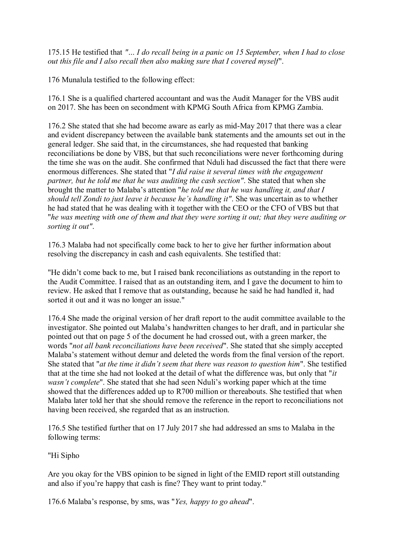175.15 He testified that *"… I do recall being in a panic on 15 September, when I had to close out this file and I also recall then also making sure that I covered myself*".

176 Munalula testified to the following effect:

176.1 She is a qualified chartered accountant and was the Audit Manager for the VBS audit on 2017. She has been on secondment with KPMG South Africa from KPMG Zambia.

176.2 She stated that she had become aware as early as mid-May 2017 that there was a clear and evident discrepancy between the available bank statements and the amounts set out in the general ledger. She said that, in the circumstances, she had requested that banking reconciliations be done by VBS, but that such reconciliations were never forthcoming during the time she was on the audit. She confirmed that Nduli had discussed the fact that there were enormous differences. She stated that "*I did raise it several times with the engagement partner, but he told me that he was auditing the cash section"*. She stated that when she brought the matter to Malaba's attention "*he told me that he was handling it, and that I should tell Zondi to just leave it because he's handling it"*. She was uncertain as to whether he had stated that he was dealing with it together with the CEO or the CFO of VBS but that "*he was meeting with one of them and that they were sorting it out; that they were auditing or sorting it out"*.

176.3 Malaba had not specifically come back to her to give her further information about resolving the discrepancy in cash and cash equivalents. She testified that:

"He didn't come back to me, but I raised bank reconciliations as outstanding in the report to the Audit Committee. I raised that as an outstanding item, and I gave the document to him to review. He asked that I remove that as outstanding, because he said he had handled it, had sorted it out and it was no longer an issue."

176.4 She made the original version of her draft report to the audit committee available to the investigator. She pointed out Malaba's handwritten changes to her draft, and in particular she pointed out that on page 5 of the document he had crossed out, with a green marker, the words "*not all bank reconciliations have been received*". She stated that she simply accepted Malaba's statement without demur and deleted the words from the final version of the report. She stated that "*at the time it didn't seem that there was reason to question him*". She testified that at the time she had not looked at the detail of what the difference was, but only that "*it wasn't complete*". She stated that she had seen Nduli's working paper which at the time showed that the differences added up to R700 million or thereabouts. She testified that when Malaba later told her that she should remove the reference in the report to reconciliations not having been received, she regarded that as an instruction.

176.5 She testified further that on 17 July 2017 she had addressed an sms to Malaba in the following terms:

"Hi Sipho

Are you okay for the VBS opinion to be signed in light of the EMID report still outstanding and also if you're happy that cash is fine? They want to print today."

176.6 Malaba's response, by sms, was "*Yes, happy to go ahead*".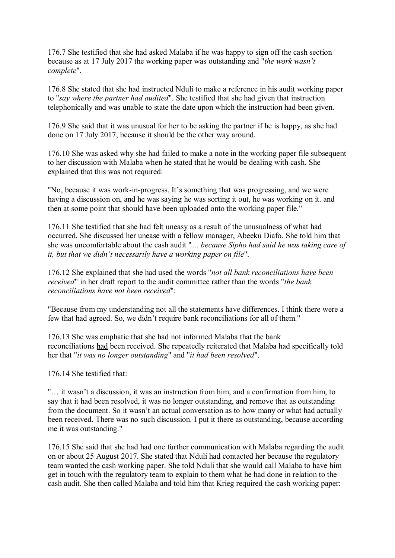176.7 She testified that she had asked Malaba if he was happy to sign off the cash section because as at 17 July 2017 the working paper was outstanding and "*the work wasn't complete*".

176.8 She stated that she had instructed Nduli to make a reference in his audit working paper to "*say where the partner had audited*". She testified that she had given that instruction telephonically and was unable to state the date upon which the instruction had been given.

176.9 She said that it was unusual for her to be asking the partner if he is happy, as she had done on 17 July 2017, because it should be the other way around.

176.10 She was asked why she had failed to make a note in the working paper file subsequent to her discussion with Malaba when he stated that he would be dealing with cash. She explained that this was not required:

"No, because it was work-in-progress. It's something that was progressing, and we were having a discussion on, and he was saying he was sorting it out, he was working on it. and then at some point that should have been uploaded onto the working paper file."

176.11 She testified that she had felt uneasy as a result of the unusualness of what had occurred. She discussed her unease with a fellow manager, Abeeku Diafo. She told him that she was uncomfortable about the cash audit "*… because Sipho had said he was taking care of it, but that we didn't necessarily have a working paper on file*".

176.12 She explained that she had used the words "*not all bank reconciliations have been received*" in her draft report to the audit committee rather than the words "*the bank reconciliations have not been received*":

"Because from my understanding not all the statements have differences. I think there were a few that had agreed. So, we didn't require bank reconciliations for all of them."

176.13 She was emphatic that she had not informed Malaba that the bank reconciliations had been received. She repeatedly reiterated that Malaba had specifically told her that "*it was no longer outstanding*" and "*it had been resolved*".

176.14 She testified that:

"… it wasn't a discussion, it was an instruction from him, and a confirmation from him, to say that it had been resolved, it was no longer outstanding, and remove that as outstanding from the document. So it wasn't an actual conversation as to how many or what had actually been received. There was no such discussion. I put it there as outstanding, because according me it was outstanding."

176.15 She said that she had had one further communication with Malaba regarding the audit on or about 25 August 2017. She stated that Nduli had contacted her because the regulatory team wanted the cash working paper. She told Nduli that she would call Malaba to have him get in touch with the regulatory team to explain to them what he had done in relation to the cash audit. She then called Malaba and told him that Krieg required the cash working paper: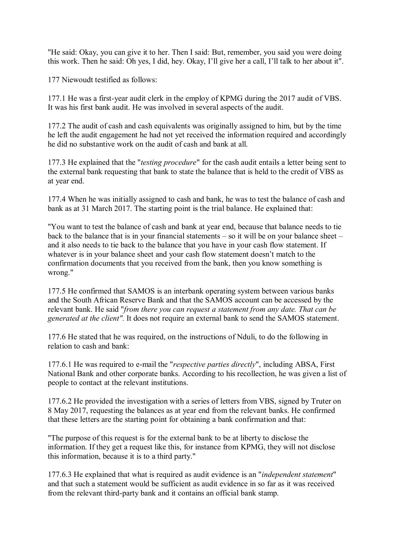"He said: Okay, you can give it to her. Then I said: But, remember, you said you were doing this work. Then he said: Oh yes, I did, hey. Okay, I'll give her a call, I'll talk to her about it".

177 Niewoudt testified as follows:

177.1 He was a first-year audit clerk in the employ of KPMG during the 2017 audit of VBS. It was his first bank audit. He was involved in several aspects of the audit.

177.2 The audit of cash and cash equivalents was originally assigned to him, but by the time he left the audit engagement he had not yet received the information required and accordingly he did no substantive work on the audit of cash and bank at all.

177.3 He explained that the "*testing procedure*" for the cash audit entails a letter being sent to the external bank requesting that bank to state the balance that is held to the credit of VBS as at year end.

177.4 When he was initially assigned to cash and bank, he was to test the balance of cash and bank as at 31 March 2017. The starting point is the trial balance. He explained that:

"You want to test the balance of cash and bank at year end, because that balance needs to tie back to the balance that is in your financial statements – so it will be on your balance sheet – and it also needs to tie back to the balance that you have in your cash flow statement. If whatever is in your balance sheet and your cash flow statement doesn't match to the confirmation documents that you received from the bank, then you know something is wrong."

177.5 He confirmed that SAMOS is an interbank operating system between various banks and the South African Reserve Bank and that the SAMOS account can be accessed by the relevant bank. He said "*from there you can request a statement from any date. That can be generated at the client".* It does not require an external bank to send the SAMOS statement.

177.6 He stated that he was required, on the instructions of Nduli, to do the following in relation to cash and bank:

177.6.1 He was required to e-mail the "*respective parties directly*", including ABSA, First National Bank and other corporate banks. According to his recollection, he was given a list of people to contact at the relevant institutions.

177.6.2 He provided the investigation with a series of letters from VBS, signed by Truter on 8 May 2017, requesting the balances as at year end from the relevant banks. He confirmed that these letters are the starting point for obtaining a bank confirmation and that:

"The purpose of this request is for the external bank to be at liberty to disclose the information. If they get a request like this, for instance from KPMG, they will not disclose this information, because it is to a third party."

177.6.3 He explained that what is required as audit evidence is an "*independent statement*" and that such a statement would be sufficient as audit evidence in so far as it was received from the relevant third-party bank and it contains an official bank stamp.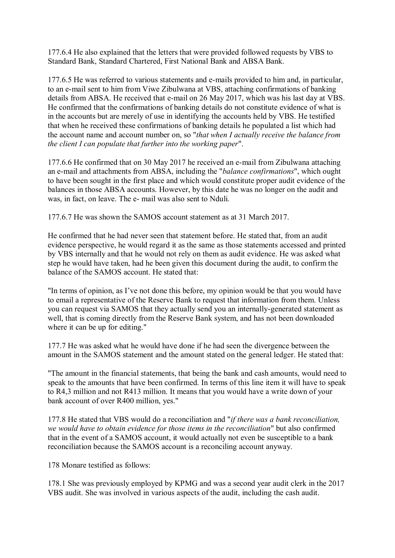177.6.4 He also explained that the letters that were provided followed requests by VBS to Standard Bank, Standard Chartered, First National Bank and ABSA Bank.

177.6.5 He was referred to various statements and e-mails provided to him and, in particular, to an e-mail sent to him from Viwe Zibulwana at VBS, attaching confirmations of banking details from ABSA. He received that e-mail on 26 May 2017, which was his last day at VBS. He confirmed that the confirmations of banking details do not constitute evidence of what is in the accounts but are merely of use in identifying the accounts held by VBS. He testified that when he received these confirmations of banking details he populated a list which had the account name and account number on, so "*that when I actually receive the balance from the client I can populate that further into the working paper*".

177.6.6 He confirmed that on 30 May 2017 he received an e-mail from Zibulwana attaching an e-mail and attachments from ABSA, including the "*balance confirmations*", which ought to have been sought in the first place and which would constitute proper audit evidence of the balances in those ABSA accounts. However, by this date he was no longer on the audit and was, in fact, on leave. The e- mail was also sent to Nduli.

177.6.7 He was shown the SAMOS account statement as at 31 March 2017.

He confirmed that he had never seen that statement before. He stated that, from an audit evidence perspective, he would regard it as the same as those statements accessed and printed by VBS internally and that he would not rely on them as audit evidence. He was asked what step he would have taken, had he been given this document during the audit, to confirm the balance of the SAMOS account. He stated that:

"In terms of opinion, as I've not done this before, my opinion would be that you would have to email a representative of the Reserve Bank to request that information from them. Unless you can request via SAMOS that they actually send you an internally-generated statement as well, that is coming directly from the Reserve Bank system, and has not been downloaded where it can be up for editing."

177.7 He was asked what he would have done if he had seen the divergence between the amount in the SAMOS statement and the amount stated on the general ledger. He stated that:

"The amount in the financial statements, that being the bank and cash amounts, would need to speak to the amounts that have been confirmed. In terms of this line item it will have to speak to R4,3 million and not R413 million. It means that you would have a write down of your bank account of over R400 million, yes."

177.8 He stated that VBS would do a reconciliation and "*if there was a bank reconciliation, we would have to obtain evidence for those items in the reconciliation*" but also confirmed that in the event of a SAMOS account, it would actually not even be susceptible to a bank reconciliation because the SAMOS account is a reconciling account anyway.

178 Monare testified as follows:

178.1 She was previously employed by KPMG and was a second year audit clerk in the 2017 VBS audit. She was involved in various aspects of the audit, including the cash audit.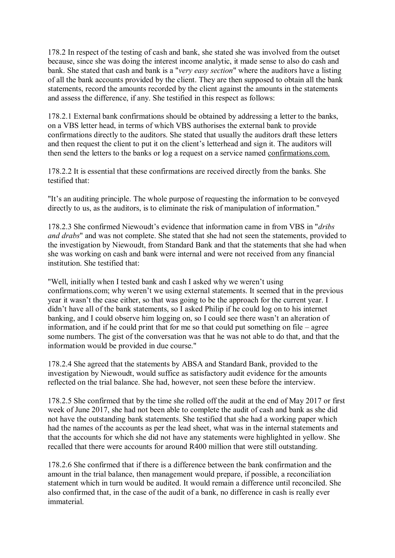178.2 In respect of the testing of cash and bank, she stated she was involved from the outset because, since she was doing the interest income analytic, it made sense to also do cash and bank. She stated that cash and bank is a "*very easy section*" where the auditors have a listing of all the bank accounts provided by the client. They are then supposed to obtain all the bank statements, record the amounts recorded by the client against the amounts in the statements and assess the difference, if any. She testified in this respect as follows:

178.2.1 External bank confirmations should be obtained by addressing a letter to the banks, on a VBS letter head, in terms of which VBS authorises the external bank to provide confirmations directly to the auditors. She stated that usually the auditors draft these letters and then request the client to put it on the client's letterhead and sign it. The auditors will then send the letters to the banks or log a request on a service named confirmations.com.

178.2.2 It is essential that these confirmations are received directly from the banks. She testified that:

"It's an auditing principle. The whole purpose of requesting the information to be conveyed directly to us, as the auditors, is to eliminate the risk of manipulation of information."

178.2.3 She confirmed Niewoudt's evidence that information came in from VBS in "*dribs and drabs*" and was not complete. She stated that she had not seen the statements, provided to the investigation by Niewoudt, from Standard Bank and that the statements that she had when she was working on cash and bank were internal and were not received from any financial institution. She testified that:

"Well, initially when I tested bank and cash I asked why we weren't using confirmations.com; why weren't we using external statements. It seemed that in the previous year it wasn't the case either, so that was going to be the approach for the current year. I didn't have all of the bank statements, so I asked Philip if he could log on to his internet banking, and I could observe him logging on, so I could see there wasn't an alteration of information, and if he could print that for me so that could put something on file – agree some numbers. The gist of the conversation was that he was not able to do that, and that the information would be provided in due course."

178.2.4 She agreed that the statements by ABSA and Standard Bank, provided to the investigation by Niewoudt, would suffice as satisfactory audit evidence for the amounts reflected on the trial balance. She had, however, not seen these before the interview.

178.2.5 She confirmed that by the time she rolled off the audit at the end of May 2017 or first week of June 2017, she had not been able to complete the audit of cash and bank as she did not have the outstanding bank statements. She testified that she had a working paper which had the names of the accounts as per the lead sheet, what was in the internal statements and that the accounts for which she did not have any statements were highlighted in yellow. She recalled that there were accounts for around R400 million that were still outstanding.

178.2.6 She confirmed that if there is a difference between the bank confirmation and the amount in the trial balance, then management would prepare, if possible, a reconciliation statement which in turn would be audited. It would remain a difference until reconciled. She also confirmed that, in the case of the audit of a bank, no difference in cash is really ever immaterial.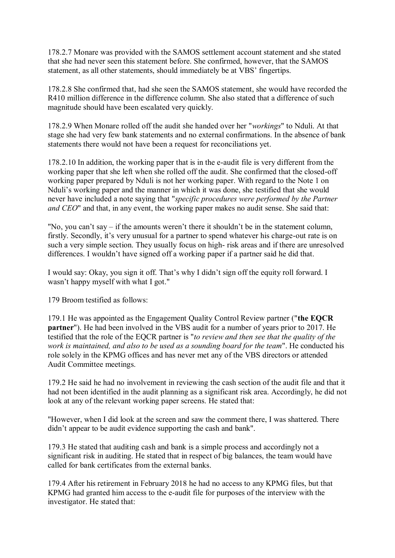178.2.7 Monare was provided with the SAMOS settlement account statement and she stated that she had never seen this statement before. She confirmed, however, that the SAMOS statement, as all other statements, should immediately be at VBS' fingertips.

178.2.8 She confirmed that, had she seen the SAMOS statement, she would have recorded the R410 million difference in the difference column. She also stated that a difference of such magnitude should have been escalated very quickly.

178.2.9 When Monare rolled off the audit she handed over her "*workings*" to Nduli. At that stage she had very few bank statements and no external confirmations. In the absence of bank statements there would not have been a request for reconciliations yet.

178.2.10 In addition, the working paper that is in the e-audit file is very different from the working paper that she left when she rolled off the audit. She confirmed that the closed-off working paper prepared by Nduli is not her working paper. With regard to the Note 1 on Nduli's working paper and the manner in which it was done, she testified that she would never have included a note saying that "*specific procedures were performed by the Partner and CEO*" and that, in any event, the working paper makes no audit sense. She said that:

"No, you can't say – if the amounts weren't there it shouldn't be in the statement column, firstly. Secondly, it's very unusual for a partner to spend whatever his charge-out rate is on such a very simple section. They usually focus on high- risk areas and if there are unresolved differences. I wouldn't have signed off a working paper if a partner said he did that.

I would say: Okay, you sign it off. That's why I didn't sign off the equity roll forward. I wasn't happy myself with what I got."

179 Broom testified as follows:

179.1 He was appointed as the Engagement Quality Control Review partner ("**the EQCR partner**"). He had been involved in the VBS audit for a number of years prior to 2017. He testified that the role of the EQCR partner is "*to review and then see that the quality of the work is maintained, and also to be used as a sounding board for the team*". He conducted his role solely in the KPMG offices and has never met any of the VBS directors or attended Audit Committee meetings.

179.2 He said he had no involvement in reviewing the cash section of the audit file and that it had not been identified in the audit planning as a significant risk area. Accordingly, he did not look at any of the relevant working paper screens. He stated that:

"However, when I did look at the screen and saw the comment there, I was shattered. There didn't appear to be audit evidence supporting the cash and bank".

179.3 He stated that auditing cash and bank is a simple process and accordingly not a significant risk in auditing. He stated that in respect of big balances, the team would have called for bank certificates from the external banks.

179.4 After his retirement in February 2018 he had no access to any KPMG files, but that KPMG had granted him access to the e-audit file for purposes of the interview with the investigator. He stated that: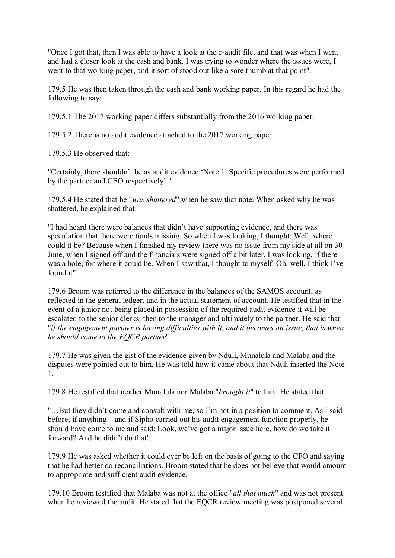"Once I got that, then I was able to have a look at the e-audit file, and that was when I went and had a closer look at the cash and bank. I was trying to wonder where the issues were, I went to that working paper, and it sort of stood out like a sore thumb at that point".

179.5 He was then taken through the cash and bank working paper. In this regard he had the following to say:

179.5.1 The 2017 working paper differs substantially from the 2016 working paper.

179.5.2 There is no audit evidence attached to the 2017 working paper.

179.5.3 He observed that:

"Certainly, there shouldn't be as audit evidence 'Note 1: Specific procedures were performed by the partner and CEO respectively'."

179.5.4 He stated that he "*was shattered*" when he saw that note. When asked why he was shattered, he explained that:

"I had heard there were balances that didn't have supporting evidence, and there was speculation that there were funds missing. So when I was looking, I thought: Well, where could it be? Because when I finished my review there was no issue from my side at all on 30 June, when I signed off and the financials were signed off a bit later. I was looking, if there was a hole, for where it could be. When I saw that, I thought to myself: Oh, well, I think I've found it".

179.6 Broom was referred to the difference in the balances of the SAMOS account, as reflected in the general ledger, and in the actual statement of account. He testified that in the event of a junior not being placed in possession of the required audit evidence it will be escalated to the senior clerks, then to the manager and ultimately to the partner. He said that "*if the engagement partner is having difficulties with it, and it becomes an issue, that is when he should come to the EQCR partner*".

179.7 He was given the gist of the evidence given by Nduli, Munalula and Malaba and the disputes were pointed out to him. He was told how it came about that Nduli inserted the Note 1.

179.8 He testified that neither Munalula nor Malaba "*brought it*" to him. He stated that:

"…But they didn't come and consult with me, so I'm not in a position to comment. As I said before, if anything – and if Sipho carried out his audit engagement function properly, he should have come to me and said: Look, we've got a major issue here, how do we take it forward? And he didn't do that".

179.9 He was asked whether it could ever be left on the basis of going to the CFO and saying that he had better do reconciliations. Broom stated that he does not believe that would amount to appropriate and sufficient audit evidence.

179.10 Broom testified that Malaba was not at the office "*all that much*" and was not present when he reviewed the audit. He stated that the EQCR review meeting was postponed several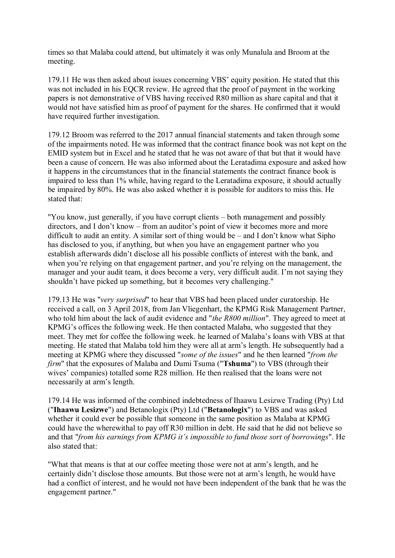times so that Malaba could attend, but ultimately it was only Munalula and Broom at the meeting.

179.11 He was then asked about issues concerning VBS' equity position. He stated that this was not included in his EQCR review. He agreed that the proof of payment in the working papers is not demonstrative of VBS having received R80 million as share capital and that it would not have satisfied him as proof of payment for the shares. He confirmed that it would have required further investigation.

179.12 Broom was referred to the 2017 annual financial statements and taken through some of the impairments noted. He was informed that the contract finance book was not kept on the EMID system but in Excel and he stated that he was not aware of that but that it would have been a cause of concern. He was also informed about the Leratadima exposure and asked how it happens in the circumstances that in the financial statements the contract finance book is impaired to less than 1% while, having regard to the Leratadima exposure, it should actually be impaired by 80%. He was also asked whether it is possible for auditors to miss this. He stated that:

"You know, just generally, if you have corrupt clients – both management and possibly directors, and I don't know – from an auditor's point of view it becomes more and more difficult to audit an entity. A similar sort of thing would be – and I don't know what Sipho has disclosed to you, if anything, but when you have an engagement partner who you establish afterwards didn't disclose all his possible conflicts of interest with the bank, and when you're relying on that engagement partner, and you're relying on the management, the manager and your audit team, it does become a very, very difficult audit. I'm not saying they shouldn't have picked up something, but it becomes very challenging."

179.13 He was "*very surprised*" to hear that VBS had been placed under curatorship. He received a call, on 3 April 2018, from Jan Vliegenhart, the KPMG Risk Management Partner, who told him about the lack of audit evidence and "*the R800 million*". They agreed to meet at KPMG's offices the following week. He then contacted Malaba, who suggested that they meet. They met for coffee the following week. he learned of Malaba's loans with VBS at that meeting. He stated that Malaba told him they were all at arm's length. He subsequently had a meeting at KPMG where they discussed "*some of the issues*" and he then learned "*from the firm*" that the exposures of Malaba and Dumi Tsuma ("**Tshuma**") to VBS (through their wives' companies) totalled some R28 million. He then realised that the loans were not necessarily at arm's length.

179.14 He was informed of the combined indebtedness of Ihaawu Lesizwe Trading (Pty) Ltd ("**Ihaawu Lesizwe**") and Betanologix (Pty) Ltd ("**Betanologix**") to VBS and was asked whether it could ever be possible that someone in the same position as Malaba at KPMG could have the wherewithal to pay off R30 million in debt. He said that he did not believe so and that "*from his earnings from KPMG it's impossible to fund those sort of borrowings*". He also stated that:

"What that means is that at our coffee meeting those were not at arm's length, and he certainly didn't disclose those amounts. But those were not at arm's length, he would have had a conflict of interest, and he would not have been independent of the bank that he was the engagement partner."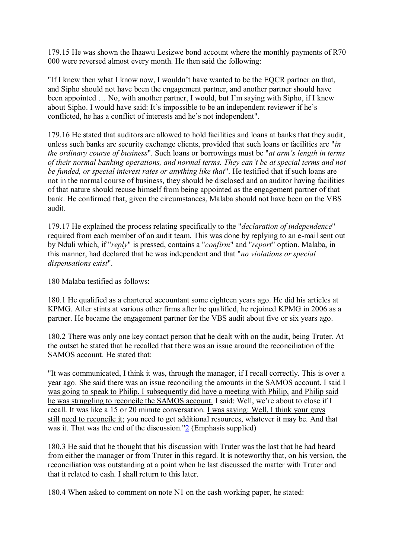179.15 He was shown the Ihaawu Lesizwe bond account where the monthly payments of R70 000 were reversed almost every month. He then said the following:

"If I knew then what I know now, I wouldn't have wanted to be the EQCR partner on that, and Sipho should not have been the engagement partner, and another partner should have been appointed … No, with another partner, I would, but I'm saying with Sipho, if I knew about Sipho. I would have said: It's impossible to be an independent reviewer if he's conflicted, he has a conflict of interests and he's not independent".

179.16 He stated that auditors are allowed to hold facilities and loans at banks that they audit, unless such banks are security exchange clients, provided that such loans or facilities are "*in the ordinary course of business*". Such loans or borrowings must be "*at arm's length in terms of their normal banking operations, and normal terms. They can't be at special terms and not be funded, or special interest rates or anything like that*". He testified that if such loans are not in the normal course of business, they should be disclosed and an auditor having facilities of that nature should recuse himself from being appointed as the engagement partner of that bank. He confirmed that, given the circumstances, Malaba should not have been on the VBS audit.

179.17 He explained the process relating specifically to the "*declaration of independence*" required from each member of an audit team. This was done by replying to an e-mail sent out by Nduli which, if "*reply*" is pressed, contains a "*confirm*" and "*report*" option. Malaba, in this manner, had declared that he was independent and that "*no violations or special dispensations exist*".

180 Malaba testified as follows:

180.1 He qualified as a chartered accountant some eighteen years ago. He did his articles at KPMG. After stints at various other firms after he qualified, he rejoined KPMG in 2006 as a partner. He became the engagement partner for the VBS audit about five or six years ago.

180.2 There was only one key contact person that he dealt with on the audit, being Truter. At the outset he stated that he recalled that there was an issue around the reconciliation of the SAMOS account. He stated that:

"It was communicated, I think it was, through the manager, if I recall correctly. This is over a year ago. She said there was an issue reconciling the amounts in the SAMOS account. I said I was going to speak to Philip. I subsequently did have a meeting with Philip, and Philip said he was struggling to reconcile the SAMOS account. I said: Well, we're about to close if I recall. It was like a 15 or 20 minute conversation. I was saying: Well, I think your guys still need to reconcile it; you need to get additional resources, whatever it may be. And that was it. That was the end of the discussion."2 (Emphasis supplied)

180.3 He said that he thought that his discussion with Truter was the last that he had heard from either the manager or from Truter in this regard. It is noteworthy that, on his version, the reconciliation was outstanding at a point when he last discussed the matter with Truter and that it related to cash. I shall return to this later.

180.4 When asked to comment on note N1 on the cash working paper, he stated: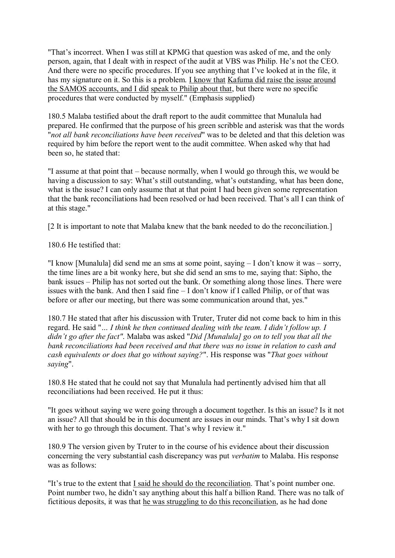"That's incorrect. When I was still at KPMG that question was asked of me, and the only person, again, that I dealt with in respect of the audit at VBS was Philip. He's not the CEO. And there were no specific procedures. If you see anything that I've looked at in the file, it has my signature on it. So this is a problem. I know that Kafuma did raise the issue around the SAMOS accounts, and I did speak to Philip about that, but there were no specific procedures that were conducted by myself." (Emphasis supplied)

180.5 Malaba testified about the draft report to the audit committee that Munalula had prepared. He confirmed that the purpose of his green scribble and asterisk was that the words "*not all bank reconciliations have been received*" was to be deleted and that this deletion was required by him before the report went to the audit committee. When asked why that had been so, he stated that:

"I assume at that point that – because normally, when I would go through this, we would be having a discussion to say: What's still outstanding, what's outstanding, what has been done, what is the issue? I can only assume that at that point I had been given some representation that the bank reconciliations had been resolved or had been received. That's all I can think of at this stage."

[2 It is important to note that Malaba knew that the bank needed to do the reconciliation.]

180.6 He testified that:

"I know [Munalula] did send me an sms at some point, saying – I don't know it was – sorry, the time lines are a bit wonky here, but she did send an sms to me, saying that: Sipho, the bank issues – Philip has not sorted out the bank. Or something along those lines. There were issues with the bank. And then I said fine – I don't know if I called Philip, or of that was before or after our meeting, but there was some communication around that, yes."

180.7 He stated that after his discussion with Truter, Truter did not come back to him in this regard. He said "*… I think he then continued dealing with the team. I didn't follow up. I didn't go after the fact"*. Malaba was asked "*Did [Munalula] go on to tell you that all the bank reconciliations had been received and that there was no issue in relation to cash and cash equivalents or does that go without saying?*". His response was "*That goes without saying*".

180.8 He stated that he could not say that Munalula had pertinently advised him that all reconciliations had been received. He put it thus:

"It goes without saying we were going through a document together. Is this an issue? Is it not an issue? All that should be in this document are issues in our minds. That's why I sit down with her to go through this document. That's why I review it."

180.9 The version given by Truter to in the course of his evidence about their discussion concerning the very substantial cash discrepancy was put *verbatim* to Malaba. His response was as follows:

"It's true to the extent that I said he should do the reconciliation. That's point number one. Point number two, he didn't say anything about this half a billion Rand. There was no talk of fictitious deposits, it was that he was struggling to do this reconciliation, as he had done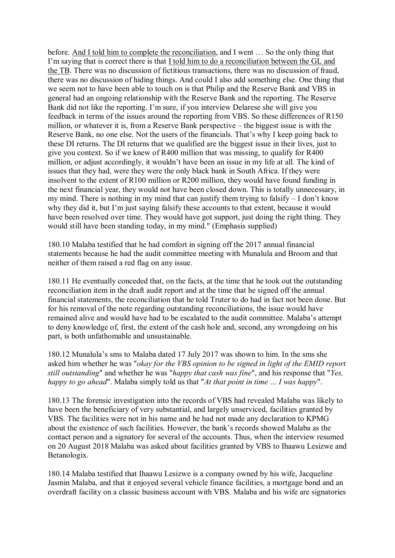before. And I told him to complete the reconciliation, and I went … So the only thing that I'm saying that is correct there is that I told him to do a reconciliation between the GL and the TB. There was no discussion of fictitious transactions, there was no discussion of fraud, there was no discussion of hiding things. And could I also add something else. One thing that we seem not to have been able to touch on is that Philip and the Reserve Bank and VBS in general had an ongoing relationship with the Reserve Bank and the reporting. The Reserve Bank did not like the reporting. I'm sure, if you interview Delarese she will give you feedback in terms of the issues around the reporting from VBS. So these differences of R150 million, or whatever it is, from a Reserve Bank perspective – the biggest issue is with the Reserve Bank, no one else. Not the users of the financials. That's why I keep going back to these DI returns. The DI returns that we qualified are the biggest issue in their lives, just to give you context. So if we knew of R400 million that was missing, to qualify for R400 million, or adjust accordingly, it wouldn't have been an issue in my life at all. The kind of issues that they had, were they were the only black bank in South Africa. If they were insolvent to the extent of R100 million or R200 million, they would have found funding in the next financial year, they would not have been closed down. This is totally unnecessary, in my mind. There is nothing in my mind that can justify them trying to falsify – I don't know why they did it, but I'm just saying falsify these accounts to that extent, because it would have been resolved over time. They would have got support, just doing the right thing. They would still have been standing today, in my mind." (Emphasis supplied)

180.10 Malaba testified that he had comfort in signing off the 2017 annual financial statements because he had the audit committee meeting with Munalula and Broom and that neither of them raised a red flag on any issue.

180.11 He eventually conceded that, on the facts, at the time that he took out the outstanding reconciliation item in the draft audit report and at the time that he signed off the annual financial statements, the reconciliation that he told Truter to do had in fact not been done. But for his removal of the note regarding outstanding reconciliations, the issue would have remained alive and would have had to be escalated to the audit committee. Malaba's attempt to deny knowledge of, first, the extent of the cash hole and, second, any wrongdoing on his part, is both unfathomable and unsustainable.

180.12 Munalula's sms to Malaba dated 17 July 2017 was shown to him. In the sms she asked him whether he was "*okay for the VBS opinion to be signed in light of the EMID report still outstanding*" and whether he was "*happy that cash was fine*", and his response that "*Yes, happy to go ahead*". Malaba simply told us that "*At that point in time … I was happy*".

180.13 The forensic investigation into the records of VBS had revealed Malaba was likely to have been the beneficiary of very substantial, and largely unserviced, facilities granted by VBS. The facilities were not in his name and he had not made any declaration to KPMG about the existence of such facilities. However, the bank's records showed Malaba as the contact person and a signatory for several of the accounts. Thus, when the interview resumed on 20 August 2018 Malaba was asked about facilities granted by VBS to Ihaawu Lesizwe and Betanologix.

180.14 Malaba testified that Ihaawu Lesizwe is a company owned by his wife, Jacqueline Jasmin Malaba, and that it enjoyed several vehicle finance facilities, a mortgage bond and an overdraft facility on a classic business account with VBS. Malaba and his wife are signatories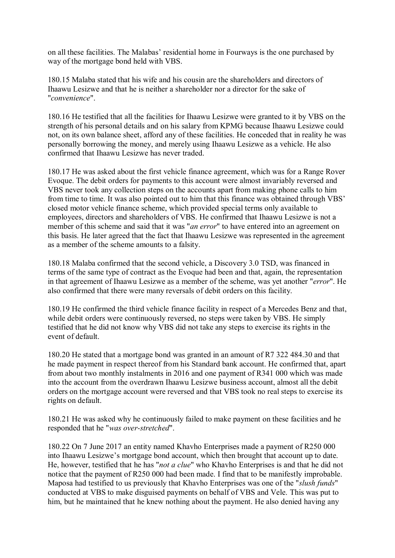on all these facilities. The Malabas' residential home in Fourways is the one purchased by way of the mortgage bond held with VBS.

180.15 Malaba stated that his wife and his cousin are the shareholders and directors of Ihaawu Lesizwe and that he is neither a shareholder nor a director for the sake of "*convenience*".

180.16 He testified that all the facilities for Ihaawu Lesizwe were granted to it by VBS on the strength of his personal details and on his salary from KPMG because Ihaawu Lesizwe could not, on its own balance sheet, afford any of these facilities. He conceded that in reality he was personally borrowing the money, and merely using Ihaawu Lesizwe as a vehicle. He also confirmed that Ihaawu Lesizwe has never traded.

180.17 He was asked about the first vehicle finance agreement, which was for a Range Rover Evoque. The debit orders for payments to this account were almost invariably reversed and VBS never took any collection steps on the accounts apart from making phone calls to him from time to time. It was also pointed out to him that this finance was obtained through VBS' closed motor vehicle finance scheme, which provided special terms only available to employees, directors and shareholders of VBS. He confirmed that Ihaawu Lesizwe is not a member of this scheme and said that it was "*an error*" to have entered into an agreement on this basis. He later agreed that the fact that Ihaawu Lesizwe was represented in the agreement as a member of the scheme amounts to a falsity.

180.18 Malaba confirmed that the second vehicle, a Discovery 3.0 TSD, was financed in terms of the same type of contract as the Evoque had been and that, again, the representation in that agreement of Ihaawu Lesizwe as a member of the scheme, was yet another "*error*". He also confirmed that there were many reversals of debit orders on this facility.

180.19 He confirmed the third vehicle finance facility in respect of a Mercedes Benz and that, while debit orders were continuously reversed, no steps were taken by VBS. He simply testified that he did not know why VBS did not take any steps to exercise its rights in the event of default.

180.20 He stated that a mortgage bond was granted in an amount of R7 322 484.30 and that he made payment in respect thereof from his Standard bank account. He confirmed that, apart from about two monthly instalments in 2016 and one payment of R341 000 which was made into the account from the overdrawn Ihaawu Lesizwe business account, almost all the debit orders on the mortgage account were reversed and that VBS took no real steps to exercise its rights on default.

180.21 He was asked why he continuously failed to make payment on these facilities and he responded that he "*was over-stretched*".

180.22 On 7 June 2017 an entity named Khavho Enterprises made a payment of R250 000 into Ihaawu Lesizwe's mortgage bond account, which then brought that account up to date. He, however, testified that he has "*not a clue*" who Khavho Enterprises is and that he did not notice that the payment of R250 000 had been made. I find that to be manifestly improbable. Maposa had testified to us previously that Khavho Enterprises was one of the "*slush funds*" conducted at VBS to make disguised payments on behalf of VBS and Vele. This was put to him, but he maintained that he knew nothing about the payment. He also denied having any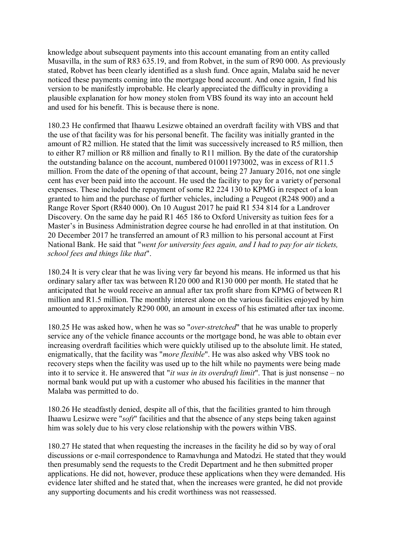knowledge about subsequent payments into this account emanating from an entity called Musavilla, in the sum of R83 635.19, and from Robvet, in the sum of R90 000. As previously stated, Robvet has been clearly identified as a slush fund. Once again, Malaba said he never noticed these payments coming into the mortgage bond account. And once again, I find his version to be manifestly improbable. He clearly appreciated the difficulty in providing a plausible explanation for how money stolen from VBS found its way into an account held and used for his benefit. This is because there is none.

180.23 He confirmed that Ihaawu Lesizwe obtained an overdraft facility with VBS and that the use of that facility was for his personal benefit. The facility was initially granted in the amount of R2 million. He stated that the limit was successively increased to R5 million, then to either R7 million or R8 million and finally to R11 million. By the date of the curatorship the outstanding balance on the account, numbered 010011973002, was in excess of R11.5 million. From the date of the opening of that account, being 27 January 2016, not one single cent has ever been paid into the account. He used the facility to pay for a variety of personal expenses. These included the repayment of some R2 224 130 to KPMG in respect of a loan granted to him and the purchase of further vehicles, including a Peugeot (R248 900) and a Range Rover Sport (R840 000). On 10 August 2017 he paid R1 534 814 for a Landrover Discovery. On the same day he paid R1 465 186 to Oxford University as tuition fees for a Master's in Business Administration degree course he had enrolled in at that institution. On 20 December 2017 he transferred an amount of R3 million to his personal account at First National Bank. He said that "*went for university fees again, and I had to pay for air tickets, school fees and things like that*".

180.24 It is very clear that he was living very far beyond his means. He informed us that his ordinary salary after tax was between R120 000 and R130 000 per month. He stated that he anticipated that he would receive an annual after tax profit share from KPMG of between R1 million and R1.5 million. The monthly interest alone on the various facilities enjoyed by him amounted to approximately R290 000, an amount in excess of his estimated after tax income.

180.25 He was asked how, when he was so "*over-stretched*" that he was unable to properly service any of the vehicle finance accounts or the mortgage bond, he was able to obtain ever increasing overdraft facilities which were quickly utilised up to the absolute limit. He stated, enigmatically, that the facility was "*more flexible*". He was also asked why VBS took no recovery steps when the facility was used up to the hilt while no payments were being made into it to service it. He answered that "*it was in its overdraft limit*". That is just nonsense – no normal bank would put up with a customer who abused his facilities in the manner that Malaba was permitted to do.

180.26 He steadfastly denied, despite all of this, that the facilities granted to him through Ihaawu Lesizwe were "*soft*" facilities and that the absence of any steps being taken against him was solely due to his very close relationship with the powers within VBS.

180.27 He stated that when requesting the increases in the facility he did so by way of oral discussions or e-mail correspondence to Ramavhunga and Matodzi. He stated that they would then presumably send the requests to the Credit Department and he then submitted proper applications. He did not, however, produce these applications when they were demanded. His evidence later shifted and he stated that, when the increases were granted, he did not provide any supporting documents and his credit worthiness was not reassessed.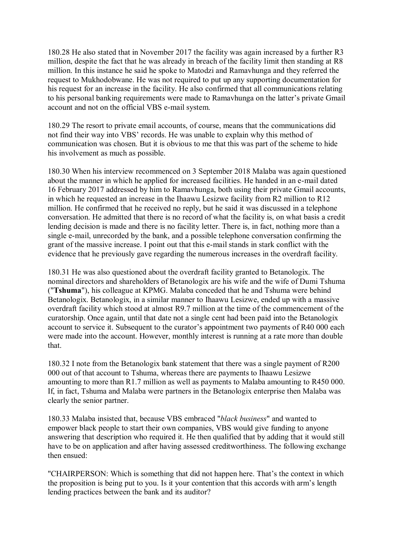180.28 He also stated that in November 2017 the facility was again increased by a further R3 million, despite the fact that he was already in breach of the facility limit then standing at R8 million. In this instance he said he spoke to Matodzi and Ramavhunga and they referred the request to Mukhodobwane. He was not required to put up any supporting documentation for his request for an increase in the facility. He also confirmed that all communications relating to his personal banking requirements were made to Ramavhunga on the latter's private Gmail account and not on the official VBS e-mail system.

180.29 The resort to private email accounts, of course, means that the communications did not find their way into VBS' records. He was unable to explain why this method of communication was chosen. But it is obvious to me that this was part of the scheme to hide his involvement as much as possible.

180.30 When his interview recommenced on 3 September 2018 Malaba was again questioned about the manner in which he applied for increased facilities. He handed in an e-mail dated 16 February 2017 addressed by him to Ramavhunga, both using their private Gmail accounts, in which he requested an increase in the Ihaawu Lesizwe facility from R2 million to R12 million. He confirmed that he received no reply, but he said it was discussed in a telephone conversation. He admitted that there is no record of what the facility is, on what basis a credit lending decision is made and there is no facility letter. There is, in fact, nothing more than a single e-mail, unrecorded by the bank, and a possible telephone conversation confirming the grant of the massive increase. I point out that this e-mail stands in stark conflict with the evidence that he previously gave regarding the numerous increases in the overdraft facility.

180.31 He was also questioned about the overdraft facility granted to Betanologix. The nominal directors and shareholders of Betanologix are his wife and the wife of Dumi Tshuma ("**Tshuma**"), his colleague at KPMG. Malaba conceded that he and Tshuma were behind Betanologix. Betanologix, in a similar manner to Ihaawu Lesizwe, ended up with a massive overdraft facility which stood at almost R9.7 million at the time of the commencement of the curatorship. Once again, until that date not a single cent had been paid into the Betanologix account to service it. Subsequent to the curator's appointment two payments of R40 000 each were made into the account. However, monthly interest is running at a rate more than double that.

180.32 I note from the Betanologix bank statement that there was a single payment of R200 000 out of that account to Tshuma, whereas there are payments to Ihaawu Lesizwe amounting to more than R1.7 million as well as payments to Malaba amounting to R450 000. If, in fact, Tshuma and Malaba were partners in the Betanologix enterprise then Malaba was clearly the senior partner.

180.33 Malaba insisted that, because VBS embraced "*black business*" and wanted to empower black people to start their own companies, VBS would give funding to anyone answering that description who required it. He then qualified that by adding that it would still have to be on application and after having assessed creditworthiness. The following exchange then ensued:

"CHAIRPERSON: Which is something that did not happen here. That's the context in which the proposition is being put to you. Is it your contention that this accords with arm's length lending practices between the bank and its auditor?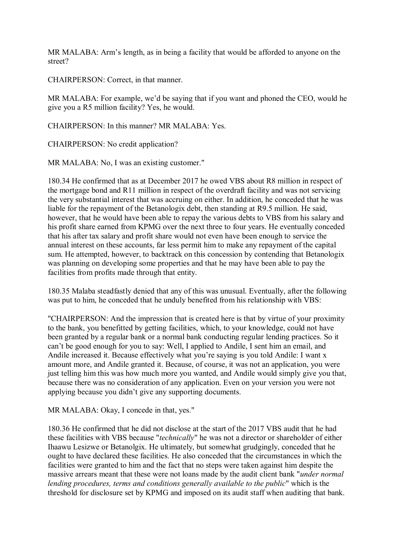MR MALABA: Arm's length, as in being a facility that would be afforded to anyone on the street?

CHAIRPERSON: Correct, in that manner.

MR MALABA: For example, we'd be saying that if you want and phoned the CEO, would he give you a R5 million facility? Yes, he would.

CHAIRPERSON: In this manner? MR MALABA: Yes.

CHAIRPERSON: No credit application?

MR MALABA: No, I was an existing customer."

180.34 He confirmed that as at December 2017 he owed VBS about R8 million in respect of the mortgage bond and R11 million in respect of the overdraft facility and was not servicing the very substantial interest that was accruing on either. In addition, he conceded that he was liable for the repayment of the Betanologix debt, then standing at R9.5 million. He said, however, that he would have been able to repay the various debts to VBS from his salary and his profit share earned from KPMG over the next three to four years. He eventually conceded that his after tax salary and profit share would not even have been enough to service the annual interest on these accounts, far less permit him to make any repayment of the capital sum. He attempted, however, to backtrack on this concession by contending that Betanologix was planning on developing some properties and that he may have been able to pay the facilities from profits made through that entity.

180.35 Malaba steadfastly denied that any of this was unusual. Eventually, after the following was put to him, he conceded that he unduly benefited from his relationship with VBS:

"CHAIRPERSON: And the impression that is created here is that by virtue of your proximity to the bank, you benefitted by getting facilities, which, to your knowledge, could not have been granted by a regular bank or a normal bank conducting regular lending practices. So it can't be good enough for you to say: Well, I applied to Andile, I sent him an email, and Andile increased it. Because effectively what you're saying is you told Andile: I want x amount more, and Andile granted it. Because, of course, it was not an application, you were just telling him this was how much more you wanted, and Andile would simply give you that, because there was no consideration of any application. Even on your version you were not applying because you didn't give any supporting documents.

MR MALABA: Okay, I concede in that, yes."

180.36 He confirmed that he did not disclose at the start of the 2017 VBS audit that he had these facilities with VBS because "*technically*" he was not a director or shareholder of either Ihaawu Lesizwe or Betanolgix. He ultimately, but somewhat grudgingly, conceded that he ought to have declared these facilities. He also conceded that the circumstances in which the facilities were granted to him and the fact that no steps were taken against him despite the massive arrears meant that these were not loans made by the audit client bank "*under normal lending procedures, terms and conditions generally available to the public*" which is the threshold for disclosure set by KPMG and imposed on its audit staff when auditing that bank.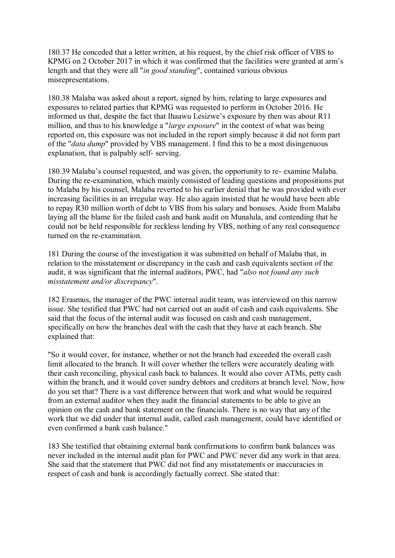180.37 He conceded that a letter written, at his request, by the chief risk officer of VBS to KPMG on 2 October 2017 in which it was confirmed that the facilities were granted at arm's length and that they were all "*in good standing*", contained various obvious misrepresentations.

180.38 Malaba was asked about a report, signed by him, relating to large exposures and exposures to related parties that KPMG was requested to perform in October 2016. He informed us that, despite the fact that Ihaawu Lesizwe's exposure by then was about R11 million, and thus to his knowledge a "*large exposure*" in the context of what was being reported on, this exposure was not included in the report simply because it did not form part of the "*data dump*" provided by VBS management. I find this to be a most disingenuous explanation, that is palpably self- serving.

180.39 Malaba's counsel requested, and was given, the opportunity to re- examine Malaba. During the re-examination, which mainly consisted of leading questions and propositions put to Malaba by his counsel, Malaba reverted to his earlier denial that he was provided with ever increasing facilities in an irregular way. He also again insisted that he would have been able to repay R30 million worth of debt to VBS from his salary and bonuses. Aside from Malaba laying all the blame for the failed cash and bank audit on Munalula, and contending that he could not be held responsible for reckless lending by VBS, nothing of any real consequence turned on the re-examination.

181 During the course of the investigation it was submitted on behalf of Malaba that, in relation to the misstatement or discrepancy in the cash and cash equivalents section of the audit, it was significant that the internal auditors, PWC, had "*also not found any such misstatement and/or discrepancy*".

182 Erasmus, the manager of the PWC internal audit team, was interviewed on this narrow issue. She testified that PWC had not carried out an audit of cash and cash equivalents. She said that the focus of the internal audit was focused on cash and cash management, specifically on how the branches deal with the cash that they have at each branch. She explained that:

"So it would cover, for instance, whether or not the branch had exceeded the overall cash limit allocated to the branch. It will cover whether the tellers were accurately dealing with their cash reconciling, physical cash back to balances. It would also cover ATMs, petty cash within the branch, and it would cover sundry debtors and creditors at branch level. Now, how do you set that? There is a vast difference between that work and what would be required from an external auditor when they audit the financial statements to be able to give an opinion on the cash and bank statement on the financials. There is no way that any of the work that we did under that internal audit, called cash management, could have identified or even confirmed a bank cash balance."

183 She testified that obtaining external bank confirmations to confirm bank balances was never included in the internal audit plan for PWC and PWC never did any work in that area. She said that the statement that PWC did not find any misstatements or inaccuracies in respect of cash and bank is accordingly factually correct. She stated that: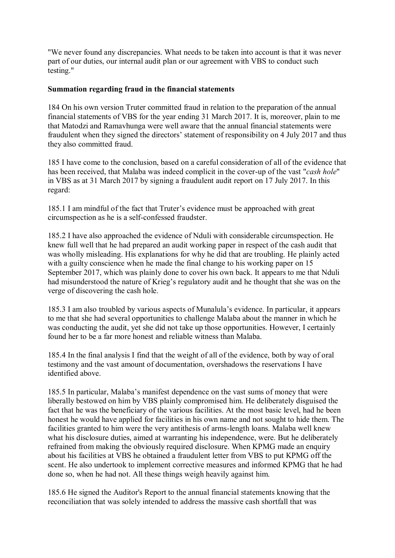"We never found any discrepancies. What needs to be taken into account is that it was never part of our duties, our internal audit plan or our agreement with VBS to conduct such testing."

### **Summation regarding fraud in the financial statements**

184 On his own version Truter committed fraud in relation to the preparation of the annual financial statements of VBS for the year ending 31 March 2017. It is, moreover, plain to me that Matodzi and Ramavhunga were well aware that the annual financial statements were fraudulent when they signed the directors' statement of responsibility on 4 July 2017 and thus they also committed fraud.

185 I have come to the conclusion, based on a careful consideration of all of the evidence that has been received, that Malaba was indeed complicit in the cover-up of the vast "*cash hole*" in VBS as at 31 March 2017 by signing a fraudulent audit report on 17 July 2017. In this regard:

185.1 I am mindful of the fact that Truter's evidence must be approached with great circumspection as he is a self-confessed fraudster.

185.2 I have also approached the evidence of Nduli with considerable circumspection. He knew full well that he had prepared an audit working paper in respect of the cash audit that was wholly misleading. His explanations for why he did that are troubling. He plainly acted with a guilty conscience when he made the final change to his working paper on 15 September 2017, which was plainly done to cover his own back. It appears to me that Nduli had misunderstood the nature of Krieg's regulatory audit and he thought that she was on the verge of discovering the cash hole.

185.3 I am also troubled by various aspects of Munalula's evidence. In particular, it appears to me that she had several opportunities to challenge Malaba about the manner in which he was conducting the audit, yet she did not take up those opportunities. However, I certainly found her to be a far more honest and reliable witness than Malaba.

185.4 In the final analysis I find that the weight of all of the evidence, both by way of oral testimony and the vast amount of documentation, overshadows the reservations I have identified above.

185.5 In particular, Malaba's manifest dependence on the vast sums of money that were liberally bestowed on him by VBS plainly compromised him. He deliberately disguised the fact that he was the beneficiary of the various facilities. At the most basic level, had he been honest he would have applied for facilities in his own name and not sought to hide them. The facilities granted to him were the very antithesis of arms-length loans. Malaba well knew what his disclosure duties, aimed at warranting his independence, were. But he deliberately refrained from making the obviously required disclosure. When KPMG made an enquiry about his facilities at VBS he obtained a fraudulent letter from VBS to put KPMG off the scent. He also undertook to implement corrective measures and informed KPMG that he had done so, when he had not. All these things weigh heavily against him.

185.6 He signed the Auditor's Report to the annual financial statements knowing that the reconciliation that was solely intended to address the massive cash shortfall that was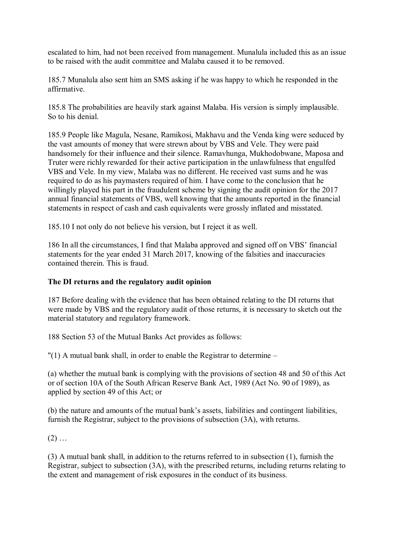escalated to him, had not been received from management. Munalula included this as an issue to be raised with the audit committee and Malaba caused it to be removed.

185.7 Munalula also sent him an SMS asking if he was happy to which he responded in the affirmative.

185.8 The probabilities are heavily stark against Malaba. His version is simply implausible. So to his denial.

185.9 People like Magula, Nesane, Ramikosi, Makhavu and the Venda king were seduced by the vast amounts of money that were strewn about by VBS and Vele. They were paid handsomely for their influence and their silence. Ramavhunga, Mukhodobwane, Maposa and Truter were richly rewarded for their active participation in the unlawfulness that engulfed VBS and Vele. In my view, Malaba was no different. He received vast sums and he was required to do as his paymasters required of him. I have come to the conclusion that he willingly played his part in the fraudulent scheme by signing the audit opinion for the 2017 annual financial statements of VBS, well knowing that the amounts reported in the financial statements in respect of cash and cash equivalents were grossly inflated and misstated.

185.10 I not only do not believe his version, but I reject it as well.

186 In all the circumstances, I find that Malaba approved and signed off on VBS' financial statements for the year ended 31 March 2017, knowing of the falsities and inaccuracies contained therein. This is fraud.

#### **The DI returns and the regulatory audit opinion**

187 Before dealing with the evidence that has been obtained relating to the DI returns that were made by VBS and the regulatory audit of those returns, it is necessary to sketch out the material statutory and regulatory framework.

188 Section 53 of the Mutual Banks Act provides as follows:

"(1) A mutual bank shall, in order to enable the Registrar to determine –

(a) whether the mutual bank is complying with the provisions of section 48 and 50 of this Act or of section 10A of the South African Reserve Bank Act, 1989 (Act No. 90 of 1989), as applied by section 49 of this Act; or

(b) the nature and amounts of the mutual bank's assets, liabilities and contingent liabilities, furnish the Registrar, subject to the provisions of subsection (3A), with returns.

 $(2)$  ...

(3) A mutual bank shall, in addition to the returns referred to in subsection (1), furnish the Registrar, subject to subsection (3A), with the prescribed returns, including returns relating to the extent and management of risk exposures in the conduct of its business.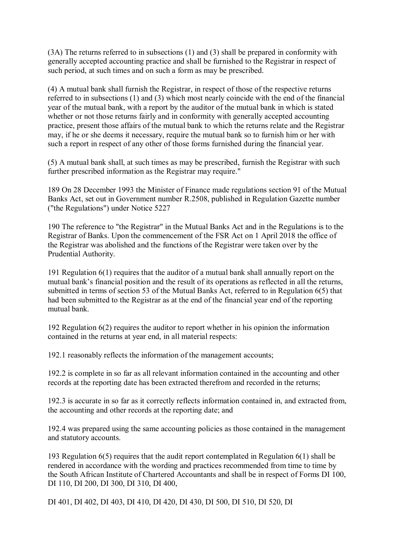(3A) The returns referred to in subsections (1) and (3) shall be prepared in conformity with generally accepted accounting practice and shall be furnished to the Registrar in respect of such period, at such times and on such a form as may be prescribed.

(4) A mutual bank shall furnish the Registrar, in respect of those of the respective returns referred to in subsections (1) and (3) which most nearly coincide with the end of the financial year of the mutual bank, with a report by the auditor of the mutual bank in which is stated whether or not those returns fairly and in conformity with generally accepted accounting practice, present those affairs of the mutual bank to which the returns relate and the Registrar may, if he or she deems it necessary, require the mutual bank so to furnish him or her with such a report in respect of any other of those forms furnished during the financial year.

(5) A mutual bank shall, at such times as may be prescribed, furnish the Registrar with such further prescribed information as the Registrar may require."

189 On 28 December 1993 the Minister of Finance made regulations section 91 of the Mutual Banks Act, set out in Government number R.2508, published in Regulation Gazette number ("the Regulations") under Notice 5227

190 The reference to "the Registrar" in the Mutual Banks Act and in the Regulations is to the Registrar of Banks. Upon the commencement of the FSR Act on 1 April 2018 the office of the Registrar was abolished and the functions of the Registrar were taken over by the Prudential Authority.

191 Regulation 6(1) requires that the auditor of a mutual bank shall annually report on the mutual bank's financial position and the result of its operations as reflected in all the returns, submitted in terms of section 53 of the Mutual Banks Act, referred to in Regulation 6(5) that had been submitted to the Registrar as at the end of the financial year end of the reporting mutual bank.

192 Regulation 6(2) requires the auditor to report whether in his opinion the information contained in the returns at year end, in all material respects:

192.1 reasonably reflects the information of the management accounts;

192.2 is complete in so far as all relevant information contained in the accounting and other records at the reporting date has been extracted therefrom and recorded in the returns;

192.3 is accurate in so far as it correctly reflects information contained in, and extracted from, the accounting and other records at the reporting date; and

192.4 was prepared using the same accounting policies as those contained in the management and statutory accounts.

193 Regulation 6(5) requires that the audit report contemplated in Regulation 6(1) shall be rendered in accordance with the wording and practices recommended from time to time by the South African Institute of Chartered Accountants and shall be in respect of Forms DI 100, DI 110, DI 200, DI 300, DI 310, DI 400,

DI 401, DI 402, DI 403, DI 410, DI 420, DI 430, DI 500, DI 510, DI 520, DI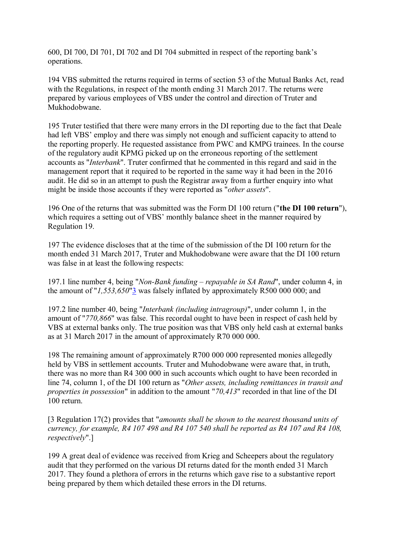600, DI 700, DI 701, DI 702 and DI 704 submitted in respect of the reporting bank's operations.

194 VBS submitted the returns required in terms of section 53 of the Mutual Banks Act, read with the Regulations, in respect of the month ending 31 March 2017. The returns were prepared by various employees of VBS under the control and direction of Truter and Mukhodobwane.

195 Truter testified that there were many errors in the DI reporting due to the fact that Deale had left VBS' employ and there was simply not enough and sufficient capacity to attend to the reporting properly. He requested assistance from PWC and KMPG trainees. In the course of the regulatory audit KPMG picked up on the erroneous reporting of the settlement accounts as "*Interbank*". Truter confirmed that he commented in this regard and said in the management report that it required to be reported in the same way it had been in the 2016 audit. He did so in an attempt to push the Registrar away from a further enquiry into what might be inside those accounts if they were reported as "*other assets*".

196 One of the returns that was submitted was the Form DI 100 return ("**the DI 100 return**"), which requires a setting out of VBS' monthly balance sheet in the manner required by Regulation 19.

197 The evidence discloses that at the time of the submission of the DI 100 return for the month ended 31 March 2017, Truter and Mukhodobwane were aware that the DI 100 return was false in at least the following respects:

197.1 line number 4, being "*Non-Bank funding – repayable in SA Rand*", under column 4, in the amount of "*1,553,650*"3 was falsely inflated by approximately R500 000 000; and

197.2 line number 40, being "*Interbank (including intragroup)*", under column 1, in the amount of "*770,866*" was false. This recordal ought to have been in respect of cash held by VBS at external banks only. The true position was that VBS only held cash at external banks as at 31 March 2017 in the amount of approximately R70 000 000.

198 The remaining amount of approximately R700 000 000 represented monies allegedly held by VBS in settlement accounts. Truter and Muhodobwane were aware that, in truth, there was no more than R4 300 000 in such accounts which ought to have been recorded in line 74, column 1, of the DI 100 return as "*Other assets, including remittances in transit and properties in possession*" in addition to the amount "*70,413*" recorded in that line of the DI 100 return.

[3 Regulation 17(2) provides that "*amounts shall be shown to the nearest thousand units of currency, for example, R4 107 498 and R4 107 540 shall be reported as R4 107 and R4 108, respectively*".]

199 A great deal of evidence was received from Krieg and Scheepers about the regulatory audit that they performed on the various DI returns dated for the month ended 31 March 2017. They found a plethora of errors in the returns which gave rise to a substantive report being prepared by them which detailed these errors in the DI returns.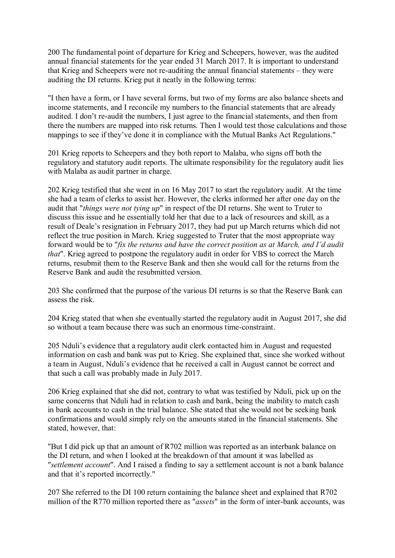200 The fundamental point of departure for Krieg and Scheepers, however, was the audited annual financial statements for the year ended 31 March 2017. It is important to understand that Krieg and Scheepers were not re-auditing the annual financial statements – they were auditing the DI returns. Krieg put it neatly in the following terms:

"I then have a form, or I have several forms, but two of my forms are also balance sheets and income statements, and I reconcile my numbers to the financial statements that are already audited. I don't re-audit the numbers, I just agree to the financial statements, and then from there the numbers are mapped into risk returns. Then I would test those calculations and those mappings to see if they've done it in compliance with the Mutual Banks Act Regulations."

201 Krieg reports to Scheepers and they both report to Malaba, who signs off both the regulatory and statutory audit reports. The ultimate responsibility for the regulatory audit lies with Malaba as audit partner in charge.

202 Krieg testified that she went in on 16 May 2017 to start the regulatory audit. At the time she had a team of clerks to assist her. However, the clerks informed her after one day on the audit that "*things were not tying up*" in respect of the DI returns. She went to Truter to discuss this issue and he essentially told her that due to a lack of resources and skill, as a result of Deale's resignation in February 2017, they had put up March returns which did not reflect the true position in March. Krieg suggested to Truter that the most appropriate way forward would be to "*fix the returns and have the correct position as at March, and I'd audit that*". Krieg agreed to postpone the regulatory audit in order for VBS to correct the March returns, resubmit them to the Reserve Bank and then she would call for the returns from the Reserve Bank and audit the resubmitted version.

203 She confirmed that the purpose of the various DI returns is so that the Reserve Bank can assess the risk.

204 Krieg stated that when she eventually started the regulatory audit in August 2017, she did so without a team because there was such an enormous time-constraint.

205 Nduli's evidence that a regulatory audit clerk contacted him in August and requested information on cash and bank was put to Krieg. She explained that, since she worked without a team in August, Nduli's evidence that he received a call in August cannot be correct and that such a call was probably made in July 2017.

206 Krieg explained that she did not, contrary to what was testified by Nduli, pick up on the same concerns that Nduli had in relation to cash and bank, being the inability to match cash in bank accounts to cash in the trial balance. She stated that she would not be seeking bank confirmations and would simply rely on the amounts stated in the financial statements. She stated, however, that:

"But I did pick up that an amount of R702 million was reported as an interbank balance on the DI return, and when I looked at the breakdown of that amount it was labelled as "*settlement account*". And I raised a finding to say a settlement account is not a bank balance and that it's reported incorrectly."

207 She referred to the DI 100 return containing the balance sheet and explained that R702 million of the R770 million reported there as "*assets*" in the form of inter-bank accounts, was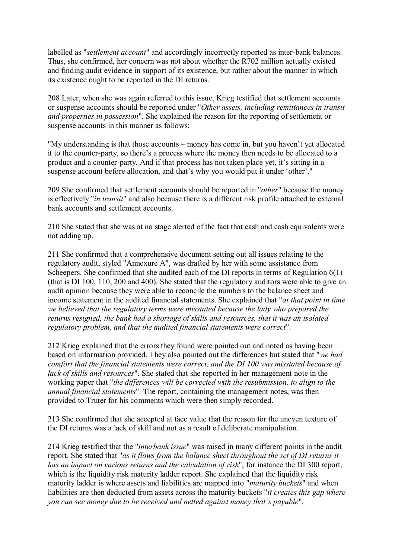labelled as "*settlement account*" and accordingly incorrectly reported as inter-bank balances. Thus, she confirmed, her concern was not about whether the R702 million actually existed and finding audit evidence in support of its existence, but rather about the manner in which its existence ought to be reported in the DI returns.

208 Later, when she was again referred to this issue, Krieg testified that settlement accounts or suspense accounts should be reported under "*Other assets, including remittances in transit and properties in possession*". She explained the reason for the reporting of settlement or suspense accounts in this manner as follows:

"My understanding is that those accounts – money has come in, but you haven't yet allocated it to the counter-party, so there's a process where the money then needs to be allocated to a product and a counter-party. And if that process has not taken place yet, it's sitting in a suspense account before allocation, and that's why you would put it under 'other'."

209 She confirmed that settlement accounts should be reported in "*other*" because the money is effectively "*in transit*" and also because there is a different risk profile attached to external bank accounts and settlement accounts.

210 She stated that she was at no stage alerted of the fact that cash and cash equivalents were not adding up.

211 She confirmed that a comprehensive document setting out all issues relating to the regulatory audit, styled "Annexure A", was drafted by her with some assistance from Scheepers. She confirmed that she audited each of the DI reports in terms of Regulation 6(1) (that is DI 100, 110, 200 and 400). She stated that the regulatory auditors were able to give an audit opinion because they were able to reconcile the numbers to the balance sheet and income statement in the audited financial statements. She explained that "*at that point in time we believed that the regulatory terms were misstated because the lady who prepared the returns resigned, the bank had a shortage of skills and resources, that it was an isolated regulatory problem, and that the audited financial statements were correct*".

212 Krieg explained that the errors they found were pointed out and noted as having been based on information provided. They also pointed out the differences but stated that "*we had comfort that the financial statements were correct, and the DI 100 was misstated because of lack of skills and resources*". She stated that she reported in her management note in the working paper that "*the differences will be corrected with the resubmission, to align to the annual financial statements*". The report, containing the management notes, was then provided to Truter for his comments which were then simply recorded.

213 She confirmed that she accepted at face value that the reason for the uneven texture of the DI returns was a lack of skill and not as a result of deliberate manipulation.

214 Krieg testified that the "*interbank issue*" was raised in many different points in the audit report. She stated that "*as it flows from the balance sheet throughout the set of DI returns it has an impact on various returns and the calculation of risk*", for instance the DI 300 report, which is the liquidity risk maturity ladder report. She explained that the liquidity risk maturity ladder is where assets and liabilities are mapped into "*maturity buckets*" and when liabilities are then deducted from assets across the maturity buckets "*it creates this gap where you can see money due to be received and netted against money that's payable*".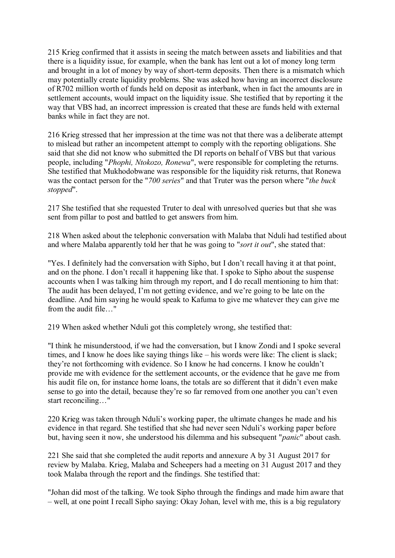215 Krieg confirmed that it assists in seeing the match between assets and liabilities and that there is a liquidity issue, for example, when the bank has lent out a lot of money long term and brought in a lot of money by way of short-term deposits. Then there is a mismatch which may potentially create liquidity problems. She was asked how having an incorrect disclosure of R702 million worth of funds held on deposit as interbank, when in fact the amounts are in settlement accounts, would impact on the liquidity issue. She testified that by reporting it the way that VBS had, an incorrect impression is created that these are funds held with external banks while in fact they are not.

216 Krieg stressed that her impression at the time was not that there was a deliberate attempt to mislead but rather an incompetent attempt to comply with the reporting obligations. She said that she did not know who submitted the DI reports on behalf of VBS but that various people, including "*Phophi, Ntokozo, Ronewa*", were responsible for completing the returns. She testified that Mukhodobwane was responsible for the liquidity risk returns, that Ronewa was the contact person for the "*700 series*" and that Truter was the person where "*the buck stopped*".

217 She testified that she requested Truter to deal with unresolved queries but that she was sent from pillar to post and battled to get answers from him.

218 When asked about the telephonic conversation with Malaba that Nduli had testified about and where Malaba apparently told her that he was going to "*sort it out*", she stated that:

"Yes. I definitely had the conversation with Sipho, but I don't recall having it at that point, and on the phone. I don't recall it happening like that. I spoke to Sipho about the suspense accounts when I was talking him through my report, and I do recall mentioning to him that: The audit has been delayed, I'm not getting evidence, and we're going to be late on the deadline. And him saying he would speak to Kafuma to give me whatever they can give me from the audit file…"

219 When asked whether Nduli got this completely wrong, she testified that:

"I think he misunderstood, if we had the conversation, but I know Zondi and I spoke several times, and I know he does like saying things like – his words were like: The client is slack; they're not forthcoming with evidence. So I know he had concerns. I know he couldn't provide me with evidence for the settlement accounts, or the evidence that he gave me from his audit file on, for instance home loans, the totals are so different that it didn't even make sense to go into the detail, because they're so far removed from one another you can't even start reconciling…"

220 Krieg was taken through Nduli's working paper, the ultimate changes he made and his evidence in that regard. She testified that she had never seen Nduli's working paper before but, having seen it now, she understood his dilemma and his subsequent "*panic*" about cash.

221 She said that she completed the audit reports and annexure A by 31 August 2017 for review by Malaba. Krieg, Malaba and Scheepers had a meeting on 31 August 2017 and they took Malaba through the report and the findings. She testified that:

"Johan did most of the talking. We took Sipho through the findings and made him aware that – well, at one point I recall Sipho saying: Okay Johan, level with me, this is a big regulatory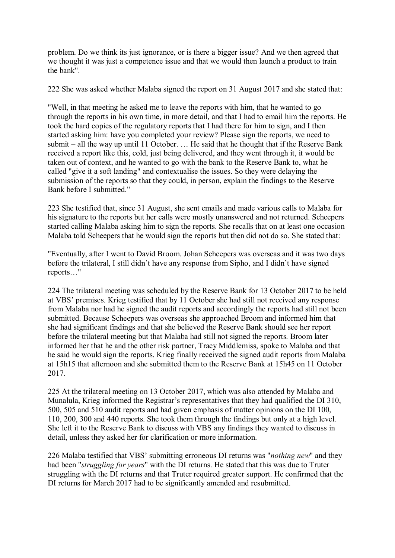problem. Do we think its just ignorance, or is there a bigger issue? And we then agreed that we thought it was just a competence issue and that we would then launch a product to train the bank".

222 She was asked whether Malaba signed the report on 31 August 2017 and she stated that:

"Well, in that meeting he asked me to leave the reports with him, that he wanted to go through the reports in his own time, in more detail, and that I had to email him the reports. He took the hard copies of the regulatory reports that I had there for him to sign, and I then started asking him: have you completed your review? Please sign the reports, we need to submit – all the way up until 11 October. … He said that he thought that if the Reserve Bank received a report like this, cold, just being delivered, and they went through it, it would be taken out of context, and he wanted to go with the bank to the Reserve Bank to, what he called "give it a soft landing" and contextualise the issues. So they were delaying the submission of the reports so that they could, in person, explain the findings to the Reserve Bank before I submitted."

223 She testified that, since 31 August, she sent emails and made various calls to Malaba for his signature to the reports but her calls were mostly unanswered and not returned. Scheepers started calling Malaba asking him to sign the reports. She recalls that on at least one occasion Malaba told Scheepers that he would sign the reports but then did not do so. She stated that:

"Eventually, after I went to David Broom. Johan Scheepers was overseas and it was two days before the trilateral, I still didn't have any response from Sipho, and I didn't have signed reports…"

224 The trilateral meeting was scheduled by the Reserve Bank for 13 October 2017 to be held at VBS' premises. Krieg testified that by 11 October she had still not received any response from Malaba nor had he signed the audit reports and accordingly the reports had still not been submitted. Because Scheepers was overseas she approached Broom and informed him that she had significant findings and that she believed the Reserve Bank should see her report before the trilateral meeting but that Malaba had still not signed the reports. Broom later informed her that he and the other risk partner, Tracy Middlemiss, spoke to Malaba and that he said he would sign the reports. Krieg finally received the signed audit reports from Malaba at 15h15 that afternoon and she submitted them to the Reserve Bank at 15h45 on 11 October 2017.

225 At the trilateral meeting on 13 October 2017, which was also attended by Malaba and Munalula, Krieg informed the Registrar's representatives that they had qualified the DI 310, 500, 505 and 510 audit reports and had given emphasis of matter opinions on the DI 100, 110, 200, 300 and 440 reports. She took them through the findings but only at a high level. She left it to the Reserve Bank to discuss with VBS any findings they wanted to discuss in detail, unless they asked her for clarification or more information.

226 Malaba testified that VBS' submitting erroneous DI returns was "*nothing new*" and they had been "*struggling for years*" with the DI returns. He stated that this was due to Truter struggling with the DI returns and that Truter required greater support. He confirmed that the DI returns for March 2017 had to be significantly amended and resubmitted.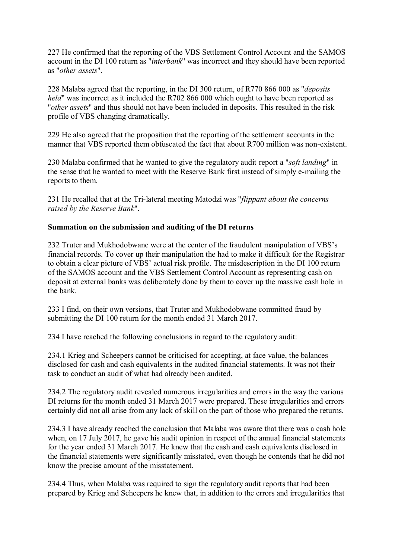227 He confirmed that the reporting of the VBS Settlement Control Account and the SAMOS account in the DI 100 return as "*interbank*" was incorrect and they should have been reported as "*other assets*".

228 Malaba agreed that the reporting, in the DI 300 return, of R770 866 000 as "*deposits held*" was incorrect as it included the R702 866 000 which ought to have been reported as "*other assets*" and thus should not have been included in deposits. This resulted in the risk profile of VBS changing dramatically.

229 He also agreed that the proposition that the reporting of the settlement accounts in the manner that VBS reported them obfuscated the fact that about R700 million was non-existent.

230 Malaba confirmed that he wanted to give the regulatory audit report a "*soft landing*" in the sense that he wanted to meet with the Reserve Bank first instead of simply e-mailing the reports to them.

231 He recalled that at the Tri-lateral meeting Matodzi was "*flippant about the concerns raised by the Reserve Bank*".

### **Summation on the submission and auditing of the DI returns**

232 Truter and Mukhodobwane were at the center of the fraudulent manipulation of VBS's financial records. To cover up their manipulation the had to make it difficult for the Registrar to obtain a clear picture of VBS' actual risk profile. The misdescription in the DI 100 return of the SAMOS account and the VBS Settlement Control Account as representing cash on deposit at external banks was deliberately done by them to cover up the massive cash hole in the bank.

233 I find, on their own versions, that Truter and Mukhodobwane committed fraud by submitting the DI 100 return for the month ended 31 March 2017.

234 I have reached the following conclusions in regard to the regulatory audit:

234.1 Krieg and Scheepers cannot be criticised for accepting, at face value, the balances disclosed for cash and cash equivalents in the audited financial statements. It was not their task to conduct an audit of what had already been audited.

234.2 The regulatory audit revealed numerous irregularities and errors in the way the various DI returns for the month ended 31 March 2017 were prepared. These irregularities and errors certainly did not all arise from any lack of skill on the part of those who prepared the returns.

234.3 I have already reached the conclusion that Malaba was aware that there was a cash hole when, on 17 July 2017, he gave his audit opinion in respect of the annual financial statements for the year ended 31 March 2017. He knew that the cash and cash equivalents disclosed in the financial statements were significantly misstated, even though he contends that he did not know the precise amount of the misstatement.

234.4 Thus, when Malaba was required to sign the regulatory audit reports that had been prepared by Krieg and Scheepers he knew that, in addition to the errors and irregularities that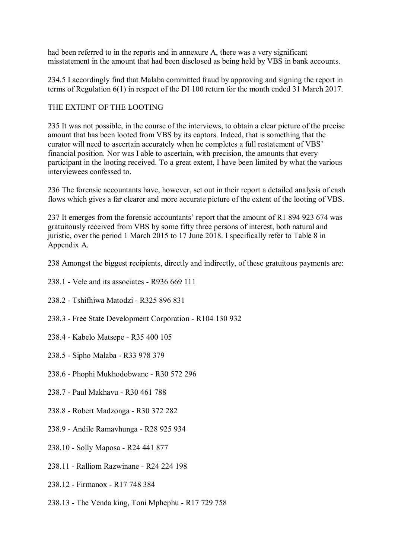had been referred to in the reports and in annexure A, there was a very significant misstatement in the amount that had been disclosed as being held by VBS in bank accounts.

234.5 I accordingly find that Malaba committed fraud by approving and signing the report in terms of Regulation 6(1) in respect of the DI 100 return for the month ended 31 March 2017.

## THE EXTENT OF THE LOOTING

235 It was not possible, in the course of the interviews, to obtain a clear picture of the precise amount that has been looted from VBS by its captors. Indeed, that is something that the curator will need to ascertain accurately when he completes a full restatement of VBS' financial position. Nor was I able to ascertain, with precision, the amounts that every participant in the looting received. To a great extent, I have been limited by what the various interviewees confessed to.

236 The forensic accountants have, however, set out in their report a detailed analysis of cash flows which gives a far clearer and more accurate picture of the extent of the looting of VBS.

237 It emerges from the forensic accountants' report that the amount of R1 894 923 674 was gratuitously received from VBS by some fifty three persons of interest, both natural and juristic, over the period 1 March 2015 to 17 June 2018. I specifically refer to Table 8 in Appendix A.

238 Amongst the biggest recipients, directly and indirectly, of these gratuitous payments are:

- 238.1 Vele and its associates R936 669 111
- 238.2 Tshifhiwa Matodzi R325 896 831
- 238.3 Free State Development Corporation R104 130 932
- 238.4 Kabelo Matsepe R35 400 105
- 238.5 Sipho Malaba R33 978 379
- 238.6 Phophi Mukhodobwane R30 572 296
- 238.7 Paul Makhavu R30 461 788
- 238.8 Robert Madzonga R30 372 282
- 238.9 Andile Ramavhunga R28 925 934
- 238.10 Solly Maposa R24 441 877
- 238.11 Ralliom Razwinane R24 224 198
- 238.12 Firmanox R17 748 384
- 238.13 The Venda king, Toni Mphephu R17 729 758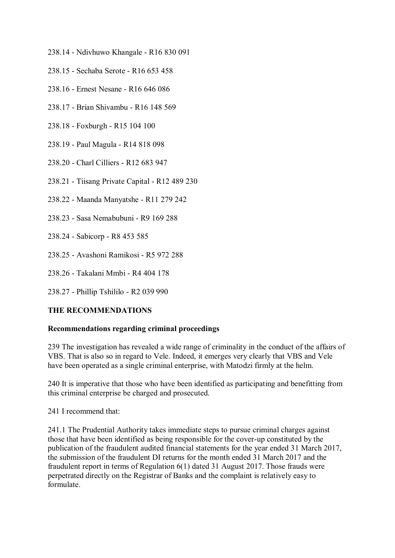- 238.14 Ndivhuwo Khangale R16 830 091
- 238.15 Sechaba Serote R16 653 458
- 238.16 Ernest Nesane R16 646 086
- 238.17 Brian Shivambu R16 148 569
- 238.18 Foxburgh R15 104 100
- 238.19 Paul Magula R14 818 098
- 238.20 Charl Cilliers R12 683 947
- 238.21 Tiisang Private Capital R12 489 230
- 238.22 Maanda Manyatshe R11 279 242
- 238.23 Sasa Nemabubuni R9 169 288
- 238.24 Sabicorp R8 453 585
- 238.25 Avashoni Ramikosi R5 972 288
- 238.26 Takalani Mmbi R4 404 178
- 238.27 Phillip Tshililo R2 039 990

## **THE RECOMMENDATIONS**

#### **Recommendations regarding criminal proceedings**

239 The investigation has revealed a wide range of criminality in the conduct of the affairs of VBS. That is also so in regard to Vele. Indeed, it emerges very clearly that VBS and Vele have been operated as a single criminal enterprise, with Matodzi firmly at the helm.

240 It is imperative that those who have been identified as participating and benefitting from this criminal enterprise be charged and prosecuted.

241 I recommend that:

241.1 The Prudential Authority takes immediate steps to pursue criminal charges against those that have been identified as being responsible for the cover-up constituted by the publication of the fraudulent audited financial statements for the year ended 31 March 2017, the submission of the fraudulent DI returns for the month ended 31 March 2017 and the fraudulent report in terms of Regulation 6(1) dated 31 August 2017. Those frauds were perpetrated directly on the Registrar of Banks and the complaint is relatively easy to formulate.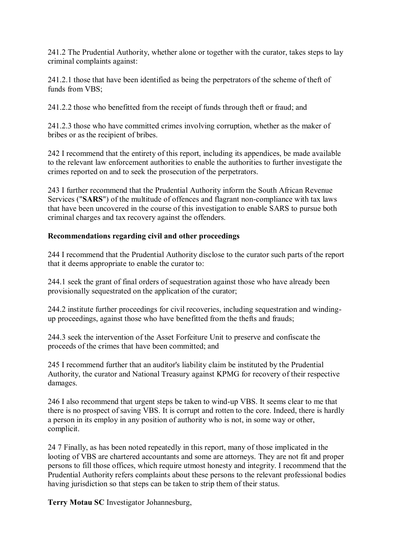241.2 The Prudential Authority, whether alone or together with the curator, takes steps to lay criminal complaints against:

241.2.1 those that have been identified as being the perpetrators of the scheme of theft of funds from VBS;

241.2.2 those who benefitted from the receipt of funds through theft or fraud; and

241.2.3 those who have committed crimes involving corruption, whether as the maker of bribes or as the recipient of bribes.

242 I recommend that the entirety of this report, including its appendices, be made available to the relevant law enforcement authorities to enable the authorities to further investigate the crimes reported on and to seek the prosecution of the perpetrators.

243 I further recommend that the Prudential Authority inform the South African Revenue Services ("**SARS**") of the multitude of offences and flagrant non-compliance with tax laws that have been uncovered in the course of this investigation to enable SARS to pursue both criminal charges and tax recovery against the offenders.

# **Recommendations regarding civil and other proceedings**

244 I recommend that the Prudential Authority disclose to the curator such parts of the report that it deems appropriate to enable the curator to:

244.1 seek the grant of final orders of sequestration against those who have already been provisionally sequestrated on the application of the curator;

244.2 institute further proceedings for civil recoveries, including sequestration and windingup proceedings, against those who have benefitted from the thefts and frauds;

244.3 seek the intervention of the Asset Forfeiture Unit to preserve and confiscate the proceeds of the crimes that have been committed; and

245 I recommend further that an auditor's liability claim be instituted by the Prudential Authority, the curator and National Treasury against KPMG for recovery of their respective damages.

246 I also recommend that urgent steps be taken to wind-up VBS. It seems clear to me that there is no prospect of saving VBS. It is corrupt and rotten to the core. Indeed, there is hardly a person in its employ in any position of authority who is not, in some way or other, complicit.

24 7 Finally, as has been noted repeatedly in this report, many of those implicated in the looting of VBS are chartered accountants and some are attorneys. They are not fit and proper persons to fill those offices, which require utmost honesty and integrity. I recommend that the Prudential Authority refers complaints about these persons to the relevant professional bodies having jurisdiction so that steps can be taken to strip them of their status.

**Terry Motau SC** Investigator Johannesburg,